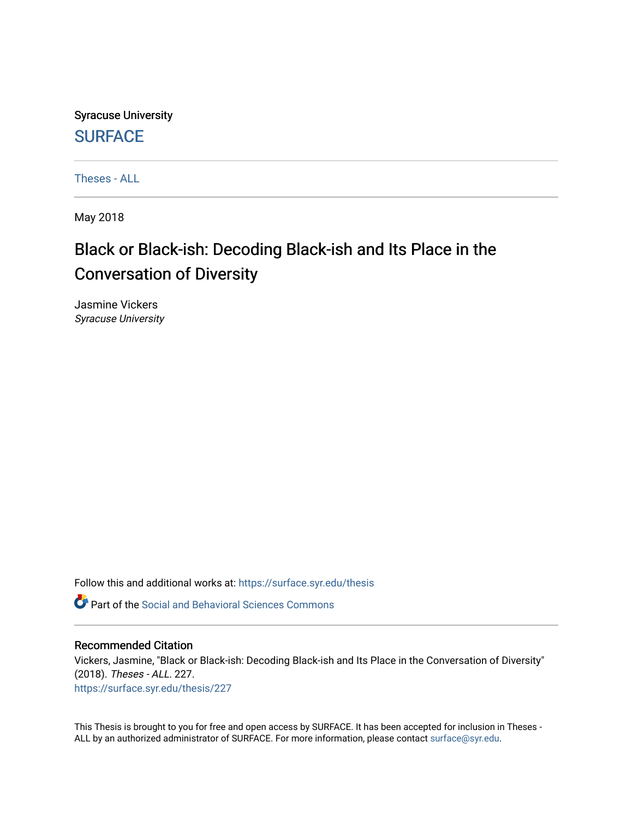Syracuse University **[SURFACE](https://surface.syr.edu/)** 

[Theses - ALL](https://surface.syr.edu/thesis)

May 2018

# Black or Black-ish: Decoding Black-ish and Its Place in the Conversation of Diversity

Jasmine Vickers Syracuse University

Follow this and additional works at: [https://surface.syr.edu/thesis](https://surface.syr.edu/thesis?utm_source=surface.syr.edu%2Fthesis%2F227&utm_medium=PDF&utm_campaign=PDFCoverPages)

**P** Part of the Social and Behavioral Sciences Commons

# Recommended Citation

Vickers, Jasmine, "Black or Black-ish: Decoding Black-ish and Its Place in the Conversation of Diversity" (2018). Theses - ALL. 227. [https://surface.syr.edu/thesis/227](https://surface.syr.edu/thesis/227?utm_source=surface.syr.edu%2Fthesis%2F227&utm_medium=PDF&utm_campaign=PDFCoverPages)

This Thesis is brought to you for free and open access by SURFACE. It has been accepted for inclusion in Theses - ALL by an authorized administrator of SURFACE. For more information, please contact [surface@syr.edu](mailto:surface@syr.edu).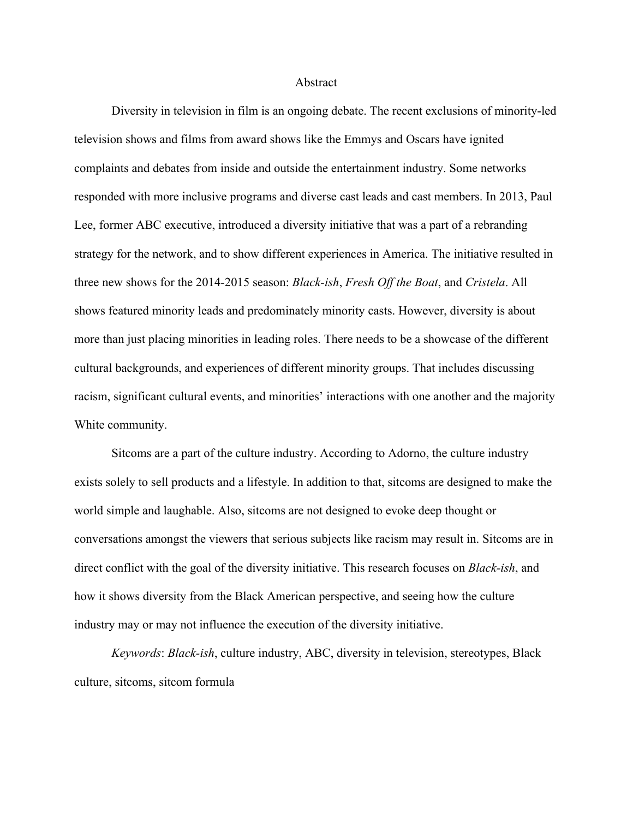#### Abstract

Diversity in television in film is an ongoing debate. The recent exclusions of minority-led television shows and films from award shows like the Emmys and Oscars have ignited complaints and debates from inside and outside the entertainment industry. Some networks responded with more inclusive programs and diverse cast leads and cast members. In 2013, Paul Lee, former ABC executive, introduced a diversity initiative that was a part of a rebranding strategy for the network, and to show different experiences in America. The initiative resulted in three new shows for the 2014-2015 season: *Black-ish*, *Fresh Off the Boat*, and *Cristela*. All shows featured minority leads and predominately minority casts. However, diversity is about more than just placing minorities in leading roles. There needs to be a showcase of the different cultural backgrounds, and experiences of different minority groups. That includes discussing racism, significant cultural events, and minorities' interactions with one another and the majority White community.

Sitcoms are a part of the culture industry. According to Adorno, the culture industry exists solely to sell products and a lifestyle. In addition to that, sitcoms are designed to make the world simple and laughable. Also, sitcoms are not designed to evoke deep thought or conversations amongst the viewers that serious subjects like racism may result in. Sitcoms are in direct conflict with the goal of the diversity initiative. This research focuses on *Black-ish*, and how it shows diversity from the Black American perspective, and seeing how the culture industry may or may not influence the execution of the diversity initiative.

*Keywords*: *Black-ish*, culture industry, ABC, diversity in television, stereotypes, Black culture, sitcoms, sitcom formula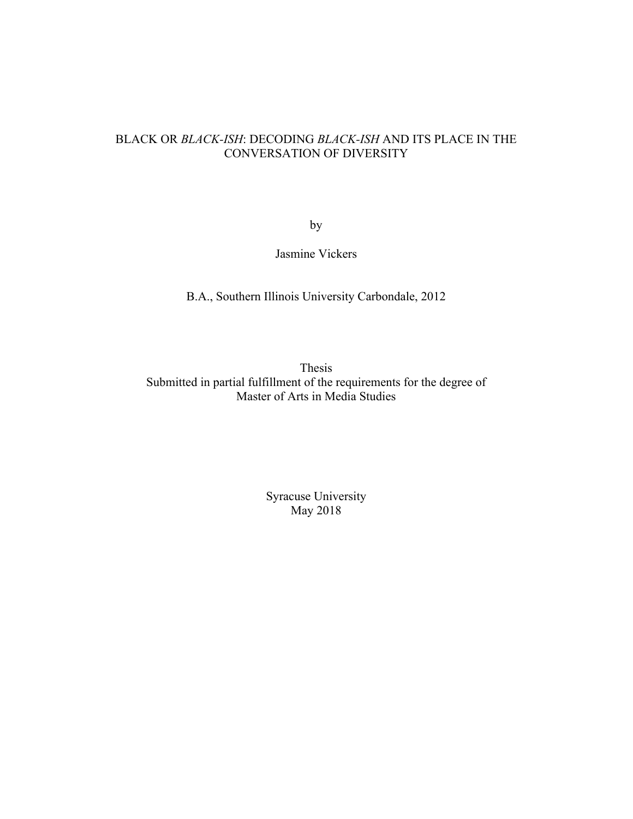# BLACK OR *BLACK-ISH*: DECODING *BLACK-ISH* AND ITS PLACE IN THE CONVERSATION OF DIVERSITY

by

Jasmine Vickers

B.A., Southern Illinois University Carbondale, 2012

Thesis Submitted in partial fulfillment of the requirements for the degree of Master of Arts in Media Studies

> Syracuse University May 2018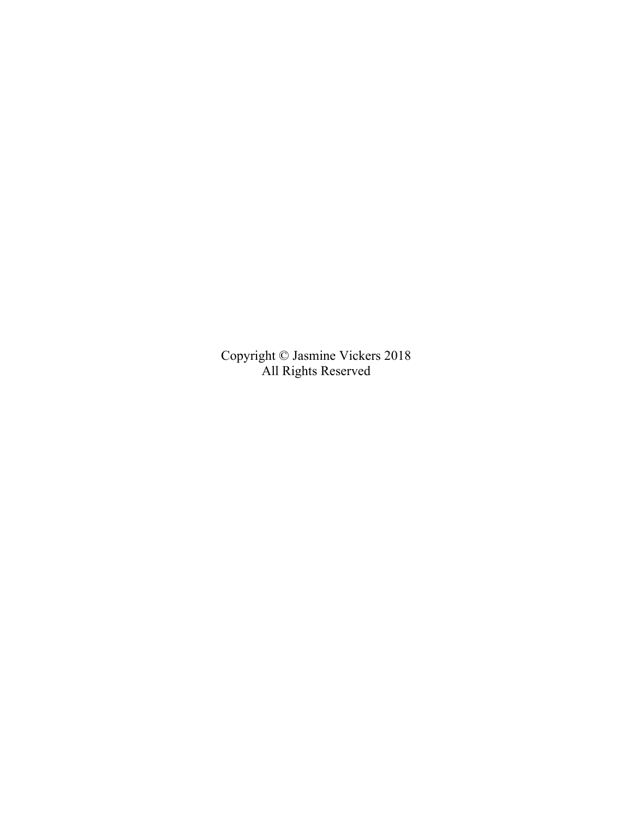Copyright © Jasmine Vickers 2018 All Rights Reserved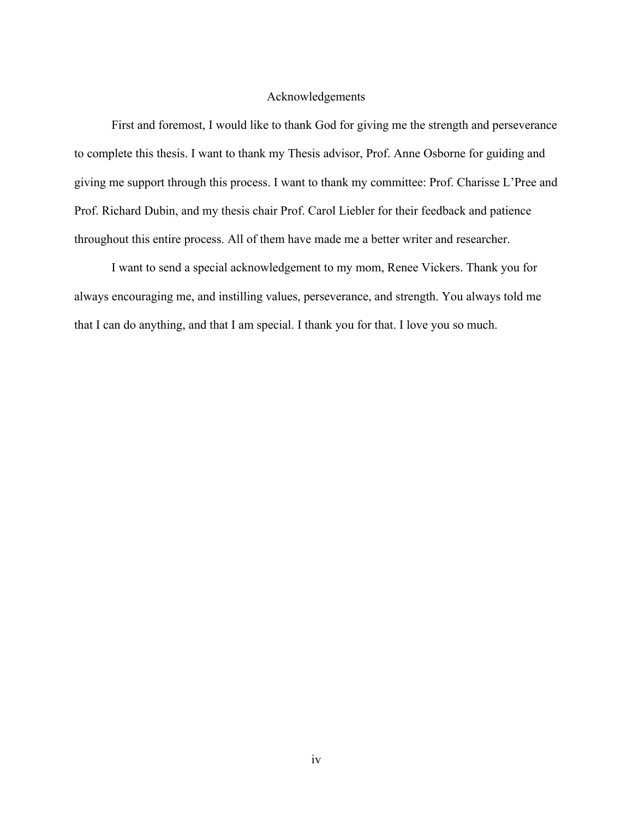# Acknowledgements

First and foremost, I would like to thank God for giving me the strength and perseverance to complete this thesis. I want to thank my Thesis advisor, Prof. Anne Osborne for guiding and giving me support through this process. I want to thank my committee: Prof. Charisse L'Pree and Prof. Richard Dubin, and my thesis chair Prof. Carol Liebler for their feedback and patience throughout this entire process. All of them have made me a better writer and researcher.

I want to send a special acknowledgement to my mom, Renee Vickers. Thank you for always encouraging me, and instilling values, perseverance, and strength. You always told me that I can do anything, and that I am special. I thank you for that. I love you so much.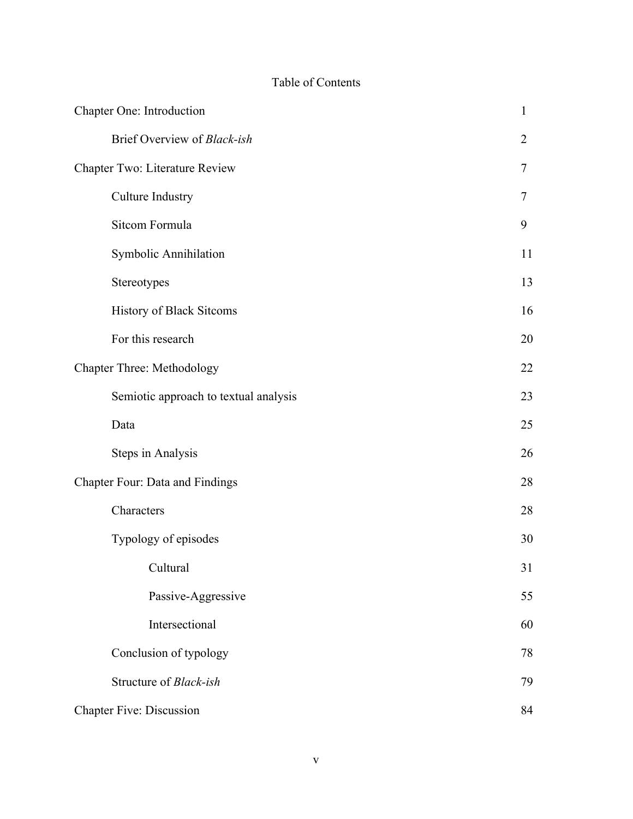# Table of Contents

| Chapter One: Introduction             | $\mathbf{1}$   |
|---------------------------------------|----------------|
| Brief Overview of Black-ish           | $\overline{2}$ |
| Chapter Two: Literature Review        |                |
| <b>Culture Industry</b>               | 7              |
| Sitcom Formula                        | 9              |
| Symbolic Annihilation                 | 11             |
| Stereotypes                           | 13             |
| History of Black Sitcoms              | 16             |
| For this research                     | 20             |
| <b>Chapter Three: Methodology</b>     |                |
| Semiotic approach to textual analysis | 23             |
| Data                                  | 25             |
| <b>Steps in Analysis</b>              | 26             |
| Chapter Four: Data and Findings       |                |
| Characters                            | 28             |
| Typology of episodes                  | 30             |
| Cultural                              | 31             |
| Passive-Aggressive                    | 55             |
| Intersectional                        | 60             |
| Conclusion of typology                | 78             |
| Structure of Black-ish                | 79             |
| <b>Chapter Five: Discussion</b>       |                |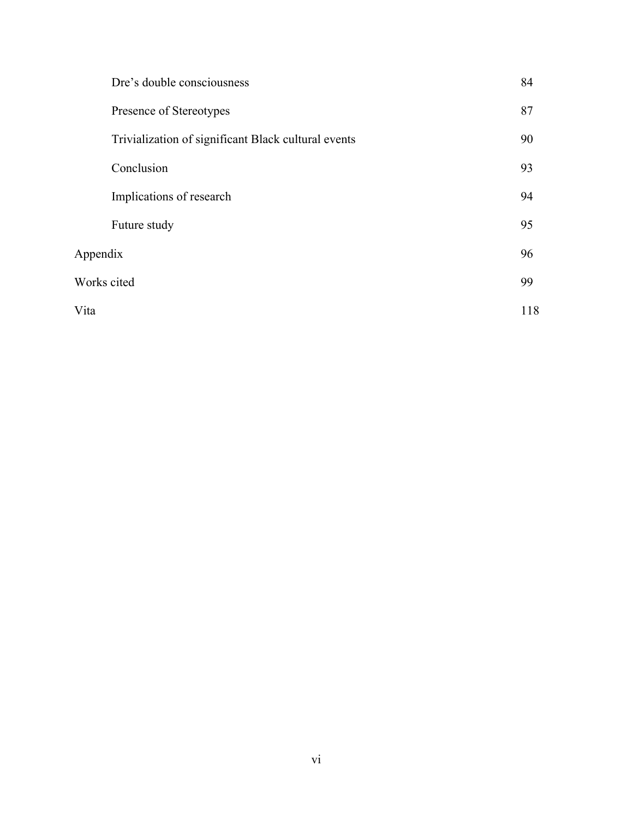|             | Dre's double consciousness                          | 84  |
|-------------|-----------------------------------------------------|-----|
|             | Presence of Stereotypes                             | 87  |
|             | Trivialization of significant Black cultural events | 90  |
|             | Conclusion                                          | 93  |
|             | Implications of research                            | 94  |
|             | Future study                                        | 95  |
| Appendix    |                                                     | 96  |
| Works cited |                                                     | 99  |
| Vita        |                                                     | 118 |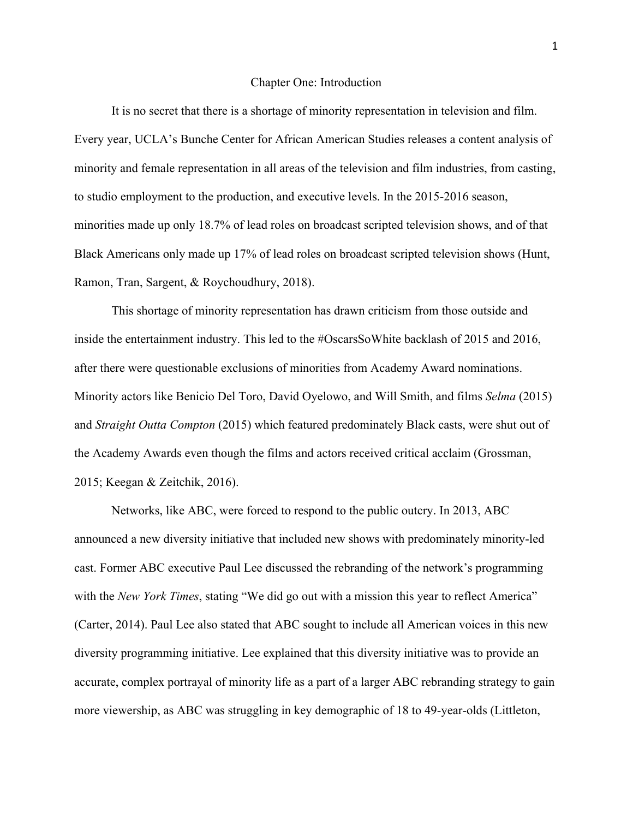#### Chapter One: Introduction

It is no secret that there is a shortage of minority representation in television and film. Every year, UCLA's Bunche Center for African American Studies releases a content analysis of minority and female representation in all areas of the television and film industries, from casting, to studio employment to the production, and executive levels. In the 2015-2016 season, minorities made up only 18.7% of lead roles on broadcast scripted television shows, and of that Black Americans only made up 17% of lead roles on broadcast scripted television shows (Hunt, Ramon, Tran, Sargent, & Roychoudhury, 2018).

This shortage of minority representation has drawn criticism from those outside and inside the entertainment industry. This led to the #OscarsSoWhite backlash of 2015 and 2016, after there were questionable exclusions of minorities from Academy Award nominations. Minority actors like Benicio Del Toro, David Oyelowo, and Will Smith, and films *Selma* (2015) and *Straight Outta Compton* (2015) which featured predominately Black casts, were shut out of the Academy Awards even though the films and actors received critical acclaim (Grossman, 2015; Keegan & Zeitchik, 2016).

Networks, like ABC, were forced to respond to the public outcry. In 2013, ABC announced a new diversity initiative that included new shows with predominately minority-led cast. Former ABC executive Paul Lee discussed the rebranding of the network's programming with the *New York Times*, stating "We did go out with a mission this year to reflect America" (Carter, 2014). Paul Lee also stated that ABC sought to include all American voices in this new diversity programming initiative. Lee explained that this diversity initiative was to provide an accurate, complex portrayal of minority life as a part of a larger ABC rebranding strategy to gain more viewership, as ABC was struggling in key demographic of 18 to 49-year-olds (Littleton,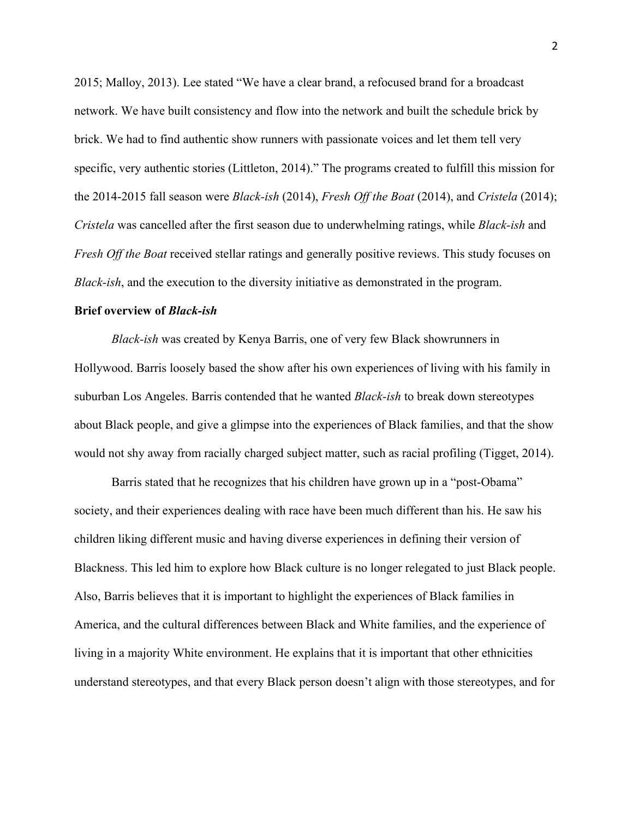2015; Malloy, 2013). Lee stated "We have a clear brand, a refocused brand for a broadcast network. We have built consistency and flow into the network and built the schedule brick by brick. We had to find authentic show runners with passionate voices and let them tell very specific, very authentic stories (Littleton, 2014)." The programs created to fulfill this mission for the 2014-2015 fall season were *Black-ish* (2014), *Fresh Off the Boat* (2014), and *Cristela* (2014); *Cristela* was cancelled after the first season due to underwhelming ratings, while *Black-ish* and *Fresh Off the Boat* received stellar ratings and generally positive reviews. This study focuses on *Black-ish*, and the execution to the diversity initiative as demonstrated in the program.

#### **Brief overview of** *Black-ish*

*Black-ish* was created by Kenya Barris, one of very few Black showrunners in Hollywood. Barris loosely based the show after his own experiences of living with his family in suburban Los Angeles. Barris contended that he wanted *Black-ish* to break down stereotypes about Black people, and give a glimpse into the experiences of Black families, and that the show would not shy away from racially charged subject matter, such as racial profiling (Tigget, 2014).

Barris stated that he recognizes that his children have grown up in a "post-Obama" society, and their experiences dealing with race have been much different than his. He saw his children liking different music and having diverse experiences in defining their version of Blackness. This led him to explore how Black culture is no longer relegated to just Black people. Also, Barris believes that it is important to highlight the experiences of Black families in America, and the cultural differences between Black and White families, and the experience of living in a majority White environment. He explains that it is important that other ethnicities understand stereotypes, and that every Black person doesn't align with those stereotypes, and for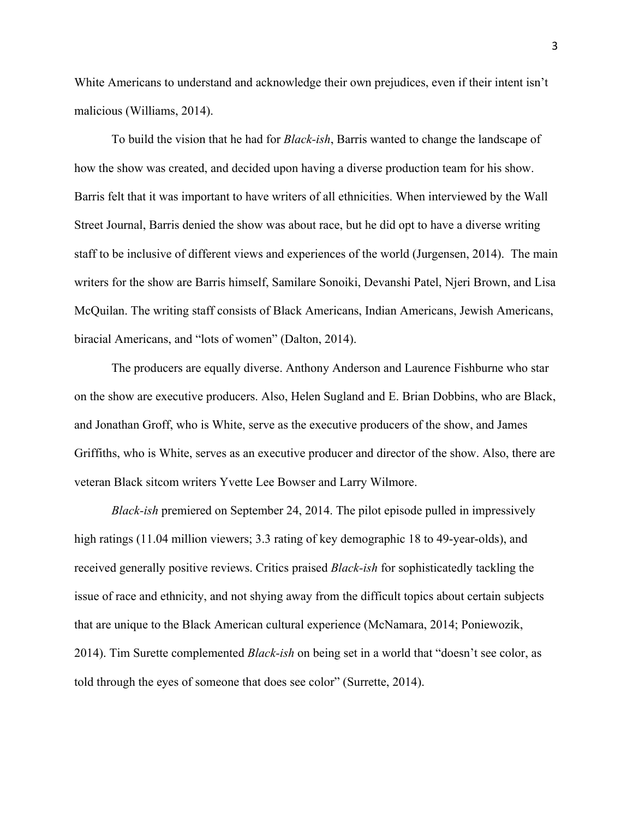White Americans to understand and acknowledge their own prejudices, even if their intent isn't malicious (Williams, 2014).

To build the vision that he had for *Black-ish*, Barris wanted to change the landscape of how the show was created, and decided upon having a diverse production team for his show. Barris felt that it was important to have writers of all ethnicities. When interviewed by the Wall Street Journal, Barris denied the show was about race, but he did opt to have a diverse writing staff to be inclusive of different views and experiences of the world (Jurgensen, 2014). The main writers for the show are Barris himself, Samilare Sonoiki, Devanshi Patel, Njeri Brown, and Lisa McQuilan. The writing staff consists of Black Americans, Indian Americans, Jewish Americans, biracial Americans, and "lots of women" (Dalton, 2014).

The producers are equally diverse. Anthony Anderson and Laurence Fishburne who star on the show are executive producers. Also, Helen Sugland and E. Brian Dobbins, who are Black, and Jonathan Groff, who is White, serve as the executive producers of the show, and James Griffiths, who is White, serves as an executive producer and director of the show. Also, there are veteran Black sitcom writers Yvette Lee Bowser and Larry Wilmore.

*Black-ish* premiered on September 24, 2014. The pilot episode pulled in impressively high ratings (11.04 million viewers; 3.3 rating of key demographic 18 to 49-year-olds), and received generally positive reviews. Critics praised *Black-ish* for sophisticatedly tackling the issue of race and ethnicity, and not shying away from the difficult topics about certain subjects that are unique to the Black American cultural experience (McNamara, 2014; Poniewozik, 2014). Tim Surette complemented *Black-ish* on being set in a world that "doesn't see color, as told through the eyes of someone that does see color" (Surrette, 2014).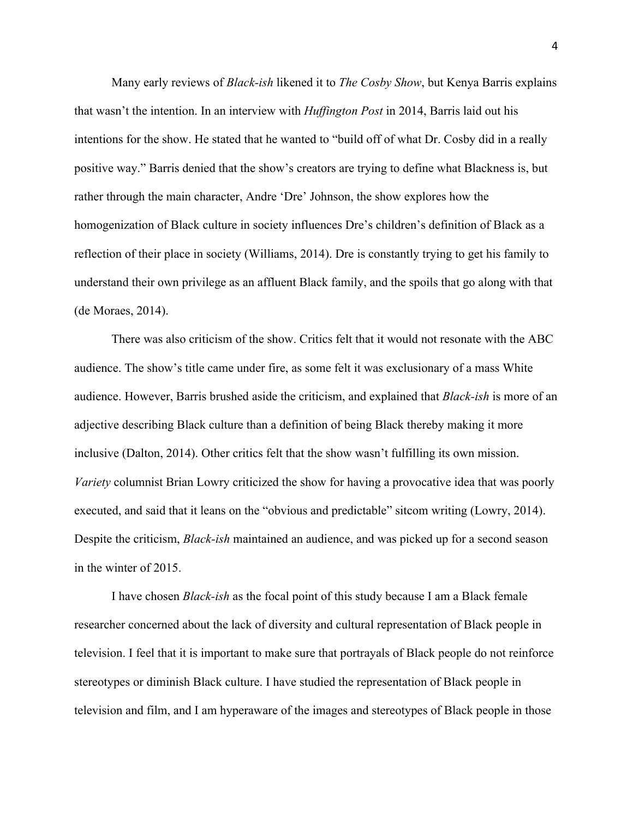Many early reviews of *Black-ish* likened it to *The Cosby Show*, but Kenya Barris explains that wasn't the intention. In an interview with *Huffington Post* in 2014, Barris laid out his intentions for the show. He stated that he wanted to "build off of what Dr. Cosby did in a really positive way." Barris denied that the show's creators are trying to define what Blackness is, but rather through the main character, Andre 'Dre' Johnson, the show explores how the homogenization of Black culture in society influences Dre's children's definition of Black as a reflection of their place in society (Williams, 2014). Dre is constantly trying to get his family to understand their own privilege as an affluent Black family, and the spoils that go along with that (de Moraes, 2014).

There was also criticism of the show. Critics felt that it would not resonate with the ABC audience. The show's title came under fire, as some felt it was exclusionary of a mass White audience. However, Barris brushed aside the criticism, and explained that *Black-ish* is more of an adjective describing Black culture than a definition of being Black thereby making it more inclusive (Dalton, 2014). Other critics felt that the show wasn't fulfilling its own mission. *Variety* columnist Brian Lowry criticized the show for having a provocative idea that was poorly executed, and said that it leans on the "obvious and predictable" sitcom writing (Lowry, 2014). Despite the criticism, *Black-ish* maintained an audience, and was picked up for a second season in the winter of 2015.

I have chosen *Black-ish* as the focal point of this study because I am a Black female researcher concerned about the lack of diversity and cultural representation of Black people in television. I feel that it is important to make sure that portrayals of Black people do not reinforce stereotypes or diminish Black culture. I have studied the representation of Black people in television and film, and I am hyperaware of the images and stereotypes of Black people in those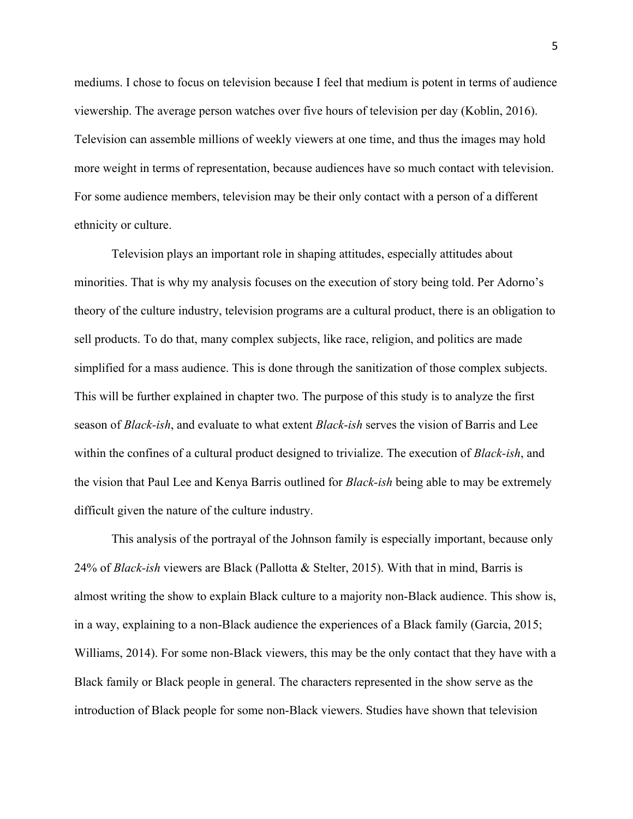mediums. I chose to focus on television because I feel that medium is potent in terms of audience viewership. The average person watches over five hours of television per day (Koblin, 2016). Television can assemble millions of weekly viewers at one time, and thus the images may hold more weight in terms of representation, because audiences have so much contact with television. For some audience members, television may be their only contact with a person of a different ethnicity or culture.

Television plays an important role in shaping attitudes, especially attitudes about minorities. That is why my analysis focuses on the execution of story being told. Per Adorno's theory of the culture industry, television programs are a cultural product, there is an obligation to sell products. To do that, many complex subjects, like race, religion, and politics are made simplified for a mass audience. This is done through the sanitization of those complex subjects. This will be further explained in chapter two. The purpose of this study is to analyze the first season of *Black-ish*, and evaluate to what extent *Black-ish* serves the vision of Barris and Lee within the confines of a cultural product designed to trivialize. The execution of *Black-ish*, and the vision that Paul Lee and Kenya Barris outlined for *Black-ish* being able to may be extremely difficult given the nature of the culture industry.

This analysis of the portrayal of the Johnson family is especially important, because only 24% of *Black-ish* viewers are Black (Pallotta & Stelter, 2015). With that in mind, Barris is almost writing the show to explain Black culture to a majority non-Black audience. This show is, in a way, explaining to a non-Black audience the experiences of a Black family (Garcia, 2015; Williams, 2014). For some non-Black viewers, this may be the only contact that they have with a Black family or Black people in general. The characters represented in the show serve as the introduction of Black people for some non-Black viewers. Studies have shown that television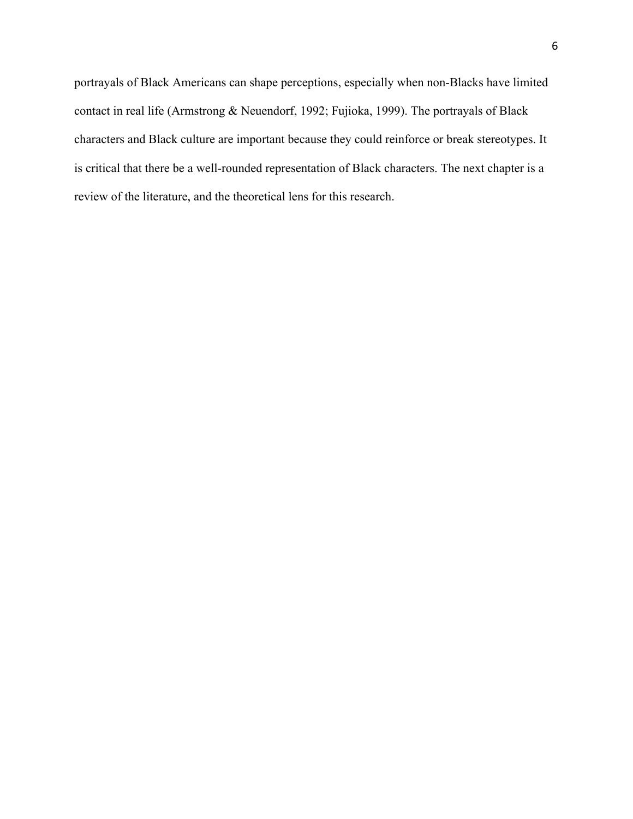portrayals of Black Americans can shape perceptions, especially when non-Blacks have limited contact in real life (Armstrong & Neuendorf, 1992; Fujioka, 1999). The portrayals of Black characters and Black culture are important because they could reinforce or break stereotypes. It is critical that there be a well-rounded representation of Black characters. The next chapter is a review of the literature, and the theoretical lens for this research.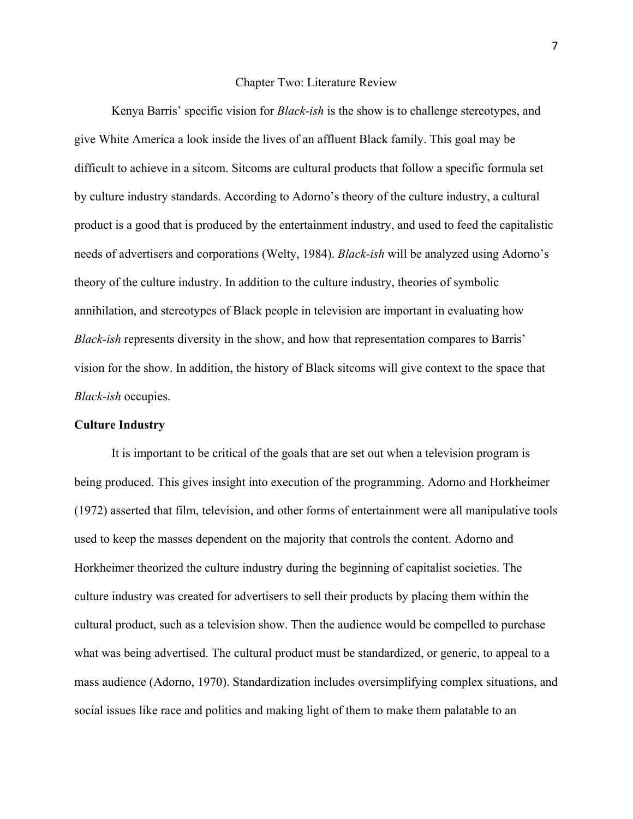#### Chapter Two: Literature Review

Kenya Barris' specific vision for *Black-ish* is the show is to challenge stereotypes, and give White America a look inside the lives of an affluent Black family. This goal may be difficult to achieve in a sitcom. Sitcoms are cultural products that follow a specific formula set by culture industry standards. According to Adorno's theory of the culture industry, a cultural product is a good that is produced by the entertainment industry, and used to feed the capitalistic needs of advertisers and corporations (Welty, 1984). *Black-ish* will be analyzed using Adorno's theory of the culture industry. In addition to the culture industry, theories of symbolic annihilation, and stereotypes of Black people in television are important in evaluating how *Black-ish* represents diversity in the show, and how that representation compares to Barris' vision for the show. In addition, the history of Black sitcoms will give context to the space that *Black-ish* occupies.

### **Culture Industry**

It is important to be critical of the goals that are set out when a television program is being produced. This gives insight into execution of the programming. Adorno and Horkheimer (1972) asserted that film, television, and other forms of entertainment were all manipulative tools used to keep the masses dependent on the majority that controls the content. Adorno and Horkheimer theorized the culture industry during the beginning of capitalist societies. The culture industry was created for advertisers to sell their products by placing them within the cultural product, such as a television show. Then the audience would be compelled to purchase what was being advertised. The cultural product must be standardized, or generic, to appeal to a mass audience (Adorno, 1970). Standardization includes oversimplifying complex situations, and social issues like race and politics and making light of them to make them palatable to an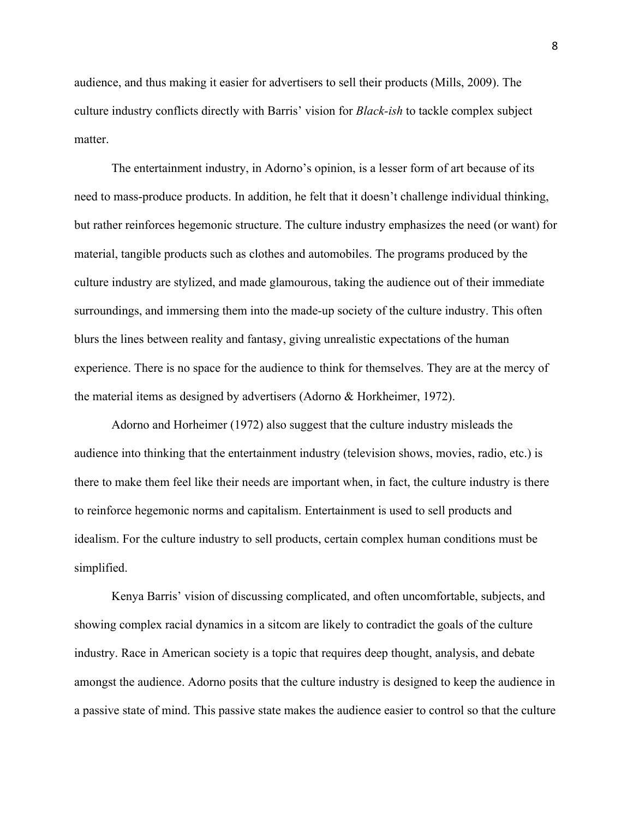audience, and thus making it easier for advertisers to sell their products (Mills, 2009). The culture industry conflicts directly with Barris' vision for *Black-ish* to tackle complex subject matter

The entertainment industry, in Adorno's opinion, is a lesser form of art because of its need to mass-produce products. In addition, he felt that it doesn't challenge individual thinking, but rather reinforces hegemonic structure. The culture industry emphasizes the need (or want) for material, tangible products such as clothes and automobiles. The programs produced by the culture industry are stylized, and made glamourous, taking the audience out of their immediate surroundings, and immersing them into the made-up society of the culture industry. This often blurs the lines between reality and fantasy, giving unrealistic expectations of the human experience. There is no space for the audience to think for themselves. They are at the mercy of the material items as designed by advertisers (Adorno & Horkheimer, 1972).

Adorno and Horheimer (1972) also suggest that the culture industry misleads the audience into thinking that the entertainment industry (television shows, movies, radio, etc.) is there to make them feel like their needs are important when, in fact, the culture industry is there to reinforce hegemonic norms and capitalism. Entertainment is used to sell products and idealism. For the culture industry to sell products, certain complex human conditions must be simplified.

Kenya Barris' vision of discussing complicated, and often uncomfortable, subjects, and showing complex racial dynamics in a sitcom are likely to contradict the goals of the culture industry. Race in American society is a topic that requires deep thought, analysis, and debate amongst the audience. Adorno posits that the culture industry is designed to keep the audience in a passive state of mind. This passive state makes the audience easier to control so that the culture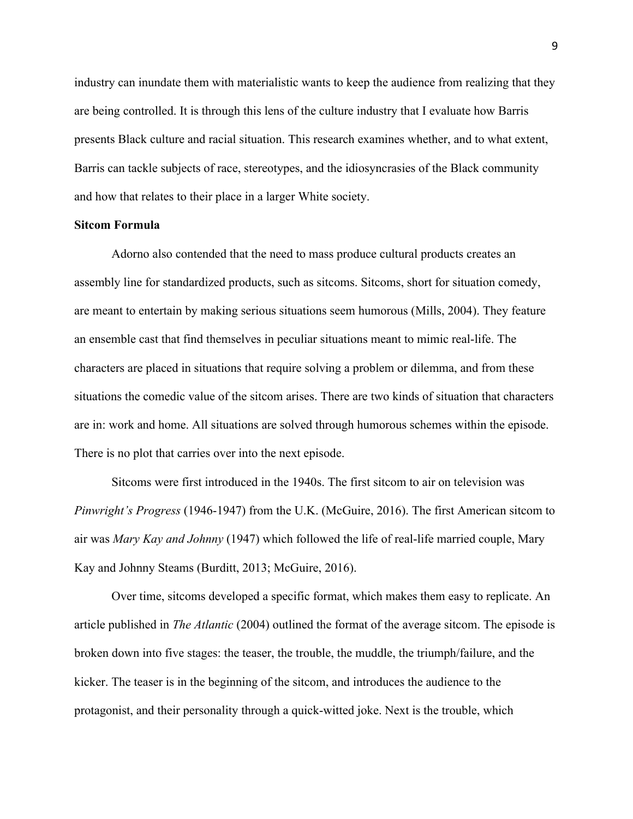industry can inundate them with materialistic wants to keep the audience from realizing that they are being controlled. It is through this lens of the culture industry that I evaluate how Barris presents Black culture and racial situation. This research examines whether, and to what extent, Barris can tackle subjects of race, stereotypes, and the idiosyncrasies of the Black community and how that relates to their place in a larger White society.

#### **Sitcom Formula**

Adorno also contended that the need to mass produce cultural products creates an assembly line for standardized products, such as sitcoms. Sitcoms, short for situation comedy, are meant to entertain by making serious situations seem humorous (Mills, 2004). They feature an ensemble cast that find themselves in peculiar situations meant to mimic real-life. The characters are placed in situations that require solving a problem or dilemma, and from these situations the comedic value of the sitcom arises. There are two kinds of situation that characters are in: work and home. All situations are solved through humorous schemes within the episode. There is no plot that carries over into the next episode.

Sitcoms were first introduced in the 1940s. The first sitcom to air on television was *Pinwright's Progress* (1946-1947) from the U.K. (McGuire, 2016). The first American sitcom to air was *Mary Kay and Johnny* (1947) which followed the life of real-life married couple, Mary Kay and Johnny Steams (Burditt, 2013; McGuire, 2016).

Over time, sitcoms developed a specific format, which makes them easy to replicate. An article published in *The Atlantic* (2004) outlined the format of the average sitcom. The episode is broken down into five stages: the teaser, the trouble, the muddle, the triumph/failure, and the kicker. The teaser is in the beginning of the sitcom, and introduces the audience to the protagonist, and their personality through a quick-witted joke. Next is the trouble, which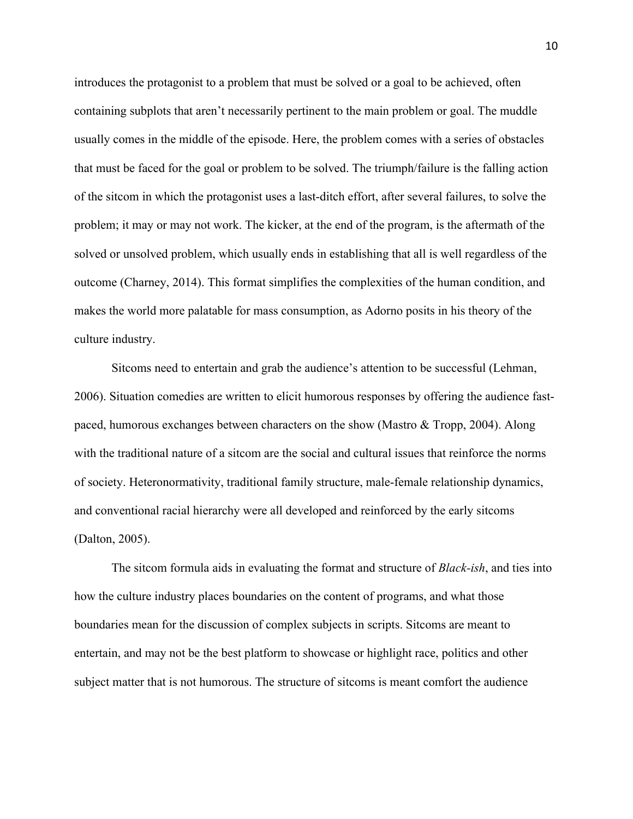introduces the protagonist to a problem that must be solved or a goal to be achieved, often containing subplots that aren't necessarily pertinent to the main problem or goal. The muddle usually comes in the middle of the episode. Here, the problem comes with a series of obstacles that must be faced for the goal or problem to be solved. The triumph/failure is the falling action of the sitcom in which the protagonist uses a last-ditch effort, after several failures, to solve the problem; it may or may not work. The kicker, at the end of the program, is the aftermath of the solved or unsolved problem, which usually ends in establishing that all is well regardless of the outcome (Charney, 2014). This format simplifies the complexities of the human condition, and makes the world more palatable for mass consumption, as Adorno posits in his theory of the culture industry.

Sitcoms need to entertain and grab the audience's attention to be successful (Lehman, 2006). Situation comedies are written to elicit humorous responses by offering the audience fastpaced, humorous exchanges between characters on the show (Mastro & Tropp, 2004). Along with the traditional nature of a sitcom are the social and cultural issues that reinforce the norms of society. Heteronormativity, traditional family structure, male-female relationship dynamics, and conventional racial hierarchy were all developed and reinforced by the early sitcoms (Dalton, 2005).

The sitcom formula aids in evaluating the format and structure of *Black-ish*, and ties into how the culture industry places boundaries on the content of programs, and what those boundaries mean for the discussion of complex subjects in scripts. Sitcoms are meant to entertain, and may not be the best platform to showcase or highlight race, politics and other subject matter that is not humorous. The structure of sitcoms is meant comfort the audience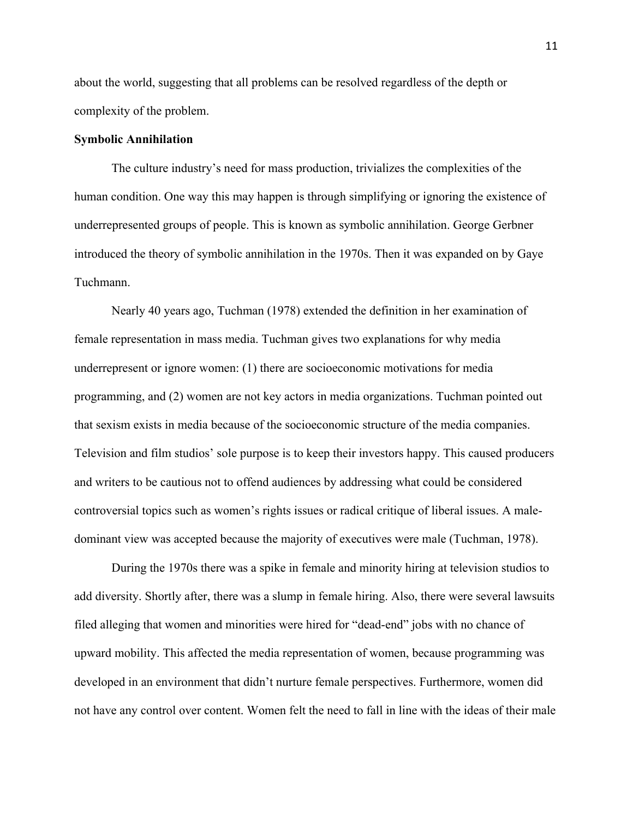about the world, suggesting that all problems can be resolved regardless of the depth or complexity of the problem.

## **Symbolic Annihilation**

The culture industry's need for mass production, trivializes the complexities of the human condition. One way this may happen is through simplifying or ignoring the existence of underrepresented groups of people. This is known as symbolic annihilation. George Gerbner introduced the theory of symbolic annihilation in the 1970s. Then it was expanded on by Gaye Tuchmann.

Nearly 40 years ago, Tuchman (1978) extended the definition in her examination of female representation in mass media. Tuchman gives two explanations for why media underrepresent or ignore women: (1) there are socioeconomic motivations for media programming, and (2) women are not key actors in media organizations. Tuchman pointed out that sexism exists in media because of the socioeconomic structure of the media companies. Television and film studios' sole purpose is to keep their investors happy. This caused producers and writers to be cautious not to offend audiences by addressing what could be considered controversial topics such as women's rights issues or radical critique of liberal issues. A maledominant view was accepted because the majority of executives were male (Tuchman, 1978).

During the 1970s there was a spike in female and minority hiring at television studios to add diversity. Shortly after, there was a slump in female hiring. Also, there were several lawsuits filed alleging that women and minorities were hired for "dead-end" jobs with no chance of upward mobility. This affected the media representation of women, because programming was developed in an environment that didn't nurture female perspectives. Furthermore, women did not have any control over content. Women felt the need to fall in line with the ideas of their male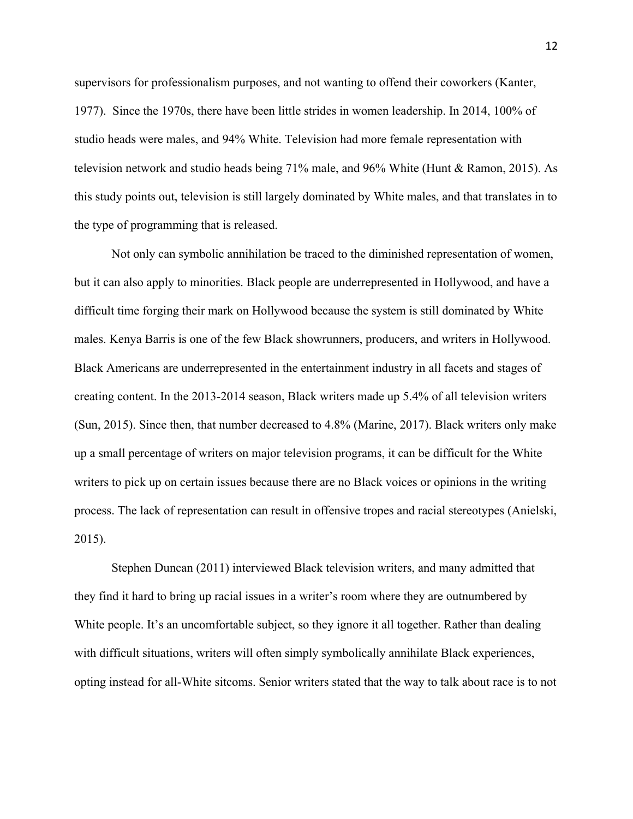supervisors for professionalism purposes, and not wanting to offend their coworkers (Kanter, 1977). Since the 1970s, there have been little strides in women leadership. In 2014, 100% of studio heads were males, and 94% White. Television had more female representation with television network and studio heads being 71% male, and 96% White (Hunt & Ramon, 2015). As this study points out, television is still largely dominated by White males, and that translates in to the type of programming that is released.

Not only can symbolic annihilation be traced to the diminished representation of women, but it can also apply to minorities. Black people are underrepresented in Hollywood, and have a difficult time forging their mark on Hollywood because the system is still dominated by White males. Kenya Barris is one of the few Black showrunners, producers, and writers in Hollywood. Black Americans are underrepresented in the entertainment industry in all facets and stages of creating content. In the 2013-2014 season, Black writers made up 5.4% of all television writers (Sun, 2015). Since then, that number decreased to 4.8% (Marine, 2017). Black writers only make up a small percentage of writers on major television programs, it can be difficult for the White writers to pick up on certain issues because there are no Black voices or opinions in the writing process. The lack of representation can result in offensive tropes and racial stereotypes (Anielski, 2015).

Stephen Duncan (2011) interviewed Black television writers, and many admitted that they find it hard to bring up racial issues in a writer's room where they are outnumbered by White people. It's an uncomfortable subject, so they ignore it all together. Rather than dealing with difficult situations, writers will often simply symbolically annihilate Black experiences, opting instead for all-White sitcoms. Senior writers stated that the way to talk about race is to not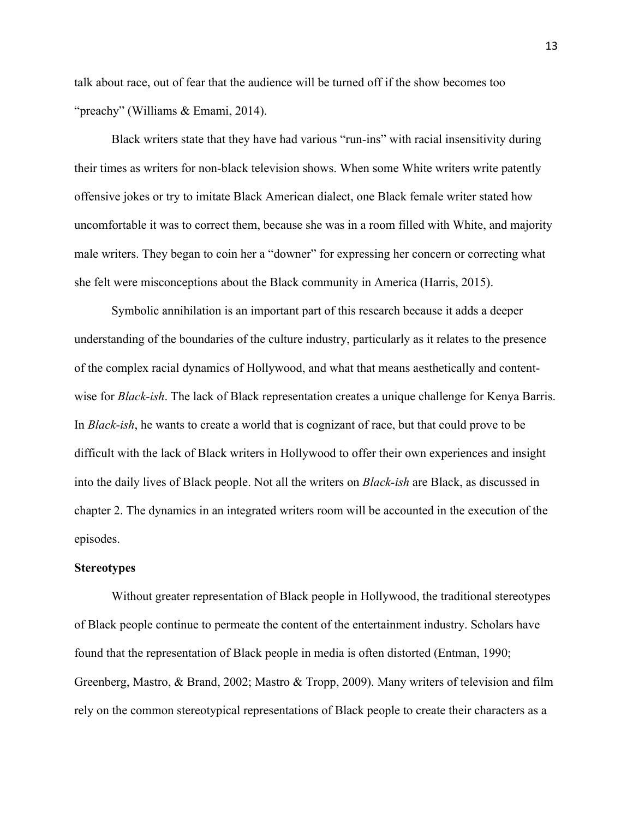talk about race, out of fear that the audience will be turned off if the show becomes too "preachy" (Williams & Emami, 2014).

Black writers state that they have had various "run-ins" with racial insensitivity during their times as writers for non-black television shows. When some White writers write patently offensive jokes or try to imitate Black American dialect, one Black female writer stated how uncomfortable it was to correct them, because she was in a room filled with White, and majority male writers. They began to coin her a "downer" for expressing her concern or correcting what she felt were misconceptions about the Black community in America (Harris, 2015).

Symbolic annihilation is an important part of this research because it adds a deeper understanding of the boundaries of the culture industry, particularly as it relates to the presence of the complex racial dynamics of Hollywood, and what that means aesthetically and contentwise for *Black-ish*. The lack of Black representation creates a unique challenge for Kenya Barris. In *Black-ish*, he wants to create a world that is cognizant of race, but that could prove to be difficult with the lack of Black writers in Hollywood to offer their own experiences and insight into the daily lives of Black people. Not all the writers on *Black-ish* are Black, as discussed in chapter 2. The dynamics in an integrated writers room will be accounted in the execution of the episodes.

#### **Stereotypes**

Without greater representation of Black people in Hollywood, the traditional stereotypes of Black people continue to permeate the content of the entertainment industry. Scholars have found that the representation of Black people in media is often distorted (Entman, 1990; Greenberg, Mastro, & Brand, 2002; Mastro & Tropp, 2009). Many writers of television and film rely on the common stereotypical representations of Black people to create their characters as a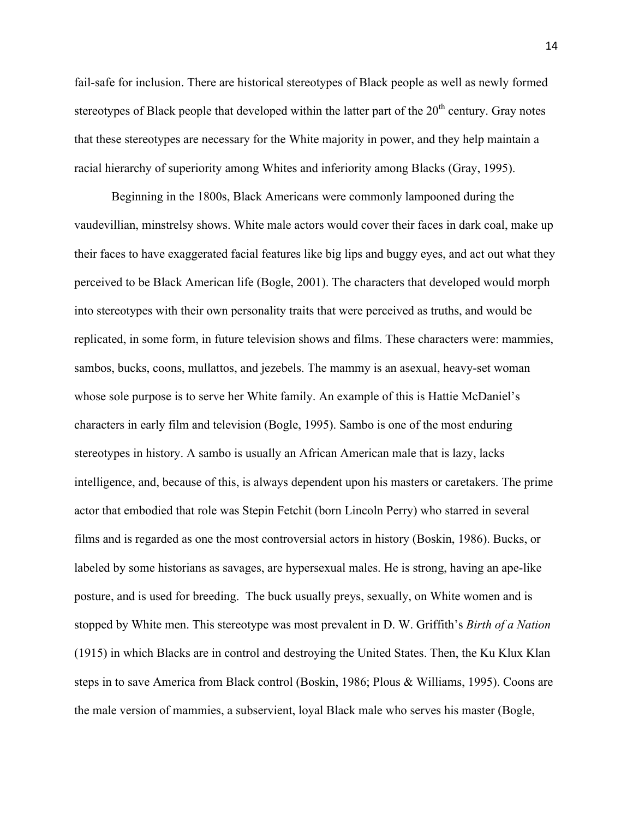fail-safe for inclusion. There are historical stereotypes of Black people as well as newly formed stereotypes of Black people that developed within the latter part of the  $20<sup>th</sup>$  century. Gray notes that these stereotypes are necessary for the White majority in power, and they help maintain a racial hierarchy of superiority among Whites and inferiority among Blacks (Gray, 1995).

Beginning in the 1800s, Black Americans were commonly lampooned during the vaudevillian, minstrelsy shows. White male actors would cover their faces in dark coal, make up their faces to have exaggerated facial features like big lips and buggy eyes, and act out what they perceived to be Black American life (Bogle, 2001). The characters that developed would morph into stereotypes with their own personality traits that were perceived as truths, and would be replicated, in some form, in future television shows and films. These characters were: mammies, sambos, bucks, coons, mullattos, and jezebels. The mammy is an asexual, heavy-set woman whose sole purpose is to serve her White family. An example of this is Hattie McDaniel's characters in early film and television (Bogle, 1995). Sambo is one of the most enduring stereotypes in history. A sambo is usually an African American male that is lazy, lacks intelligence, and, because of this, is always dependent upon his masters or caretakers. The prime actor that embodied that role was Stepin Fetchit (born Lincoln Perry) who starred in several films and is regarded as one the most controversial actors in history (Boskin, 1986). Bucks, or labeled by some historians as savages, are hypersexual males. He is strong, having an ape-like posture, and is used for breeding. The buck usually preys, sexually, on White women and is stopped by White men. This stereotype was most prevalent in D. W. Griffith's *Birth of a Nation* (1915) in which Blacks are in control and destroying the United States. Then, the Ku Klux Klan steps in to save America from Black control (Boskin, 1986; Plous & Williams, 1995). Coons are the male version of mammies, a subservient, loyal Black male who serves his master (Bogle,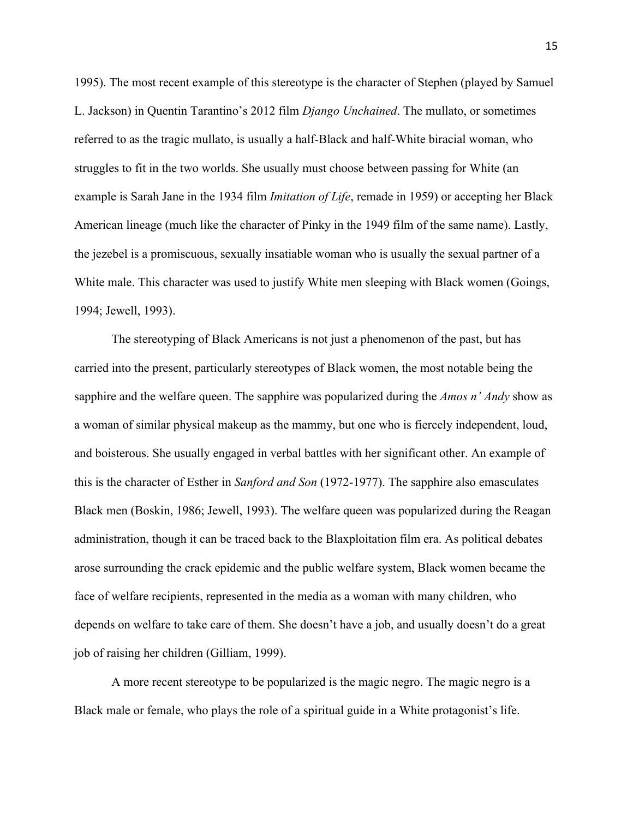1995). The most recent example of this stereotype is the character of Stephen (played by Samuel L. Jackson) in Quentin Tarantino's 2012 film *Django Unchained*. The mullato, or sometimes referred to as the tragic mullato, is usually a half-Black and half-White biracial woman, who struggles to fit in the two worlds. She usually must choose between passing for White (an example is Sarah Jane in the 1934 film *Imitation of Life*, remade in 1959) or accepting her Black American lineage (much like the character of Pinky in the 1949 film of the same name). Lastly, the jezebel is a promiscuous, sexually insatiable woman who is usually the sexual partner of a White male. This character was used to justify White men sleeping with Black women (Goings, 1994; Jewell, 1993).

The stereotyping of Black Americans is not just a phenomenon of the past, but has carried into the present, particularly stereotypes of Black women, the most notable being the sapphire and the welfare queen. The sapphire was popularized during the *Amos n' Andy* show as a woman of similar physical makeup as the mammy, but one who is fiercely independent, loud, and boisterous. She usually engaged in verbal battles with her significant other. An example of this is the character of Esther in *Sanford and Son* (1972-1977). The sapphire also emasculates Black men (Boskin, 1986; Jewell, 1993). The welfare queen was popularized during the Reagan administration, though it can be traced back to the Blaxploitation film era. As political debates arose surrounding the crack epidemic and the public welfare system, Black women became the face of welfare recipients, represented in the media as a woman with many children, who depends on welfare to take care of them. She doesn't have a job, and usually doesn't do a great job of raising her children (Gilliam, 1999).

A more recent stereotype to be popularized is the magic negro. The magic negro is a Black male or female, who plays the role of a spiritual guide in a White protagonist's life.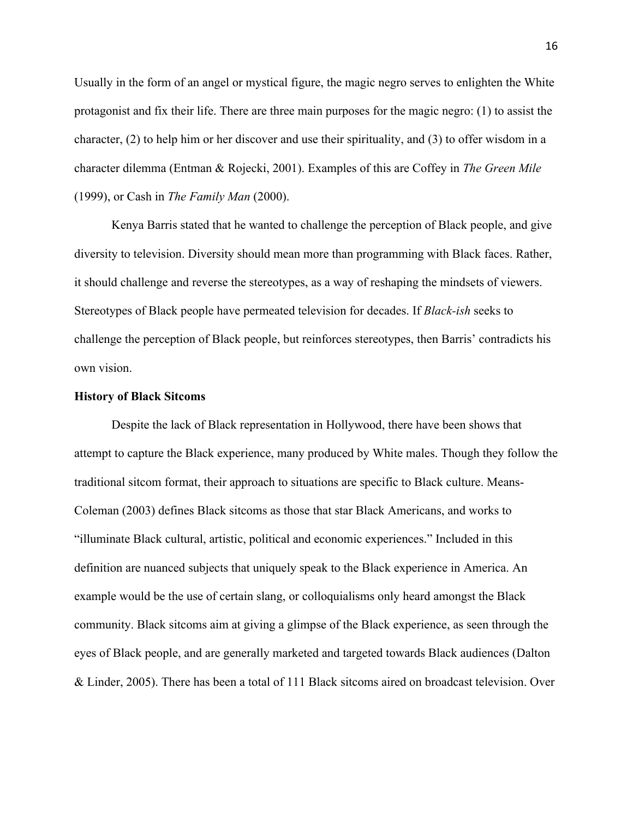Usually in the form of an angel or mystical figure, the magic negro serves to enlighten the White protagonist and fix their life. There are three main purposes for the magic negro: (1) to assist the character, (2) to help him or her discover and use their spirituality, and (3) to offer wisdom in a character dilemma (Entman & Rojecki, 2001). Examples of this are Coffey in *The Green Mile* (1999), or Cash in *The Family Man* (2000).

Kenya Barris stated that he wanted to challenge the perception of Black people, and give diversity to television. Diversity should mean more than programming with Black faces. Rather, it should challenge and reverse the stereotypes, as a way of reshaping the mindsets of viewers. Stereotypes of Black people have permeated television for decades. If *Black-ish* seeks to challenge the perception of Black people, but reinforces stereotypes, then Barris' contradicts his own vision.

#### **History of Black Sitcoms**

Despite the lack of Black representation in Hollywood, there have been shows that attempt to capture the Black experience, many produced by White males. Though they follow the traditional sitcom format, their approach to situations are specific to Black culture. Means-Coleman (2003) defines Black sitcoms as those that star Black Americans, and works to "illuminate Black cultural, artistic, political and economic experiences." Included in this definition are nuanced subjects that uniquely speak to the Black experience in America. An example would be the use of certain slang, or colloquialisms only heard amongst the Black community. Black sitcoms aim at giving a glimpse of the Black experience, as seen through the eyes of Black people, and are generally marketed and targeted towards Black audiences (Dalton & Linder, 2005). There has been a total of 111 Black sitcoms aired on broadcast television. Over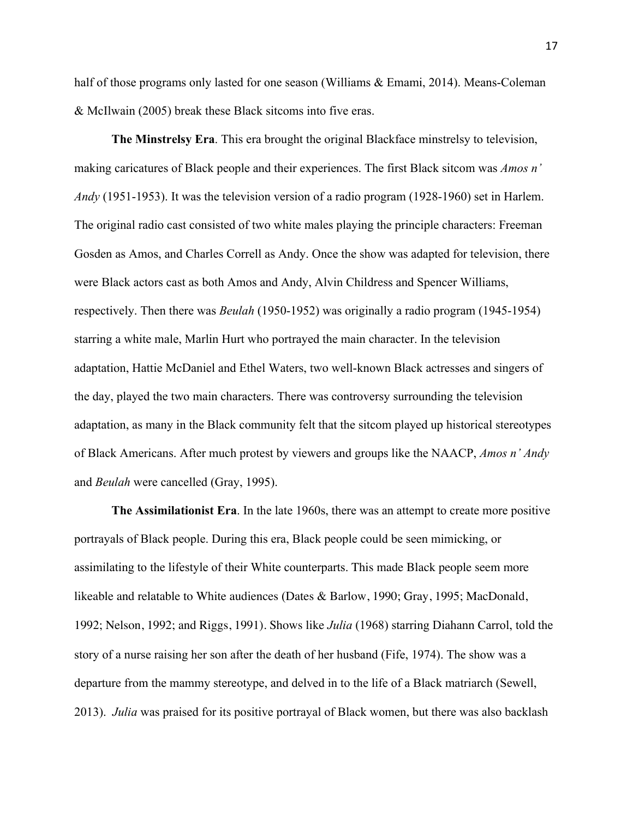half of those programs only lasted for one season (Williams & Emami, 2014). Means-Coleman & McIlwain (2005) break these Black sitcoms into five eras.

**The Minstrelsy Era**. This era brought the original Blackface minstrelsy to television, making caricatures of Black people and their experiences. The first Black sitcom was *Amos n' Andy* (1951-1953). It was the television version of a radio program (1928-1960) set in Harlem. The original radio cast consisted of two white males playing the principle characters: Freeman Gosden as Amos, and Charles Correll as Andy. Once the show was adapted for television, there were Black actors cast as both Amos and Andy, Alvin Childress and Spencer Williams, respectively. Then there was *Beulah* (1950-1952) was originally a radio program (1945-1954) starring a white male, Marlin Hurt who portrayed the main character. In the television adaptation, Hattie McDaniel and Ethel Waters, two well-known Black actresses and singers of the day, played the two main characters. There was controversy surrounding the television adaptation, as many in the Black community felt that the sitcom played up historical stereotypes of Black Americans. After much protest by viewers and groups like the NAACP, *Amos n' Andy* and *Beulah* were cancelled (Gray, 1995).

**The Assimilationist Era**. In the late 1960s, there was an attempt to create more positive portrayals of Black people. During this era, Black people could be seen mimicking, or assimilating to the lifestyle of their White counterparts. This made Black people seem more likeable and relatable to White audiences (Dates & Barlow, 1990; Gray, 1995; MacDonald, 1992; Nelson, 1992; and Riggs, 1991). Shows like *Julia* (1968) starring Diahann Carrol, told the story of a nurse raising her son after the death of her husband (Fife, 1974). The show was a departure from the mammy stereotype, and delved in to the life of a Black matriarch (Sewell, 2013). *Julia* was praised for its positive portrayal of Black women, but there was also backlash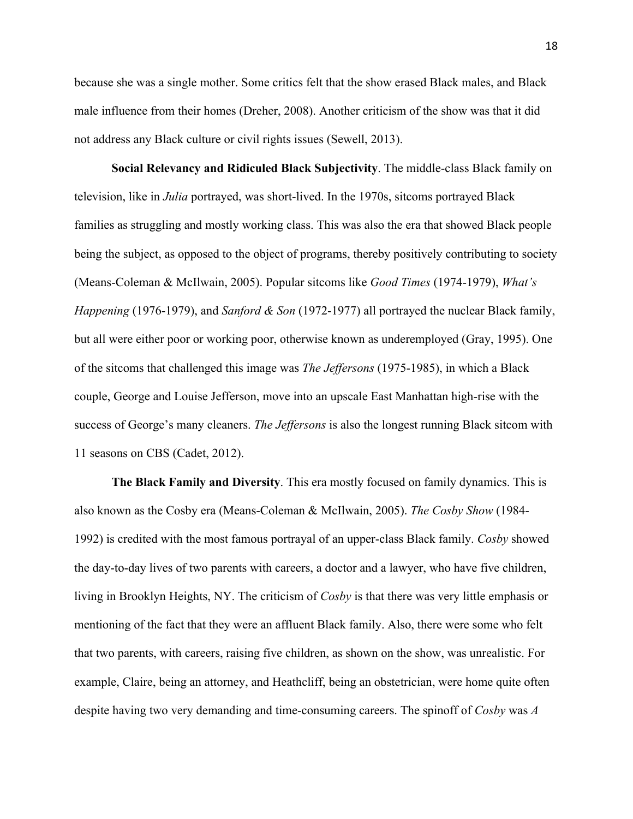because she was a single mother. Some critics felt that the show erased Black males, and Black male influence from their homes (Dreher, 2008). Another criticism of the show was that it did not address any Black culture or civil rights issues (Sewell, 2013).

**Social Relevancy and Ridiculed Black Subjectivity**. The middle-class Black family on television, like in *Julia* portrayed, was short-lived. In the 1970s, sitcoms portrayed Black families as struggling and mostly working class. This was also the era that showed Black people being the subject, as opposed to the object of programs, thereby positively contributing to society (Means-Coleman & McIlwain, 2005). Popular sitcoms like *Good Times* (1974-1979), *What's Happening* (1976-1979), and *Sanford & Son* (1972-1977) all portrayed the nuclear Black family, but all were either poor or working poor, otherwise known as underemployed (Gray, 1995). One of the sitcoms that challenged this image was *The Jeffersons* (1975-1985), in which a Black couple, George and Louise Jefferson, move into an upscale East Manhattan high-rise with the success of George's many cleaners. *The Jeffersons* is also the longest running Black sitcom with 11 seasons on CBS (Cadet, 2012).

**The Black Family and Diversity**. This era mostly focused on family dynamics. This is also known as the Cosby era (Means-Coleman & McIlwain, 2005). *The Cosby Show* (1984- 1992) is credited with the most famous portrayal of an upper-class Black family. *Cosby* showed the day-to-day lives of two parents with careers, a doctor and a lawyer, who have five children, living in Brooklyn Heights, NY. The criticism of *Cosby* is that there was very little emphasis or mentioning of the fact that they were an affluent Black family. Also, there were some who felt that two parents, with careers, raising five children, as shown on the show, was unrealistic. For example, Claire, being an attorney, and Heathcliff, being an obstetrician, were home quite often despite having two very demanding and time-consuming careers. The spinoff of *Cosby* was *A*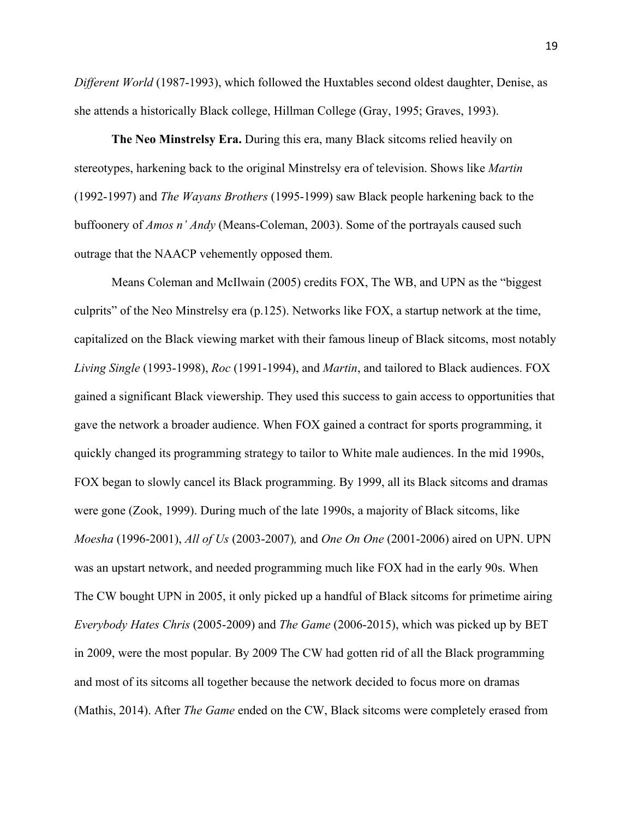*Different World* (1987-1993), which followed the Huxtables second oldest daughter, Denise, as she attends a historically Black college, Hillman College (Gray, 1995; Graves, 1993).

**The Neo Minstrelsy Era.** During this era, many Black sitcoms relied heavily on stereotypes, harkening back to the original Minstrelsy era of television. Shows like *Martin* (1992-1997) and *The Wayans Brothers* (1995-1999) saw Black people harkening back to the buffoonery of *Amos n' Andy* (Means-Coleman, 2003). Some of the portrayals caused such outrage that the NAACP vehemently opposed them.

Means Coleman and McIlwain (2005) credits FOX, The WB, and UPN as the "biggest culprits" of the Neo Minstrelsy era (p.125). Networks like FOX, a startup network at the time, capitalized on the Black viewing market with their famous lineup of Black sitcoms, most notably *Living Single* (1993-1998), *Roc* (1991-1994), and *Martin*, and tailored to Black audiences. FOX gained a significant Black viewership. They used this success to gain access to opportunities that gave the network a broader audience. When FOX gained a contract for sports programming, it quickly changed its programming strategy to tailor to White male audiences. In the mid 1990s, FOX began to slowly cancel its Black programming. By 1999, all its Black sitcoms and dramas were gone (Zook, 1999). During much of the late 1990s, a majority of Black sitcoms, like *Moesha* (1996-2001), *All of Us* (2003-2007)*,* and *One On One* (2001-2006) aired on UPN. UPN was an upstart network, and needed programming much like FOX had in the early 90s. When The CW bought UPN in 2005, it only picked up a handful of Black sitcoms for primetime airing *Everybody Hates Chris* (2005-2009) and *The Game* (2006-2015), which was picked up by BET in 2009, were the most popular. By 2009 The CW had gotten rid of all the Black programming and most of its sitcoms all together because the network decided to focus more on dramas (Mathis, 2014). After *The Game* ended on the CW, Black sitcoms were completely erased from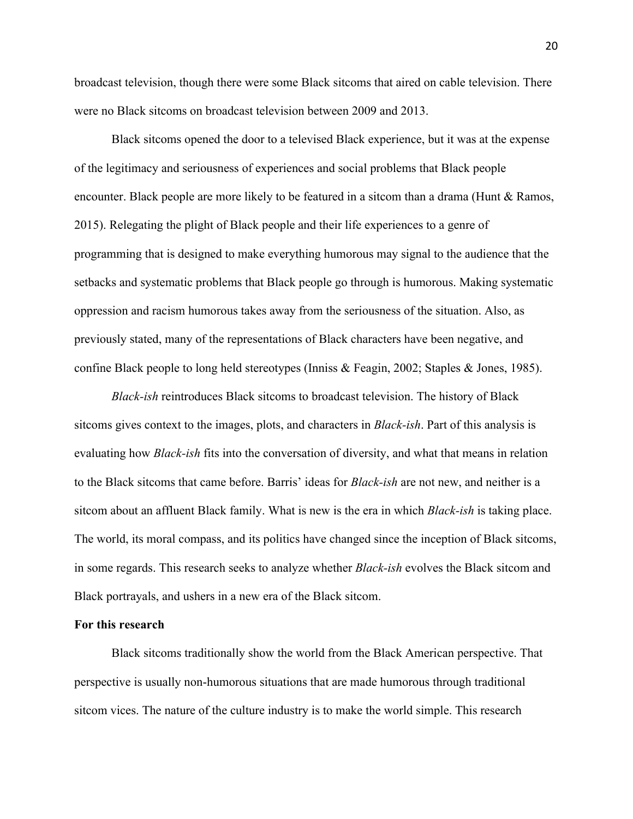broadcast television, though there were some Black sitcoms that aired on cable television. There were no Black sitcoms on broadcast television between 2009 and 2013.

Black sitcoms opened the door to a televised Black experience, but it was at the expense of the legitimacy and seriousness of experiences and social problems that Black people encounter. Black people are more likely to be featured in a sitcom than a drama (Hunt  $\&$  Ramos, 2015). Relegating the plight of Black people and their life experiences to a genre of programming that is designed to make everything humorous may signal to the audience that the setbacks and systematic problems that Black people go through is humorous. Making systematic oppression and racism humorous takes away from the seriousness of the situation. Also, as previously stated, many of the representations of Black characters have been negative, and confine Black people to long held stereotypes (Inniss & Feagin, 2002; Staples & Jones, 1985).

*Black-ish* reintroduces Black sitcoms to broadcast television. The history of Black sitcoms gives context to the images, plots, and characters in *Black-ish*. Part of this analysis is evaluating how *Black-ish* fits into the conversation of diversity, and what that means in relation to the Black sitcoms that came before. Barris' ideas for *Black-ish* are not new, and neither is a sitcom about an affluent Black family. What is new is the era in which *Black-ish* is taking place. The world, its moral compass, and its politics have changed since the inception of Black sitcoms, in some regards. This research seeks to analyze whether *Black-ish* evolves the Black sitcom and Black portrayals, and ushers in a new era of the Black sitcom.

#### **For this research**

Black sitcoms traditionally show the world from the Black American perspective. That perspective is usually non-humorous situations that are made humorous through traditional sitcom vices. The nature of the culture industry is to make the world simple. This research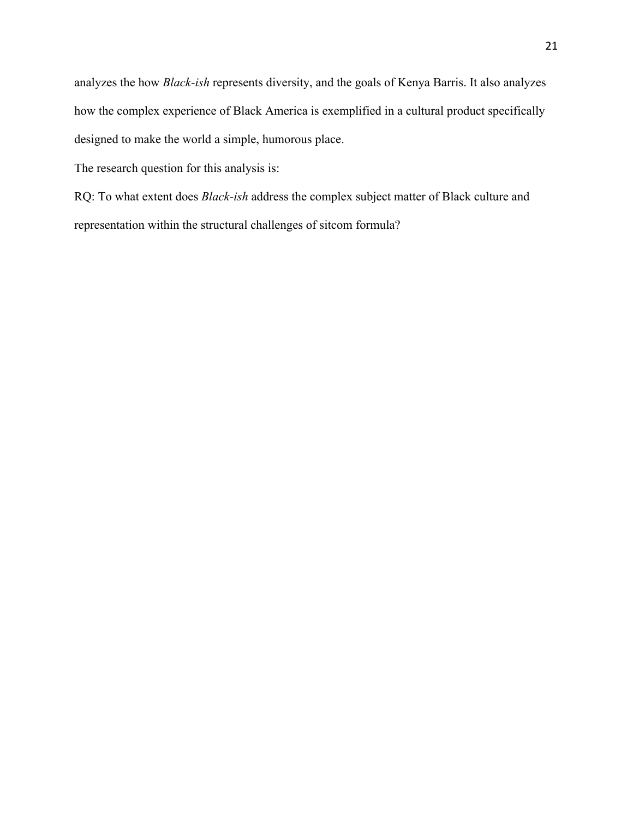analyzes the how *Black-ish* represents diversity, and the goals of Kenya Barris. It also analyzes how the complex experience of Black America is exemplified in a cultural product specifically designed to make the world a simple, humorous place.

The research question for this analysis is:

RQ: To what extent does *Black-ish* address the complex subject matter of Black culture and representation within the structural challenges of sitcom formula?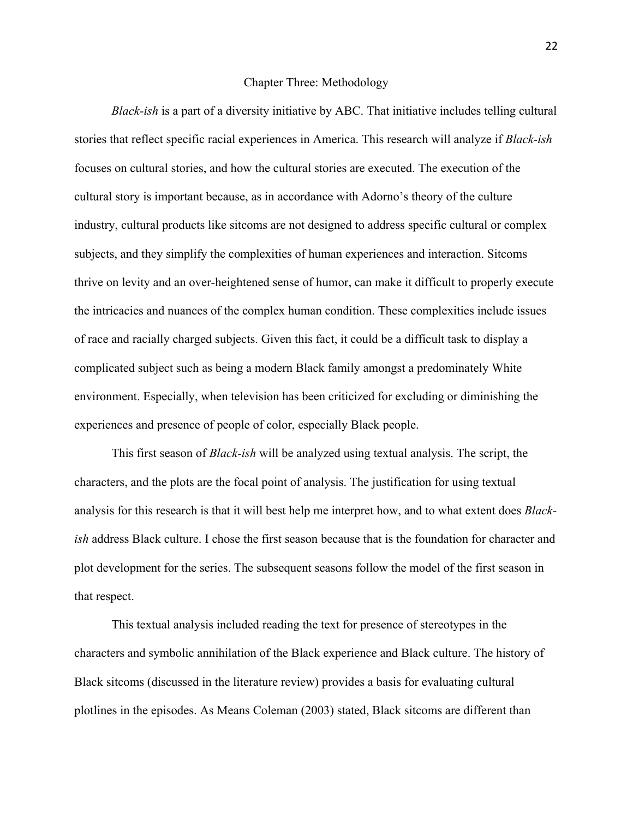#### Chapter Three: Methodology

*Black-ish* is a part of a diversity initiative by ABC. That initiative includes telling cultural stories that reflect specific racial experiences in America. This research will analyze if *Black-ish* focuses on cultural stories, and how the cultural stories are executed. The execution of the cultural story is important because, as in accordance with Adorno's theory of the culture industry, cultural products like sitcoms are not designed to address specific cultural or complex subjects, and they simplify the complexities of human experiences and interaction. Sitcoms thrive on levity and an over-heightened sense of humor, can make it difficult to properly execute the intricacies and nuances of the complex human condition. These complexities include issues of race and racially charged subjects. Given this fact, it could be a difficult task to display a complicated subject such as being a modern Black family amongst a predominately White environment. Especially, when television has been criticized for excluding or diminishing the experiences and presence of people of color, especially Black people.

This first season of *Black-ish* will be analyzed using textual analysis. The script, the characters, and the plots are the focal point of analysis. The justification for using textual analysis for this research is that it will best help me interpret how, and to what extent does *Blackish* address Black culture. I chose the first season because that is the foundation for character and plot development for the series. The subsequent seasons follow the model of the first season in that respect.

This textual analysis included reading the text for presence of stereotypes in the characters and symbolic annihilation of the Black experience and Black culture. The history of Black sitcoms (discussed in the literature review) provides a basis for evaluating cultural plotlines in the episodes. As Means Coleman (2003) stated, Black sitcoms are different than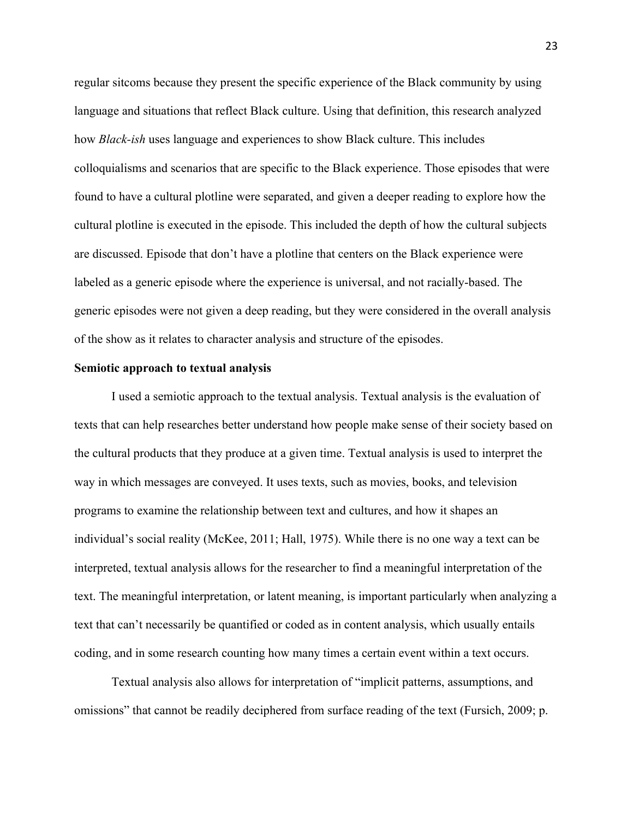regular sitcoms because they present the specific experience of the Black community by using language and situations that reflect Black culture. Using that definition, this research analyzed how *Black-ish* uses language and experiences to show Black culture. This includes colloquialisms and scenarios that are specific to the Black experience. Those episodes that were found to have a cultural plotline were separated, and given a deeper reading to explore how the cultural plotline is executed in the episode. This included the depth of how the cultural subjects are discussed. Episode that don't have a plotline that centers on the Black experience were labeled as a generic episode where the experience is universal, and not racially-based. The generic episodes were not given a deep reading, but they were considered in the overall analysis of the show as it relates to character analysis and structure of the episodes.

#### **Semiotic approach to textual analysis**

I used a semiotic approach to the textual analysis. Textual analysis is the evaluation of texts that can help researches better understand how people make sense of their society based on the cultural products that they produce at a given time. Textual analysis is used to interpret the way in which messages are conveyed. It uses texts, such as movies, books, and television programs to examine the relationship between text and cultures, and how it shapes an individual's social reality (McKee, 2011; Hall, 1975). While there is no one way a text can be interpreted, textual analysis allows for the researcher to find a meaningful interpretation of the text. The meaningful interpretation, or latent meaning, is important particularly when analyzing a text that can't necessarily be quantified or coded as in content analysis, which usually entails coding, and in some research counting how many times a certain event within a text occurs.

Textual analysis also allows for interpretation of "implicit patterns, assumptions, and omissions" that cannot be readily deciphered from surface reading of the text (Fursich, 2009; p.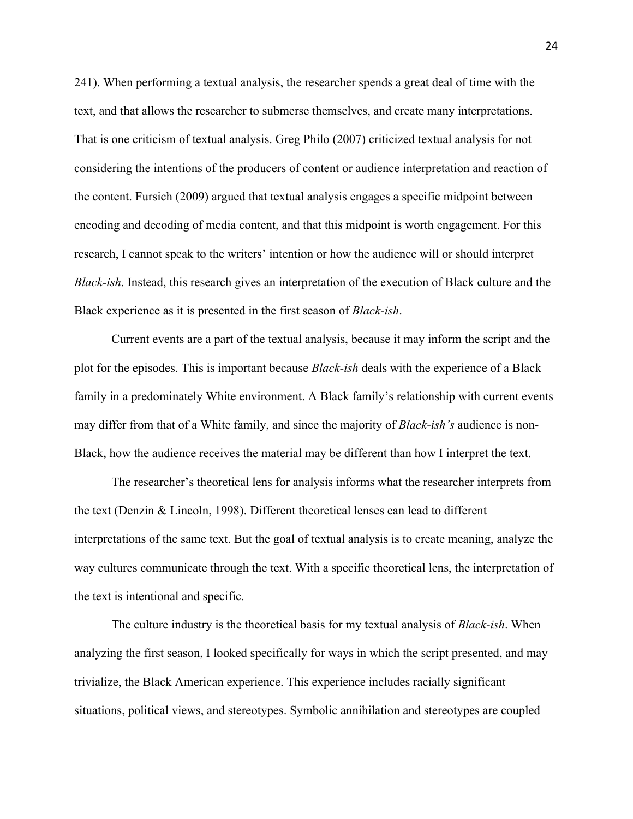241). When performing a textual analysis, the researcher spends a great deal of time with the text, and that allows the researcher to submerse themselves, and create many interpretations. That is one criticism of textual analysis. Greg Philo (2007) criticized textual analysis for not considering the intentions of the producers of content or audience interpretation and reaction of the content. Fursich (2009) argued that textual analysis engages a specific midpoint between encoding and decoding of media content, and that this midpoint is worth engagement. For this research, I cannot speak to the writers' intention or how the audience will or should interpret *Black-ish*. Instead, this research gives an interpretation of the execution of Black culture and the Black experience as it is presented in the first season of *Black-ish*.

Current events are a part of the textual analysis, because it may inform the script and the plot for the episodes. This is important because *Black-ish* deals with the experience of a Black family in a predominately White environment. A Black family's relationship with current events may differ from that of a White family, and since the majority of *Black-ish's* audience is non-Black, how the audience receives the material may be different than how I interpret the text.

The researcher's theoretical lens for analysis informs what the researcher interprets from the text (Denzin & Lincoln, 1998). Different theoretical lenses can lead to different interpretations of the same text. But the goal of textual analysis is to create meaning, analyze the way cultures communicate through the text. With a specific theoretical lens, the interpretation of the text is intentional and specific.

The culture industry is the theoretical basis for my textual analysis of *Black-ish*. When analyzing the first season, I looked specifically for ways in which the script presented, and may trivialize, the Black American experience. This experience includes racially significant situations, political views, and stereotypes. Symbolic annihilation and stereotypes are coupled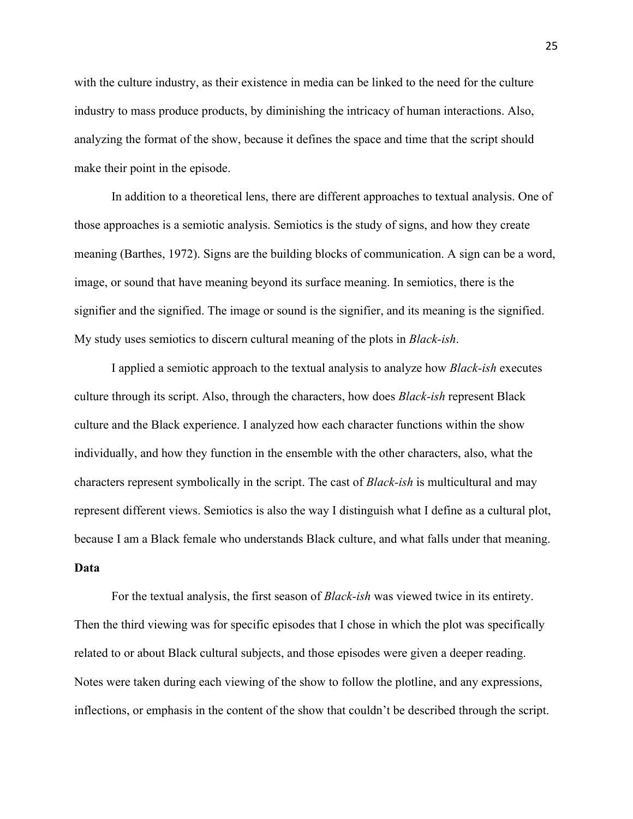with the culture industry, as their existence in media can be linked to the need for the culture industry to mass produce products, by diminishing the intricacy of human interactions. Also, analyzing the format of the show, because it defines the space and time that the script should make their point in the episode.

In addition to a theoretical lens, there are different approaches to textual analysis. One of those approaches is a semiotic analysis. Semiotics is the study of signs, and how they create meaning (Barthes, 1972). Signs are the building blocks of communication. A sign can be a word, image, or sound that have meaning beyond its surface meaning. In semiotics, there is the signifier and the signified. The image or sound is the signifier, and its meaning is the signified. My study uses semiotics to discern cultural meaning of the plots in *Black-ish*.

I applied a semiotic approach to the textual analysis to analyze how *Black-ish* executes culture through its script. Also, through the characters, how does *Black-ish* represent Black culture and the Black experience. I analyzed how each character functions within the show individually, and how they function in the ensemble with the other characters, also, what the characters represent symbolically in the script. The cast of *Black-ish* is multicultural and may represent different views. Semiotics is also the way I distinguish what I define as a cultural plot, because I am a Black female who understands Black culture, and what falls under that meaning. **Data**

For the textual analysis, the first season of *Black-ish* was viewed twice in its entirety. Then the third viewing was for specific episodes that I chose in which the plot was specifically related to or about Black cultural subjects, and those episodes were given a deeper reading. Notes were taken during each viewing of the show to follow the plotline, and any expressions, inflections, or emphasis in the content of the show that couldn't be described through the script.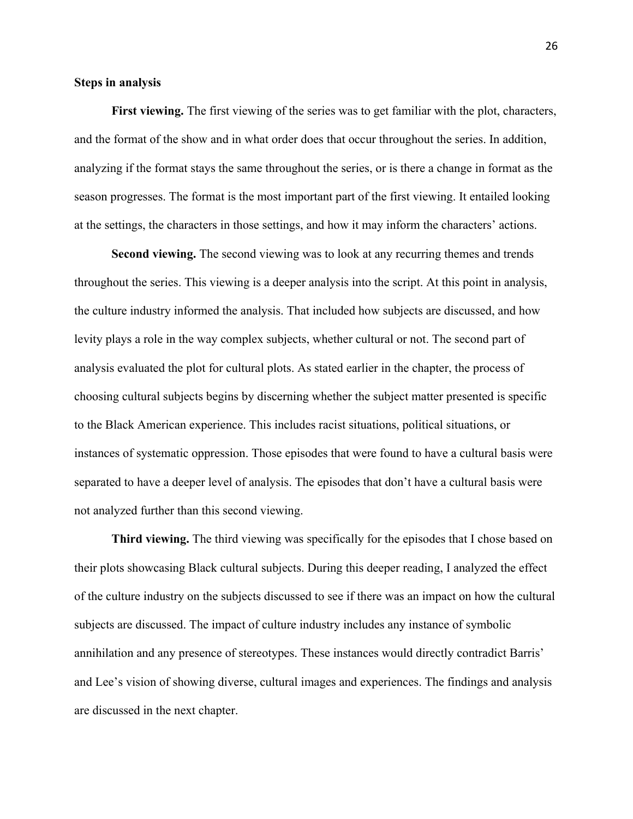#### **Steps in analysis**

First viewing. The first viewing of the series was to get familiar with the plot, characters, and the format of the show and in what order does that occur throughout the series. In addition, analyzing if the format stays the same throughout the series, or is there a change in format as the season progresses. The format is the most important part of the first viewing. It entailed looking at the settings, the characters in those settings, and how it may inform the characters' actions.

**Second viewing.** The second viewing was to look at any recurring themes and trends throughout the series. This viewing is a deeper analysis into the script. At this point in analysis, the culture industry informed the analysis. That included how subjects are discussed, and how levity plays a role in the way complex subjects, whether cultural or not. The second part of analysis evaluated the plot for cultural plots. As stated earlier in the chapter, the process of choosing cultural subjects begins by discerning whether the subject matter presented is specific to the Black American experience. This includes racist situations, political situations, or instances of systematic oppression. Those episodes that were found to have a cultural basis were separated to have a deeper level of analysis. The episodes that don't have a cultural basis were not analyzed further than this second viewing.

**Third viewing.** The third viewing was specifically for the episodes that I chose based on their plots showcasing Black cultural subjects. During this deeper reading, I analyzed the effect of the culture industry on the subjects discussed to see if there was an impact on how the cultural subjects are discussed. The impact of culture industry includes any instance of symbolic annihilation and any presence of stereotypes. These instances would directly contradict Barris' and Lee's vision of showing diverse, cultural images and experiences. The findings and analysis are discussed in the next chapter.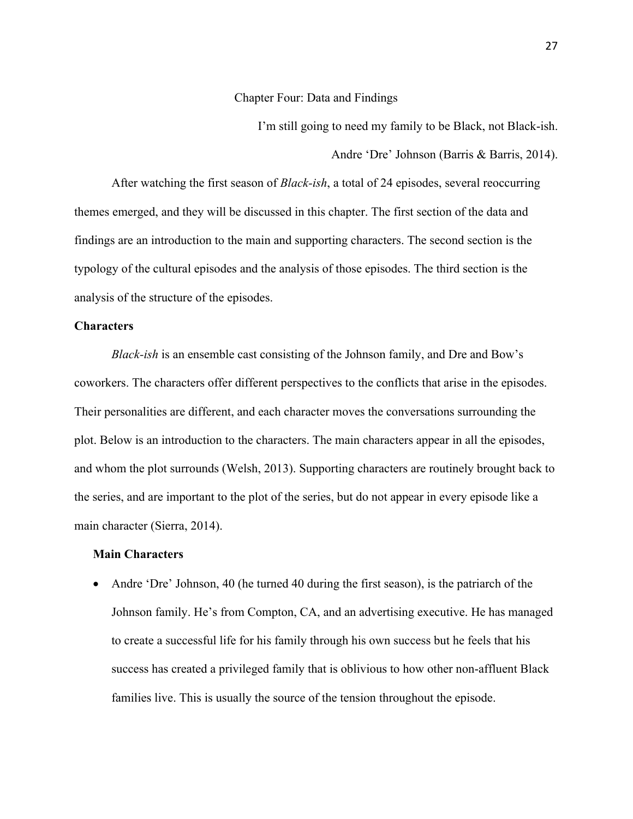Chapter Four: Data and Findings

I'm still going to need my family to be Black, not Black-ish. Andre 'Dre' Johnson (Barris & Barris, 2014).

After watching the first season of *Black-ish*, a total of 24 episodes, several reoccurring themes emerged, and they will be discussed in this chapter. The first section of the data and findings are an introduction to the main and supporting characters. The second section is the typology of the cultural episodes and the analysis of those episodes. The third section is the analysis of the structure of the episodes.

#### **Characters**

*Black-ish* is an ensemble cast consisting of the Johnson family, and Dre and Bow's coworkers. The characters offer different perspectives to the conflicts that arise in the episodes. Their personalities are different, and each character moves the conversations surrounding the plot. Below is an introduction to the characters. The main characters appear in all the episodes, and whom the plot surrounds (Welsh, 2013). Supporting characters are routinely brought back to the series, and are important to the plot of the series, but do not appear in every episode like a main character (Sierra, 2014).

# **Main Characters**

• Andre 'Dre' Johnson, 40 (he turned 40 during the first season), is the patriarch of the Johnson family. He's from Compton, CA, and an advertising executive. He has managed to create a successful life for his family through his own success but he feels that his success has created a privileged family that is oblivious to how other non-affluent Black families live. This is usually the source of the tension throughout the episode.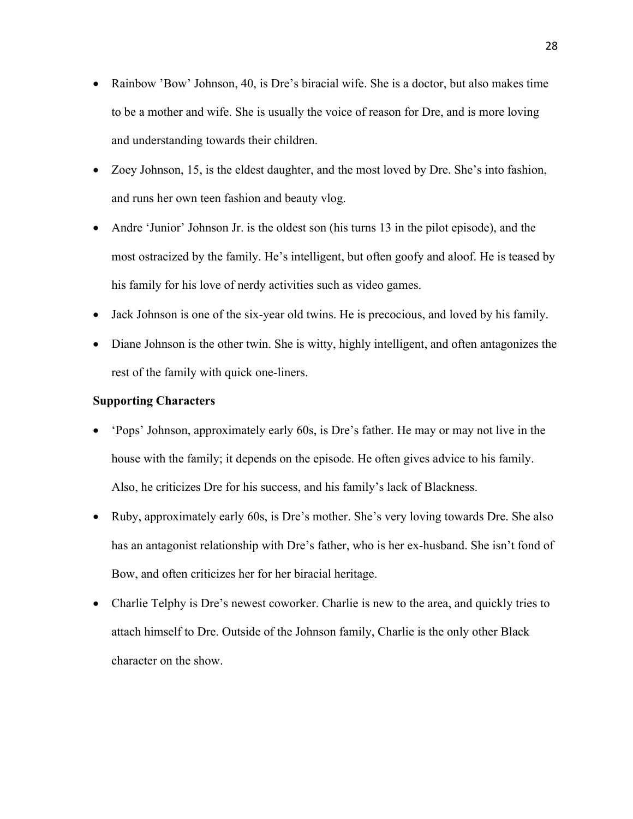- Rainbow 'Bow' Johnson, 40, is Dre's biracial wife. She is a doctor, but also makes time to be a mother and wife. She is usually the voice of reason for Dre, and is more loving and understanding towards their children.
- Zoey Johnson, 15, is the eldest daughter, and the most loved by Dre. She's into fashion, and runs her own teen fashion and beauty vlog.
- Andre 'Junior' Johnson Jr. is the oldest son (his turns 13 in the pilot episode), and the most ostracized by the family. He's intelligent, but often goofy and aloof. He is teased by his family for his love of nerdy activities such as video games.
- Jack Johnson is one of the six-year old twins. He is precocious, and loved by his family.
- Diane Johnson is the other twin. She is witty, highly intelligent, and often antagonizes the rest of the family with quick one-liners.

#### **Supporting Characters**

- 'Pops' Johnson, approximately early 60s, is Dre's father. He may or may not live in the house with the family; it depends on the episode. He often gives advice to his family. Also, he criticizes Dre for his success, and his family's lack of Blackness.
- Ruby, approximately early 60s, is Dre's mother. She's very loving towards Dre. She also has an antagonist relationship with Dre's father, who is her ex-husband. She isn't fond of Bow, and often criticizes her for her biracial heritage.
- Charlie Telphy is Dre's newest coworker. Charlie is new to the area, and quickly tries to attach himself to Dre. Outside of the Johnson family, Charlie is the only other Black character on the show.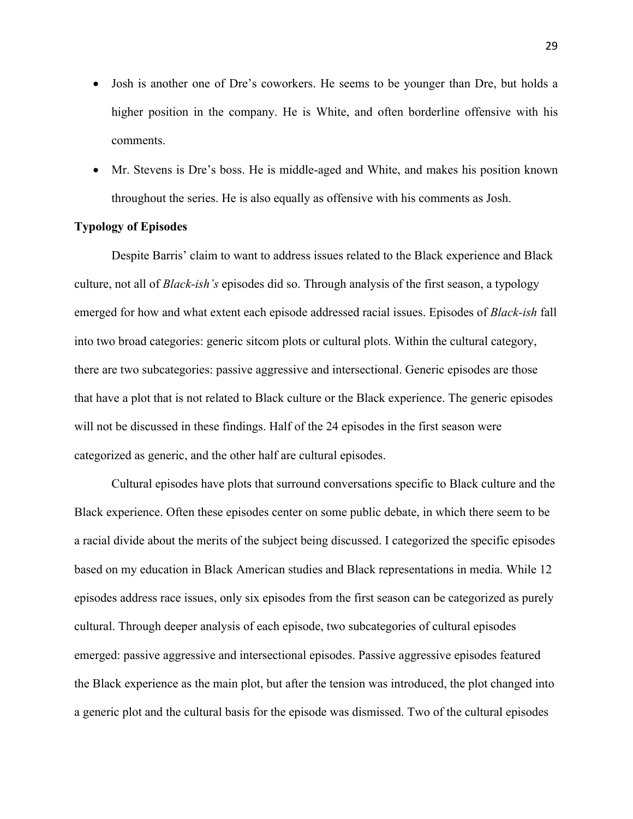- Josh is another one of Dre's coworkers. He seems to be younger than Dre, but holds a higher position in the company. He is White, and often borderline offensive with his comments.
- Mr. Stevens is Dre's boss. He is middle-aged and White, and makes his position known throughout the series. He is also equally as offensive with his comments as Josh.

# **Typology of Episodes**

Despite Barris' claim to want to address issues related to the Black experience and Black culture, not all of *Black-ish's* episodes did so. Through analysis of the first season, a typology emerged for how and what extent each episode addressed racial issues. Episodes of *Black-ish* fall into two broad categories: generic sitcom plots or cultural plots. Within the cultural category, there are two subcategories: passive aggressive and intersectional. Generic episodes are those that have a plot that is not related to Black culture or the Black experience. The generic episodes will not be discussed in these findings. Half of the 24 episodes in the first season were categorized as generic, and the other half are cultural episodes.

Cultural episodes have plots that surround conversations specific to Black culture and the Black experience. Often these episodes center on some public debate, in which there seem to be a racial divide about the merits of the subject being discussed. I categorized the specific episodes based on my education in Black American studies and Black representations in media. While 12 episodes address race issues, only six episodes from the first season can be categorized as purely cultural. Through deeper analysis of each episode, two subcategories of cultural episodes emerged: passive aggressive and intersectional episodes. Passive aggressive episodes featured the Black experience as the main plot, but after the tension was introduced, the plot changed into a generic plot and the cultural basis for the episode was dismissed. Two of the cultural episodes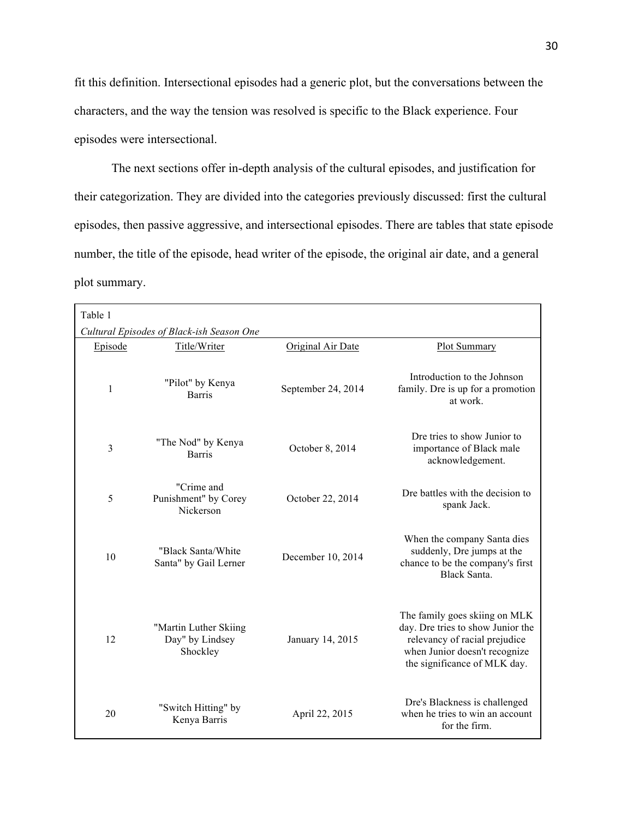fit this definition. Intersectional episodes had a generic plot, but the conversations between the characters, and the way the tension was resolved is specific to the Black experience. Four episodes were intersectional.

The next sections offer in-depth analysis of the cultural episodes, and justification for their categorization. They are divided into the categories previously discussed: first the cultural episodes, then passive aggressive, and intersectional episodes. There are tables that state episode number, the title of the episode, head writer of the episode, the original air date, and a general plot summary.

| Table 1                                   |                                                      |                    |                                                                                                                                                                      |  |  |  |
|-------------------------------------------|------------------------------------------------------|--------------------|----------------------------------------------------------------------------------------------------------------------------------------------------------------------|--|--|--|
| Cultural Episodes of Black-ish Season One |                                                      |                    |                                                                                                                                                                      |  |  |  |
| Episode                                   | Title/Writer                                         | Original Air Date  | Plot Summary                                                                                                                                                         |  |  |  |
| 1                                         | "Pilot" by Kenya<br><b>Barris</b>                    | September 24, 2014 | Introduction to the Johnson<br>family. Dre is up for a promotion<br>at work.                                                                                         |  |  |  |
| 3                                         | "The Nod" by Kenya<br><b>Barris</b>                  | October 8, 2014    | Dre tries to show Junior to<br>importance of Black male<br>acknowledgement.                                                                                          |  |  |  |
| 5                                         | "Crime and<br>Punishment" by Corey<br>Nickerson      | October 22, 2014   | Dre battles with the decision to<br>spank Jack.                                                                                                                      |  |  |  |
| 10                                        | "Black Santa/White<br>Santa" by Gail Lerner          | December 10, 2014  | When the company Santa dies<br>suddenly, Dre jumps at the<br>chance to be the company's first<br>Black Santa                                                         |  |  |  |
| 12                                        | "Martin Luther Skiing<br>Day" by Lindsey<br>Shockley | January 14, 2015   | The family goes skiing on MLK<br>day. Dre tries to show Junior the<br>relevancy of racial prejudice<br>when Junior doesn't recognize<br>the significance of MLK day. |  |  |  |
| 20                                        | "Switch Hitting" by<br>Kenya Barris                  | April 22, 2015     | Dre's Blackness is challenged<br>when he tries to win an account<br>for the firm.                                                                                    |  |  |  |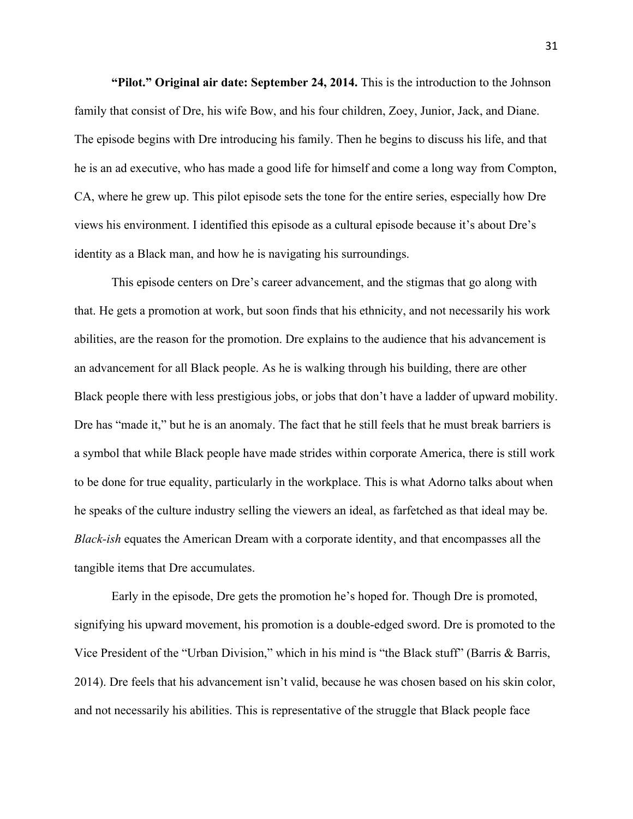**"Pilot." Original air date: September 24, 2014.** This is the introduction to the Johnson family that consist of Dre, his wife Bow, and his four children, Zoey, Junior, Jack, and Diane. The episode begins with Dre introducing his family. Then he begins to discuss his life, and that he is an ad executive, who has made a good life for himself and come a long way from Compton, CA, where he grew up. This pilot episode sets the tone for the entire series, especially how Dre views his environment. I identified this episode as a cultural episode because it's about Dre's identity as a Black man, and how he is navigating his surroundings.

This episode centers on Dre's career advancement, and the stigmas that go along with that. He gets a promotion at work, but soon finds that his ethnicity, and not necessarily his work abilities, are the reason for the promotion. Dre explains to the audience that his advancement is an advancement for all Black people. As he is walking through his building, there are other Black people there with less prestigious jobs, or jobs that don't have a ladder of upward mobility. Dre has "made it," but he is an anomaly. The fact that he still feels that he must break barriers is a symbol that while Black people have made strides within corporate America, there is still work to be done for true equality, particularly in the workplace. This is what Adorno talks about when he speaks of the culture industry selling the viewers an ideal, as farfetched as that ideal may be. *Black-ish* equates the American Dream with a corporate identity, and that encompasses all the tangible items that Dre accumulates.

Early in the episode, Dre gets the promotion he's hoped for. Though Dre is promoted, signifying his upward movement, his promotion is a double-edged sword. Dre is promoted to the Vice President of the "Urban Division," which in his mind is "the Black stuff" (Barris & Barris, 2014). Dre feels that his advancement isn't valid, because he was chosen based on his skin color, and not necessarily his abilities. This is representative of the struggle that Black people face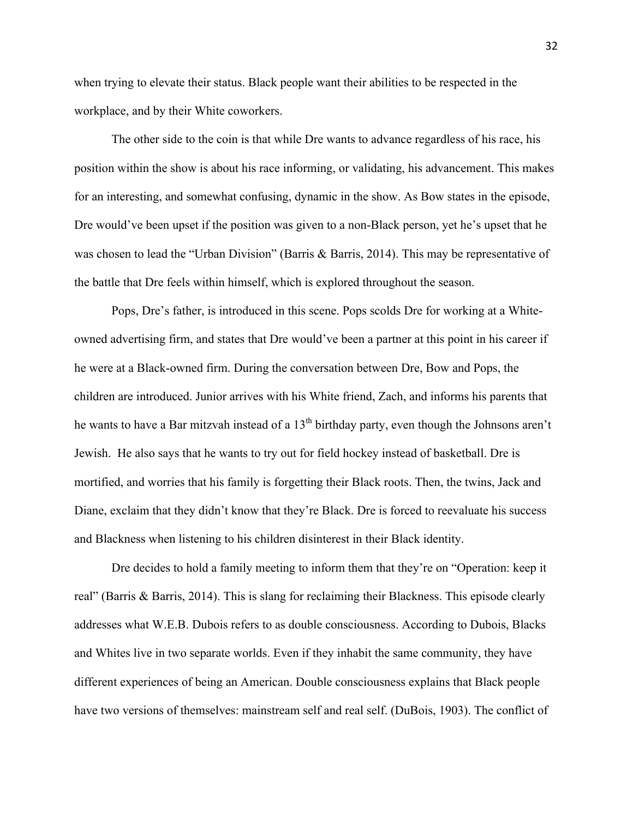when trying to elevate their status. Black people want their abilities to be respected in the workplace, and by their White coworkers.

The other side to the coin is that while Dre wants to advance regardless of his race, his position within the show is about his race informing, or validating, his advancement. This makes for an interesting, and somewhat confusing, dynamic in the show. As Bow states in the episode, Dre would've been upset if the position was given to a non-Black person, yet he's upset that he was chosen to lead the "Urban Division" (Barris & Barris, 2014). This may be representative of the battle that Dre feels within himself, which is explored throughout the season.

Pops, Dre's father, is introduced in this scene. Pops scolds Dre for working at a Whiteowned advertising firm, and states that Dre would've been a partner at this point in his career if he were at a Black-owned firm. During the conversation between Dre, Bow and Pops, the children are introduced. Junior arrives with his White friend, Zach, and informs his parents that he wants to have a Bar mitzvah instead of a  $13<sup>th</sup>$  birthday party, even though the Johnsons aren't Jewish. He also says that he wants to try out for field hockey instead of basketball. Dre is mortified, and worries that his family is forgetting their Black roots. Then, the twins, Jack and Diane, exclaim that they didn't know that they're Black. Dre is forced to reevaluate his success and Blackness when listening to his children disinterest in their Black identity.

Dre decides to hold a family meeting to inform them that they're on "Operation: keep it real" (Barris & Barris, 2014). This is slang for reclaiming their Blackness. This episode clearly addresses what W.E.B. Dubois refers to as double consciousness. According to Dubois, Blacks and Whites live in two separate worlds. Even if they inhabit the same community, they have different experiences of being an American. Double consciousness explains that Black people have two versions of themselves: mainstream self and real self. (DuBois, 1903). The conflict of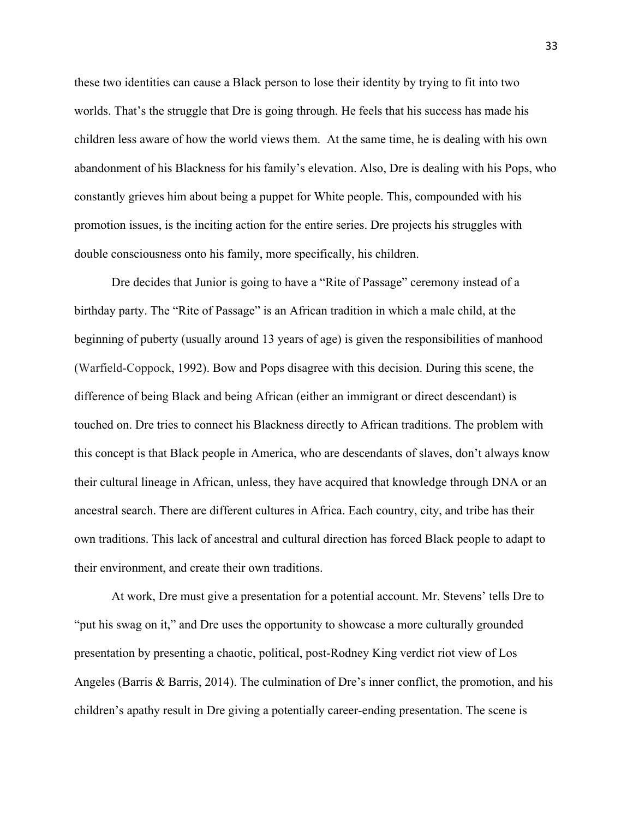these two identities can cause a Black person to lose their identity by trying to fit into two worlds. That's the struggle that Dre is going through. He feels that his success has made his children less aware of how the world views them. At the same time, he is dealing with his own abandonment of his Blackness for his family's elevation. Also, Dre is dealing with his Pops, who constantly grieves him about being a puppet for White people. This, compounded with his promotion issues, is the inciting action for the entire series. Dre projects his struggles with double consciousness onto his family, more specifically, his children.

Dre decides that Junior is going to have a "Rite of Passage" ceremony instead of a birthday party. The "Rite of Passage" is an African tradition in which a male child, at the beginning of puberty (usually around 13 years of age) is given the responsibilities of manhood (Warfield-Coppock, 1992). Bow and Pops disagree with this decision. During this scene, the difference of being Black and being African (either an immigrant or direct descendant) is touched on. Dre tries to connect his Blackness directly to African traditions. The problem with this concept is that Black people in America, who are descendants of slaves, don't always know their cultural lineage in African, unless, they have acquired that knowledge through DNA or an ancestral search. There are different cultures in Africa. Each country, city, and tribe has their own traditions. This lack of ancestral and cultural direction has forced Black people to adapt to their environment, and create their own traditions.

At work, Dre must give a presentation for a potential account. Mr. Stevens' tells Dre to "put his swag on it," and Dre uses the opportunity to showcase a more culturally grounded presentation by presenting a chaotic, political, post-Rodney King verdict riot view of Los Angeles (Barris & Barris, 2014). The culmination of Dre's inner conflict, the promotion, and his children's apathy result in Dre giving a potentially career-ending presentation. The scene is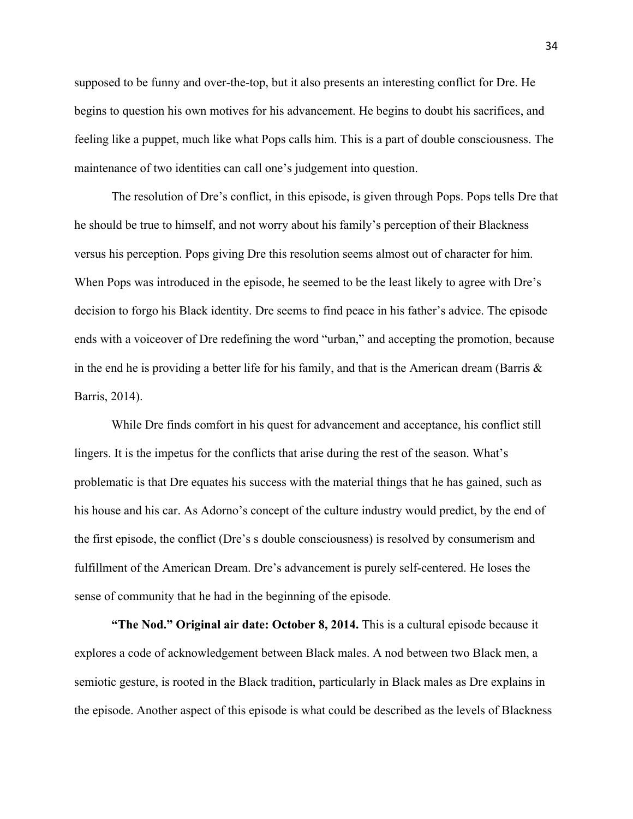supposed to be funny and over-the-top, but it also presents an interesting conflict for Dre. He begins to question his own motives for his advancement. He begins to doubt his sacrifices, and feeling like a puppet, much like what Pops calls him. This is a part of double consciousness. The maintenance of two identities can call one's judgement into question.

The resolution of Dre's conflict, in this episode, is given through Pops. Pops tells Dre that he should be true to himself, and not worry about his family's perception of their Blackness versus his perception. Pops giving Dre this resolution seems almost out of character for him. When Pops was introduced in the episode, he seemed to be the least likely to agree with Dre's decision to forgo his Black identity. Dre seems to find peace in his father's advice. The episode ends with a voiceover of Dre redefining the word "urban," and accepting the promotion, because in the end he is providing a better life for his family, and that is the American dream (Barris  $\&$ Barris, 2014).

While Dre finds comfort in his quest for advancement and acceptance, his conflict still lingers. It is the impetus for the conflicts that arise during the rest of the season. What's problematic is that Dre equates his success with the material things that he has gained, such as his house and his car. As Adorno's concept of the culture industry would predict, by the end of the first episode, the conflict (Dre's s double consciousness) is resolved by consumerism and fulfillment of the American Dream. Dre's advancement is purely self-centered. He loses the sense of community that he had in the beginning of the episode.

**"The Nod." Original air date: October 8, 2014.** This is a cultural episode because it explores a code of acknowledgement between Black males. A nod between two Black men, a semiotic gesture, is rooted in the Black tradition, particularly in Black males as Dre explains in the episode. Another aspect of this episode is what could be described as the levels of Blackness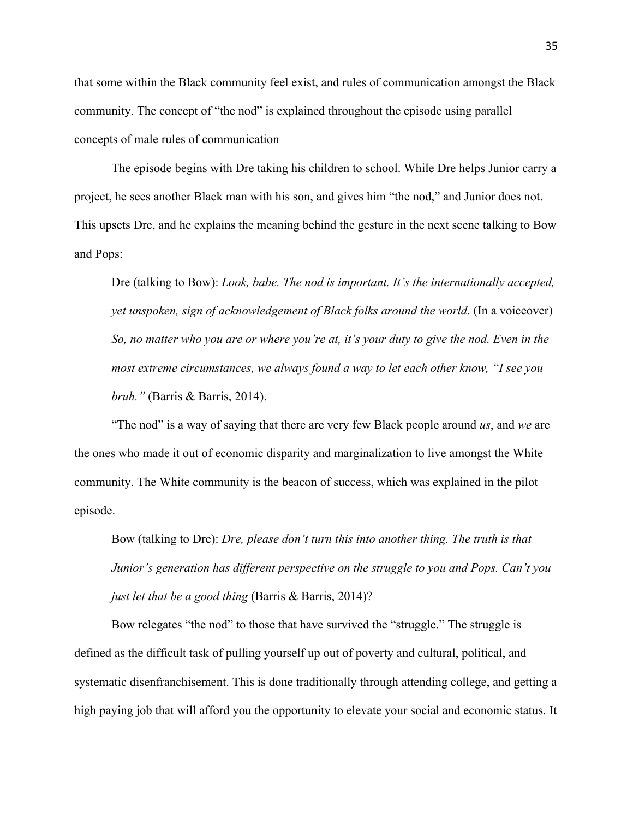that some within the Black community feel exist, and rules of communication amongst the Black community. The concept of "the nod" is explained throughout the episode using parallel concepts of male rules of communication

The episode begins with Dre taking his children to school. While Dre helps Junior carry a project, he sees another Black man with his son, and gives him "the nod," and Junior does not. This upsets Dre, and he explains the meaning behind the gesture in the next scene talking to Bow and Pops:

Dre (talking to Bow): *Look, babe. The nod is important. It's the internationally accepted, yet unspoken, sign of acknowledgement of Black folks around the world.* (In a voiceover) *So, no matter who you are or where you're at, it's your duty to give the nod. Even in the most extreme circumstances, we always found a way to let each other know, "I see you bruh."* (Barris & Barris, 2014).

"The nod" is a way of saying that there are very few Black people around *us*, and *we* are the ones who made it out of economic disparity and marginalization to live amongst the White community. The White community is the beacon of success, which was explained in the pilot episode.

Bow (talking to Dre): *Dre, please don't turn this into another thing. The truth is that Junior's generation has different perspective on the struggle to you and Pops. Can't you just let that be a good thing* (Barris & Barris, 2014)?

Bow relegates "the nod" to those that have survived the "struggle." The struggle is defined as the difficult task of pulling yourself up out of poverty and cultural, political, and systematic disenfranchisement. This is done traditionally through attending college, and getting a high paying job that will afford you the opportunity to elevate your social and economic status. It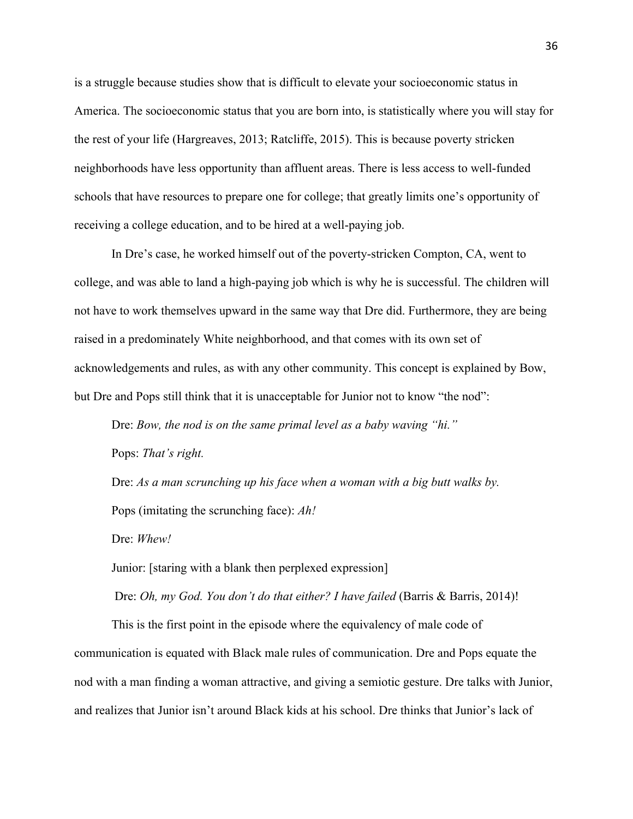is a struggle because studies show that is difficult to elevate your socioeconomic status in America. The socioeconomic status that you are born into, is statistically where you will stay for the rest of your life (Hargreaves, 2013; Ratcliffe, 2015). This is because poverty stricken neighborhoods have less opportunity than affluent areas. There is less access to well-funded schools that have resources to prepare one for college; that greatly limits one's opportunity of receiving a college education, and to be hired at a well-paying job.

In Dre's case, he worked himself out of the poverty-stricken Compton, CA, went to college, and was able to land a high-paying job which is why he is successful. The children will not have to work themselves upward in the same way that Dre did. Furthermore, they are being raised in a predominately White neighborhood, and that comes with its own set of acknowledgements and rules, as with any other community. This concept is explained by Bow, but Dre and Pops still think that it is unacceptable for Junior not to know "the nod":

Dre: *Bow, the nod is on the same primal level as a baby waving "hi."* 

Pops: *That's right.*

Dre: *As a man scrunching up his face when a woman with a big butt walks by.*  Pops (imitating the scrunching face): *Ah!*

Dre: *Whew!*

Junior: [staring with a blank then perplexed expression]

Dre: *Oh, my God. You don't do that either? I have failed* (Barris & Barris, 2014)!

This is the first point in the episode where the equivalency of male code of communication is equated with Black male rules of communication. Dre and Pops equate the nod with a man finding a woman attractive, and giving a semiotic gesture. Dre talks with Junior, and realizes that Junior isn't around Black kids at his school. Dre thinks that Junior's lack of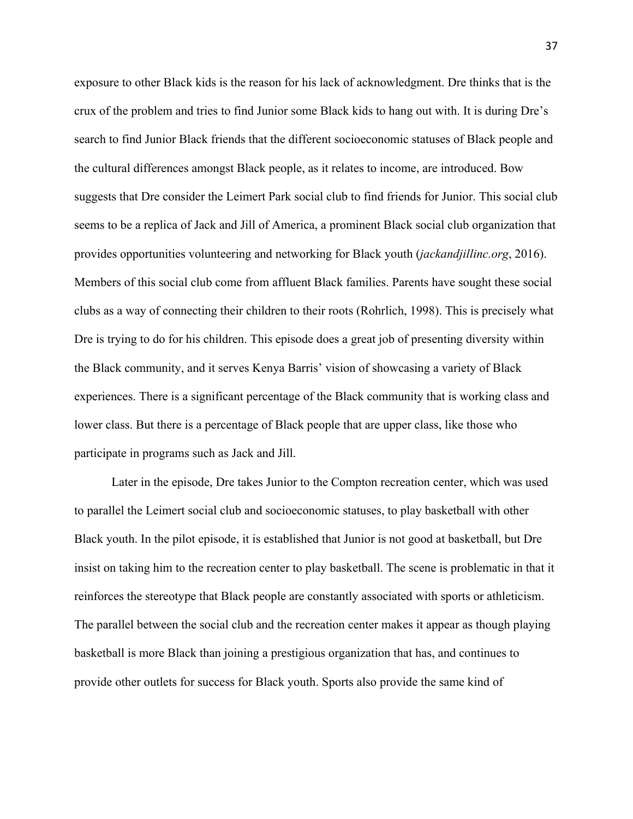exposure to other Black kids is the reason for his lack of acknowledgment. Dre thinks that is the crux of the problem and tries to find Junior some Black kids to hang out with. It is during Dre's search to find Junior Black friends that the different socioeconomic statuses of Black people and the cultural differences amongst Black people, as it relates to income, are introduced. Bow suggests that Dre consider the Leimert Park social club to find friends for Junior. This social club seems to be a replica of Jack and Jill of America, a prominent Black social club organization that provides opportunities volunteering and networking for Black youth (*jackandjillinc.org*, 2016). Members of this social club come from affluent Black families. Parents have sought these social clubs as a way of connecting their children to their roots (Rohrlich, 1998). This is precisely what Dre is trying to do for his children. This episode does a great job of presenting diversity within the Black community, and it serves Kenya Barris' vision of showcasing a variety of Black experiences. There is a significant percentage of the Black community that is working class and lower class. But there is a percentage of Black people that are upper class, like those who participate in programs such as Jack and Jill.

Later in the episode, Dre takes Junior to the Compton recreation center, which was used to parallel the Leimert social club and socioeconomic statuses, to play basketball with other Black youth. In the pilot episode, it is established that Junior is not good at basketball, but Dre insist on taking him to the recreation center to play basketball. The scene is problematic in that it reinforces the stereotype that Black people are constantly associated with sports or athleticism. The parallel between the social club and the recreation center makes it appear as though playing basketball is more Black than joining a prestigious organization that has, and continues to provide other outlets for success for Black youth. Sports also provide the same kind of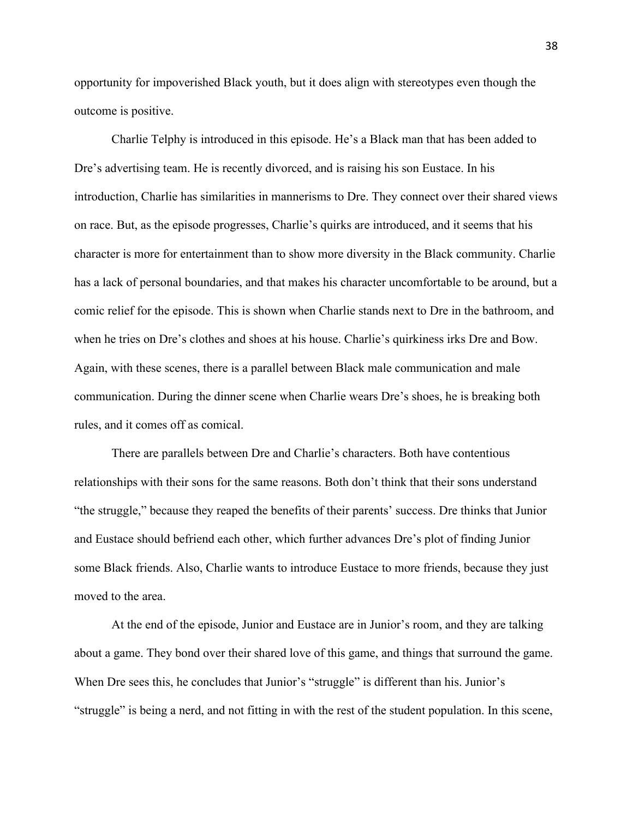opportunity for impoverished Black youth, but it does align with stereotypes even though the outcome is positive.

Charlie Telphy is introduced in this episode. He's a Black man that has been added to Dre's advertising team. He is recently divorced, and is raising his son Eustace. In his introduction, Charlie has similarities in mannerisms to Dre. They connect over their shared views on race. But, as the episode progresses, Charlie's quirks are introduced, and it seems that his character is more for entertainment than to show more diversity in the Black community. Charlie has a lack of personal boundaries, and that makes his character uncomfortable to be around, but a comic relief for the episode. This is shown when Charlie stands next to Dre in the bathroom, and when he tries on Dre's clothes and shoes at his house. Charlie's quirkiness irks Dre and Bow. Again, with these scenes, there is a parallel between Black male communication and male communication. During the dinner scene when Charlie wears Dre's shoes, he is breaking both rules, and it comes off as comical.

There are parallels between Dre and Charlie's characters. Both have contentious relationships with their sons for the same reasons. Both don't think that their sons understand "the struggle," because they reaped the benefits of their parents' success. Dre thinks that Junior and Eustace should befriend each other, which further advances Dre's plot of finding Junior some Black friends. Also, Charlie wants to introduce Eustace to more friends, because they just moved to the area.

At the end of the episode, Junior and Eustace are in Junior's room, and they are talking about a game. They bond over their shared love of this game, and things that surround the game. When Dre sees this, he concludes that Junior's "struggle" is different than his. Junior's "struggle" is being a nerd, and not fitting in with the rest of the student population. In this scene,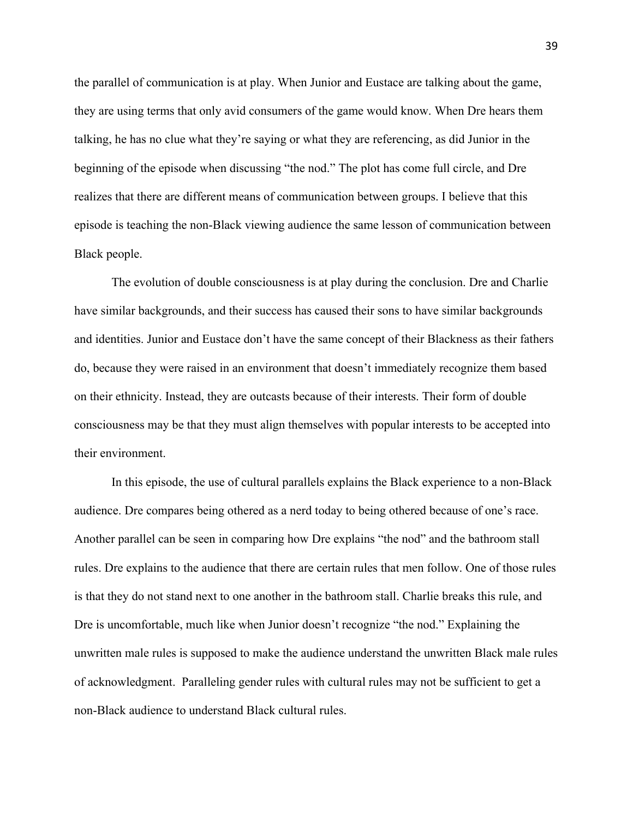the parallel of communication is at play. When Junior and Eustace are talking about the game, they are using terms that only avid consumers of the game would know. When Dre hears them talking, he has no clue what they're saying or what they are referencing, as did Junior in the beginning of the episode when discussing "the nod." The plot has come full circle, and Dre realizes that there are different means of communication between groups. I believe that this episode is teaching the non-Black viewing audience the same lesson of communication between Black people.

The evolution of double consciousness is at play during the conclusion. Dre and Charlie have similar backgrounds, and their success has caused their sons to have similar backgrounds and identities. Junior and Eustace don't have the same concept of their Blackness as their fathers do, because they were raised in an environment that doesn't immediately recognize them based on their ethnicity. Instead, they are outcasts because of their interests. Their form of double consciousness may be that they must align themselves with popular interests to be accepted into their environment.

In this episode, the use of cultural parallels explains the Black experience to a non-Black audience. Dre compares being othered as a nerd today to being othered because of one's race. Another parallel can be seen in comparing how Dre explains "the nod" and the bathroom stall rules. Dre explains to the audience that there are certain rules that men follow. One of those rules is that they do not stand next to one another in the bathroom stall. Charlie breaks this rule, and Dre is uncomfortable, much like when Junior doesn't recognize "the nod." Explaining the unwritten male rules is supposed to make the audience understand the unwritten Black male rules of acknowledgment. Paralleling gender rules with cultural rules may not be sufficient to get a non-Black audience to understand Black cultural rules.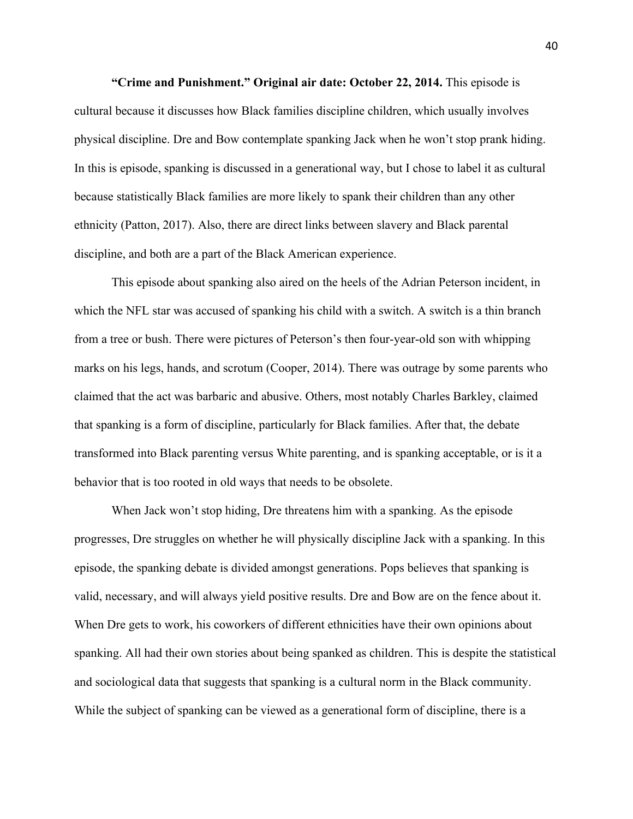**"Crime and Punishment." Original air date: October 22, 2014.** This episode is cultural because it discusses how Black families discipline children, which usually involves physical discipline. Dre and Bow contemplate spanking Jack when he won't stop prank hiding. In this is episode, spanking is discussed in a generational way, but I chose to label it as cultural because statistically Black families are more likely to spank their children than any other ethnicity (Patton, 2017). Also, there are direct links between slavery and Black parental discipline, and both are a part of the Black American experience.

This episode about spanking also aired on the heels of the Adrian Peterson incident, in which the NFL star was accused of spanking his child with a switch. A switch is a thin branch from a tree or bush. There were pictures of Peterson's then four-year-old son with whipping marks on his legs, hands, and scrotum (Cooper, 2014). There was outrage by some parents who claimed that the act was barbaric and abusive. Others, most notably Charles Barkley, claimed that spanking is a form of discipline, particularly for Black families. After that, the debate transformed into Black parenting versus White parenting, and is spanking acceptable, or is it a behavior that is too rooted in old ways that needs to be obsolete.

When Jack won't stop hiding, Dre threatens him with a spanking. As the episode progresses, Dre struggles on whether he will physically discipline Jack with a spanking. In this episode, the spanking debate is divided amongst generations. Pops believes that spanking is valid, necessary, and will always yield positive results. Dre and Bow are on the fence about it. When Dre gets to work, his coworkers of different ethnicities have their own opinions about spanking. All had their own stories about being spanked as children. This is despite the statistical and sociological data that suggests that spanking is a cultural norm in the Black community. While the subject of spanking can be viewed as a generational form of discipline, there is a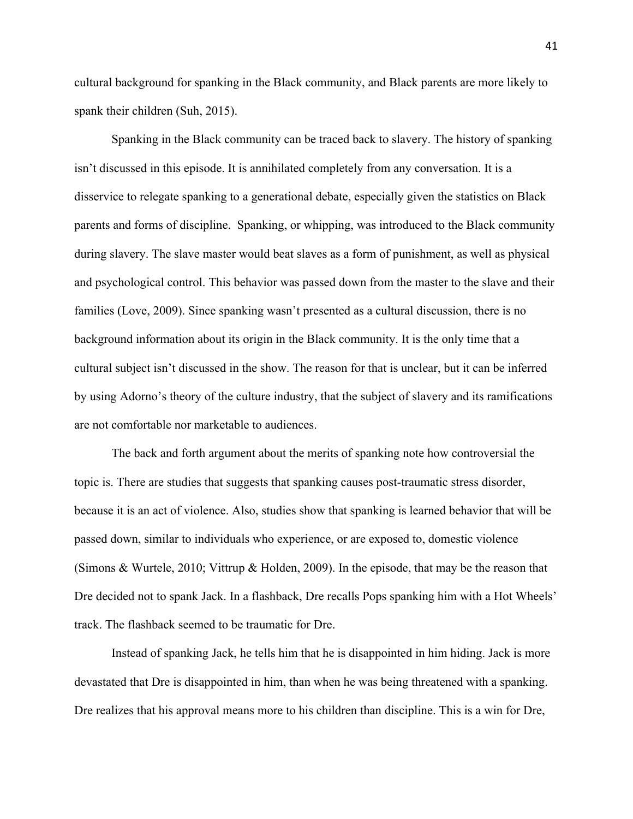cultural background for spanking in the Black community, and Black parents are more likely to spank their children (Suh, 2015).

Spanking in the Black community can be traced back to slavery. The history of spanking isn't discussed in this episode. It is annihilated completely from any conversation. It is a disservice to relegate spanking to a generational debate, especially given the statistics on Black parents and forms of discipline. Spanking, or whipping, was introduced to the Black community during slavery. The slave master would beat slaves as a form of punishment, as well as physical and psychological control. This behavior was passed down from the master to the slave and their families (Love, 2009). Since spanking wasn't presented as a cultural discussion, there is no background information about its origin in the Black community. It is the only time that a cultural subject isn't discussed in the show. The reason for that is unclear, but it can be inferred by using Adorno's theory of the culture industry, that the subject of slavery and its ramifications are not comfortable nor marketable to audiences.

The back and forth argument about the merits of spanking note how controversial the topic is. There are studies that suggests that spanking causes post-traumatic stress disorder, because it is an act of violence. Also, studies show that spanking is learned behavior that will be passed down, similar to individuals who experience, or are exposed to, domestic violence (Simons & Wurtele, 2010; Vittrup & Holden, 2009). In the episode, that may be the reason that Dre decided not to spank Jack. In a flashback, Dre recalls Pops spanking him with a Hot Wheels' track. The flashback seemed to be traumatic for Dre.

Instead of spanking Jack, he tells him that he is disappointed in him hiding. Jack is more devastated that Dre is disappointed in him, than when he was being threatened with a spanking. Dre realizes that his approval means more to his children than discipline. This is a win for Dre,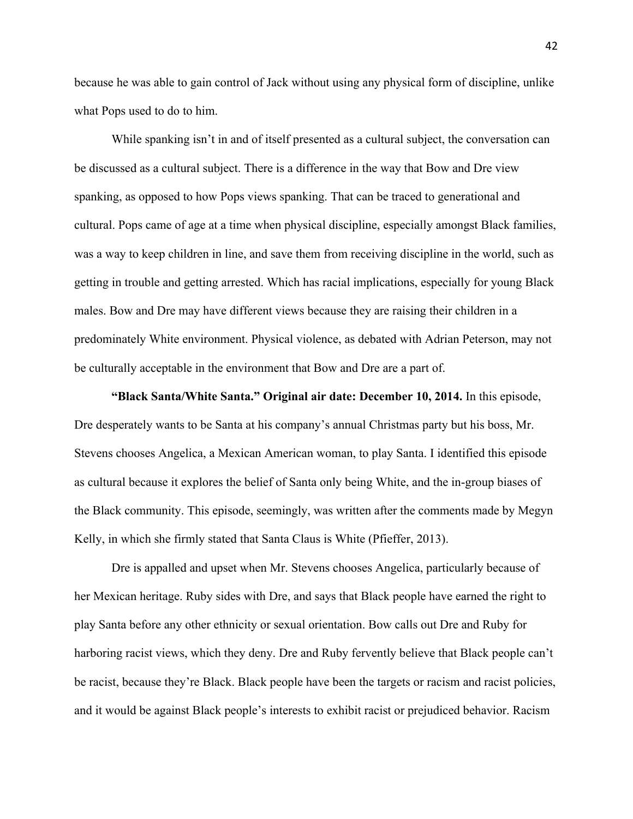because he was able to gain control of Jack without using any physical form of discipline, unlike what Pops used to do to him.

While spanking isn't in and of itself presented as a cultural subject, the conversation can be discussed as a cultural subject. There is a difference in the way that Bow and Dre view spanking, as opposed to how Pops views spanking. That can be traced to generational and cultural. Pops came of age at a time when physical discipline, especially amongst Black families, was a way to keep children in line, and save them from receiving discipline in the world, such as getting in trouble and getting arrested. Which has racial implications, especially for young Black males. Bow and Dre may have different views because they are raising their children in a predominately White environment. Physical violence, as debated with Adrian Peterson, may not be culturally acceptable in the environment that Bow and Dre are a part of.

**"Black Santa/White Santa." Original air date: December 10, 2014.** In this episode, Dre desperately wants to be Santa at his company's annual Christmas party but his boss, Mr. Stevens chooses Angelica, a Mexican American woman, to play Santa. I identified this episode as cultural because it explores the belief of Santa only being White, and the in-group biases of the Black community. This episode, seemingly, was written after the comments made by Megyn Kelly, in which she firmly stated that Santa Claus is White (Pfieffer, 2013).

Dre is appalled and upset when Mr. Stevens chooses Angelica, particularly because of her Mexican heritage. Ruby sides with Dre, and says that Black people have earned the right to play Santa before any other ethnicity or sexual orientation. Bow calls out Dre and Ruby for harboring racist views, which they deny. Dre and Ruby fervently believe that Black people can't be racist, because they're Black. Black people have been the targets or racism and racist policies, and it would be against Black people's interests to exhibit racist or prejudiced behavior. Racism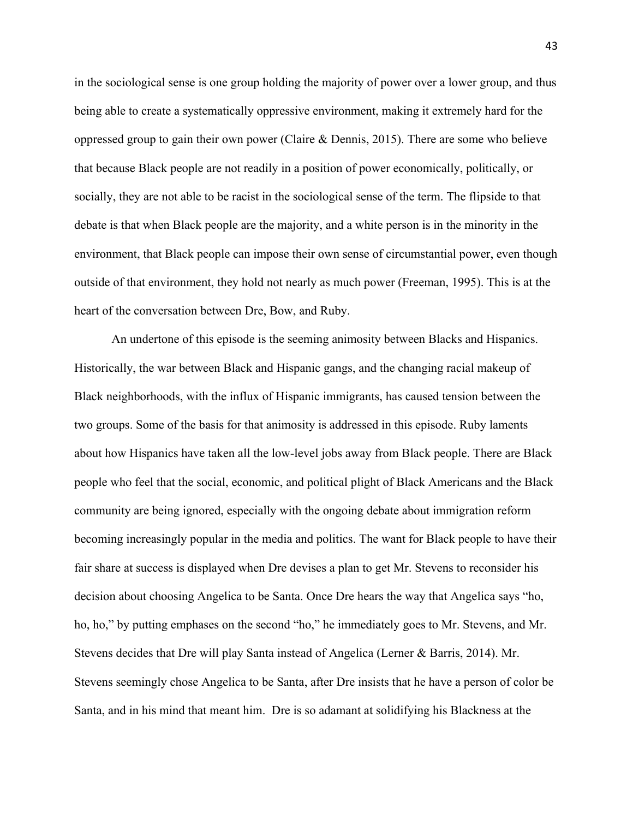in the sociological sense is one group holding the majority of power over a lower group, and thus being able to create a systematically oppressive environment, making it extremely hard for the oppressed group to gain their own power (Claire & Dennis, 2015). There are some who believe that because Black people are not readily in a position of power economically, politically, or socially, they are not able to be racist in the sociological sense of the term. The flipside to that debate is that when Black people are the majority, and a white person is in the minority in the environment, that Black people can impose their own sense of circumstantial power, even though outside of that environment, they hold not nearly as much power (Freeman, 1995). This is at the heart of the conversation between Dre, Bow, and Ruby.

An undertone of this episode is the seeming animosity between Blacks and Hispanics. Historically, the war between Black and Hispanic gangs, and the changing racial makeup of Black neighborhoods, with the influx of Hispanic immigrants, has caused tension between the two groups. Some of the basis for that animosity is addressed in this episode. Ruby laments about how Hispanics have taken all the low-level jobs away from Black people. There are Black people who feel that the social, economic, and political plight of Black Americans and the Black community are being ignored, especially with the ongoing debate about immigration reform becoming increasingly popular in the media and politics. The want for Black people to have their fair share at success is displayed when Dre devises a plan to get Mr. Stevens to reconsider his decision about choosing Angelica to be Santa. Once Dre hears the way that Angelica says "ho, ho, ho," by putting emphases on the second "ho," he immediately goes to Mr. Stevens, and Mr. Stevens decides that Dre will play Santa instead of Angelica (Lerner & Barris, 2014). Mr. Stevens seemingly chose Angelica to be Santa, after Dre insists that he have a person of color be Santa, and in his mind that meant him. Dre is so adamant at solidifying his Blackness at the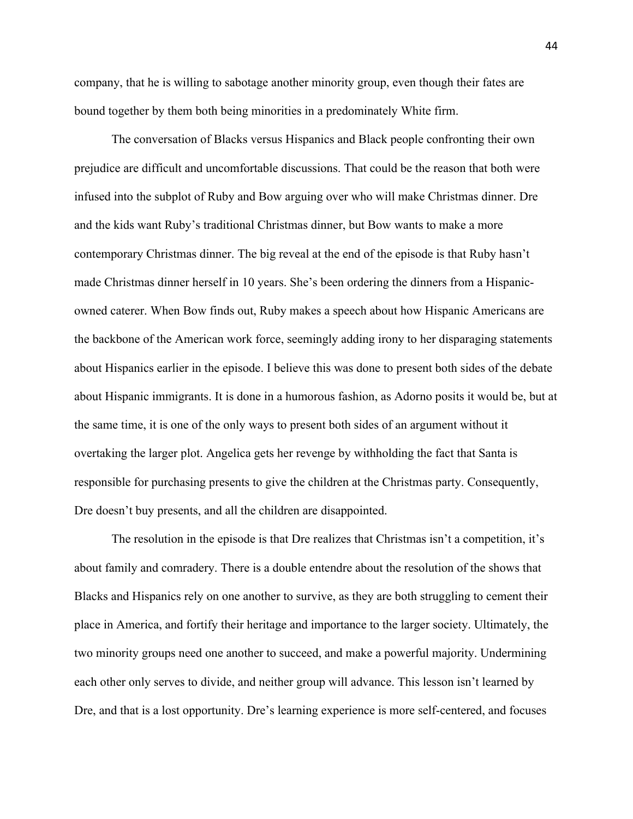company, that he is willing to sabotage another minority group, even though their fates are bound together by them both being minorities in a predominately White firm.

The conversation of Blacks versus Hispanics and Black people confronting their own prejudice are difficult and uncomfortable discussions. That could be the reason that both were infused into the subplot of Ruby and Bow arguing over who will make Christmas dinner. Dre and the kids want Ruby's traditional Christmas dinner, but Bow wants to make a more contemporary Christmas dinner. The big reveal at the end of the episode is that Ruby hasn't made Christmas dinner herself in 10 years. She's been ordering the dinners from a Hispanicowned caterer. When Bow finds out, Ruby makes a speech about how Hispanic Americans are the backbone of the American work force, seemingly adding irony to her disparaging statements about Hispanics earlier in the episode. I believe this was done to present both sides of the debate about Hispanic immigrants. It is done in a humorous fashion, as Adorno posits it would be, but at the same time, it is one of the only ways to present both sides of an argument without it overtaking the larger plot. Angelica gets her revenge by withholding the fact that Santa is responsible for purchasing presents to give the children at the Christmas party. Consequently, Dre doesn't buy presents, and all the children are disappointed.

The resolution in the episode is that Dre realizes that Christmas isn't a competition, it's about family and comradery. There is a double entendre about the resolution of the shows that Blacks and Hispanics rely on one another to survive, as they are both struggling to cement their place in America, and fortify their heritage and importance to the larger society. Ultimately, the two minority groups need one another to succeed, and make a powerful majority. Undermining each other only serves to divide, and neither group will advance. This lesson isn't learned by Dre, and that is a lost opportunity. Dre's learning experience is more self-centered, and focuses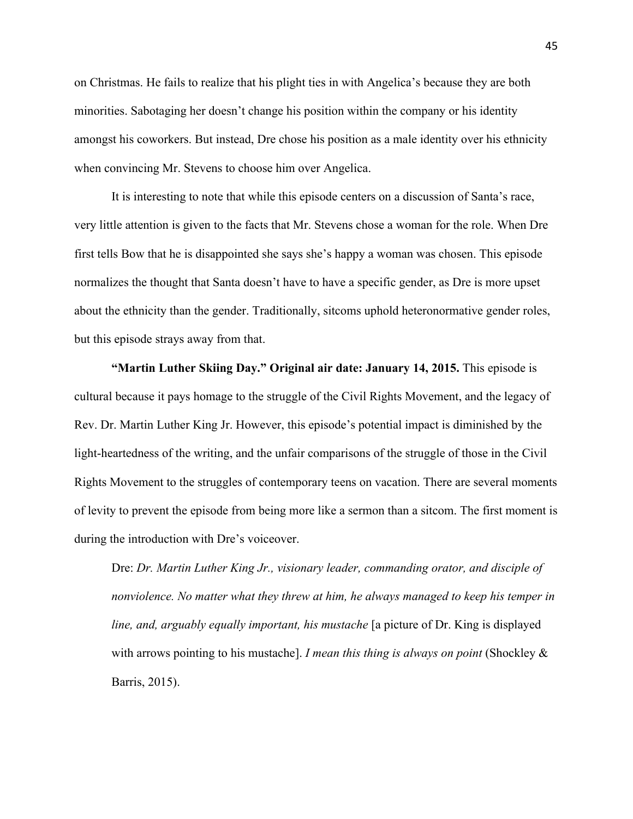on Christmas. He fails to realize that his plight ties in with Angelica's because they are both minorities. Sabotaging her doesn't change his position within the company or his identity amongst his coworkers. But instead, Dre chose his position as a male identity over his ethnicity when convincing Mr. Stevens to choose him over Angelica.

It is interesting to note that while this episode centers on a discussion of Santa's race, very little attention is given to the facts that Mr. Stevens chose a woman for the role. When Dre first tells Bow that he is disappointed she says she's happy a woman was chosen. This episode normalizes the thought that Santa doesn't have to have a specific gender, as Dre is more upset about the ethnicity than the gender. Traditionally, sitcoms uphold heteronormative gender roles, but this episode strays away from that.

**"Martin Luther Skiing Day." Original air date: January 14, 2015.** This episode is cultural because it pays homage to the struggle of the Civil Rights Movement, and the legacy of Rev. Dr. Martin Luther King Jr. However, this episode's potential impact is diminished by the light-heartedness of the writing, and the unfair comparisons of the struggle of those in the Civil Rights Movement to the struggles of contemporary teens on vacation. There are several moments of levity to prevent the episode from being more like a sermon than a sitcom. The first moment is during the introduction with Dre's voiceover.

Dre: *Dr. Martin Luther King Jr., visionary leader, commanding orator, and disciple of nonviolence. No matter what they threw at him, he always managed to keep his temper in line, and, arguably equally important, his mustache* [a picture of Dr. King is displayed with arrows pointing to his mustache]. *I mean this thing is always on point* (Shockley & Barris, 2015).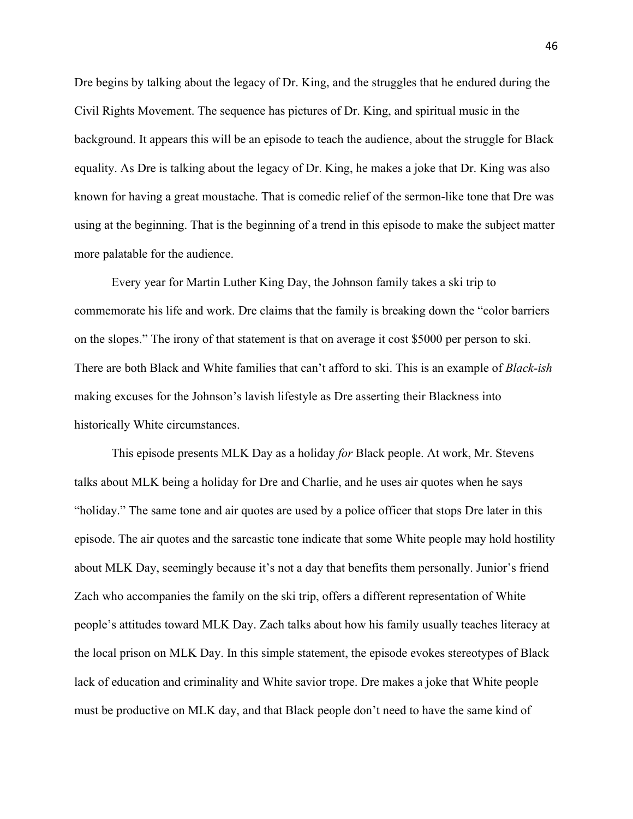Dre begins by talking about the legacy of Dr. King, and the struggles that he endured during the Civil Rights Movement. The sequence has pictures of Dr. King, and spiritual music in the background. It appears this will be an episode to teach the audience, about the struggle for Black equality. As Dre is talking about the legacy of Dr. King, he makes a joke that Dr. King was also known for having a great moustache. That is comedic relief of the sermon-like tone that Dre was using at the beginning. That is the beginning of a trend in this episode to make the subject matter more palatable for the audience.

Every year for Martin Luther King Day, the Johnson family takes a ski trip to commemorate his life and work. Dre claims that the family is breaking down the "color barriers on the slopes." The irony of that statement is that on average it cost \$5000 per person to ski. There are both Black and White families that can't afford to ski. This is an example of *Black-ish* making excuses for the Johnson's lavish lifestyle as Dre asserting their Blackness into historically White circumstances.

This episode presents MLK Day as a holiday *for* Black people. At work, Mr. Stevens talks about MLK being a holiday for Dre and Charlie, and he uses air quotes when he says "holiday." The same tone and air quotes are used by a police officer that stops Dre later in this episode. The air quotes and the sarcastic tone indicate that some White people may hold hostility about MLK Day, seemingly because it's not a day that benefits them personally. Junior's friend Zach who accompanies the family on the ski trip, offers a different representation of White people's attitudes toward MLK Day. Zach talks about how his family usually teaches literacy at the local prison on MLK Day. In this simple statement, the episode evokes stereotypes of Black lack of education and criminality and White savior trope. Dre makes a joke that White people must be productive on MLK day, and that Black people don't need to have the same kind of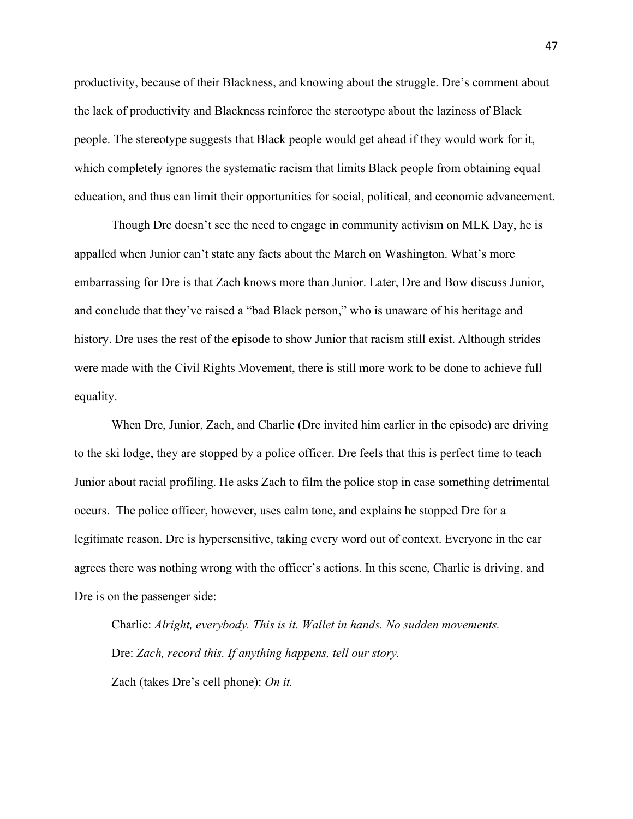productivity, because of their Blackness, and knowing about the struggle. Dre's comment about the lack of productivity and Blackness reinforce the stereotype about the laziness of Black people. The stereotype suggests that Black people would get ahead if they would work for it, which completely ignores the systematic racism that limits Black people from obtaining equal education, and thus can limit their opportunities for social, political, and economic advancement.

Though Dre doesn't see the need to engage in community activism on MLK Day, he is appalled when Junior can't state any facts about the March on Washington. What's more embarrassing for Dre is that Zach knows more than Junior. Later, Dre and Bow discuss Junior, and conclude that they've raised a "bad Black person," who is unaware of his heritage and history. Dre uses the rest of the episode to show Junior that racism still exist. Although strides were made with the Civil Rights Movement, there is still more work to be done to achieve full equality.

When Dre, Junior, Zach, and Charlie (Dre invited him earlier in the episode) are driving to the ski lodge, they are stopped by a police officer. Dre feels that this is perfect time to teach Junior about racial profiling. He asks Zach to film the police stop in case something detrimental occurs. The police officer, however, uses calm tone, and explains he stopped Dre for a legitimate reason. Dre is hypersensitive, taking every word out of context. Everyone in the car agrees there was nothing wrong with the officer's actions. In this scene, Charlie is driving, and Dre is on the passenger side:

Charlie: *Alright, everybody. This is it. Wallet in hands. No sudden movements.* Dre: *Zach, record this. If anything happens, tell our story.* Zach (takes Dre's cell phone): *On it.*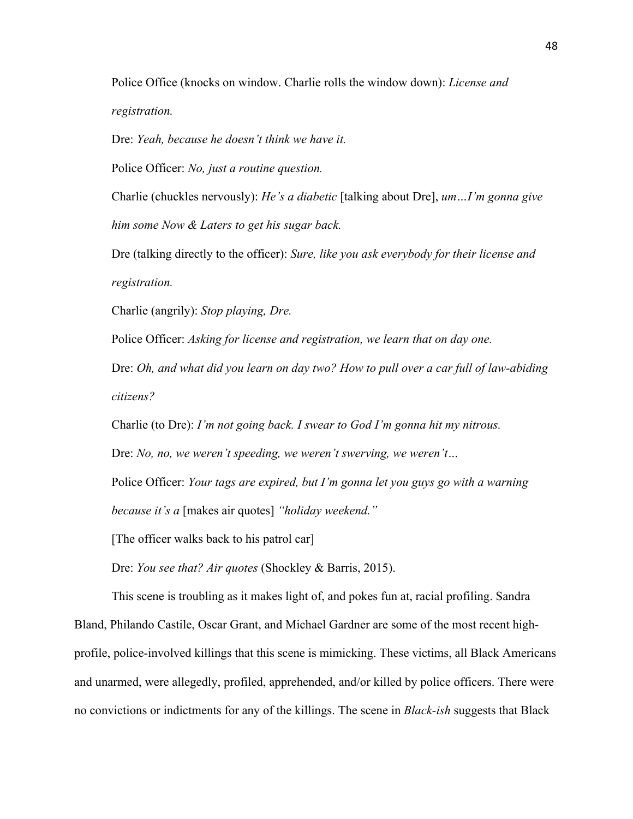Police Office (knocks on window. Charlie rolls the window down): *License and registration.*

Dre: *Yeah, because he doesn't think we have it.*

Police Officer: *No, just a routine question.*

Charlie (chuckles nervously): *He's a diabetic* [talking about Dre], *um…I'm gonna give him some Now & Laters to get his sugar back.*

Dre (talking directly to the officer): *Sure, like you ask everybody for their license and registration.*

Charlie (angrily): *Stop playing, Dre.* 

Police Officer: *Asking for license and registration, we learn that on day one.* 

Dre: *Oh, and what did you learn on day two? How to pull over a car full of law-abiding citizens?*

Charlie (to Dre): *I'm not going back. I swear to God I'm gonna hit my nitrous.*

Dre: *No, no, we weren't speeding, we weren't swerving, we weren't…*

Police Officer: *Your tags are expired, but I'm gonna let you guys go with a warning because it's a* [makes air quotes] *"holiday weekend."*

[The officer walks back to his patrol car]

Dre: *You see that? Air quotes* (Shockley & Barris, 2015).

This scene is troubling as it makes light of, and pokes fun at, racial profiling. Sandra Bland, Philando Castile, Oscar Grant, and Michael Gardner are some of the most recent highprofile, police-involved killings that this scene is mimicking. These victims, all Black Americans and unarmed, were allegedly, profiled, apprehended, and/or killed by police officers. There were no convictions or indictments for any of the killings. The scene in *Black-ish* suggests that Black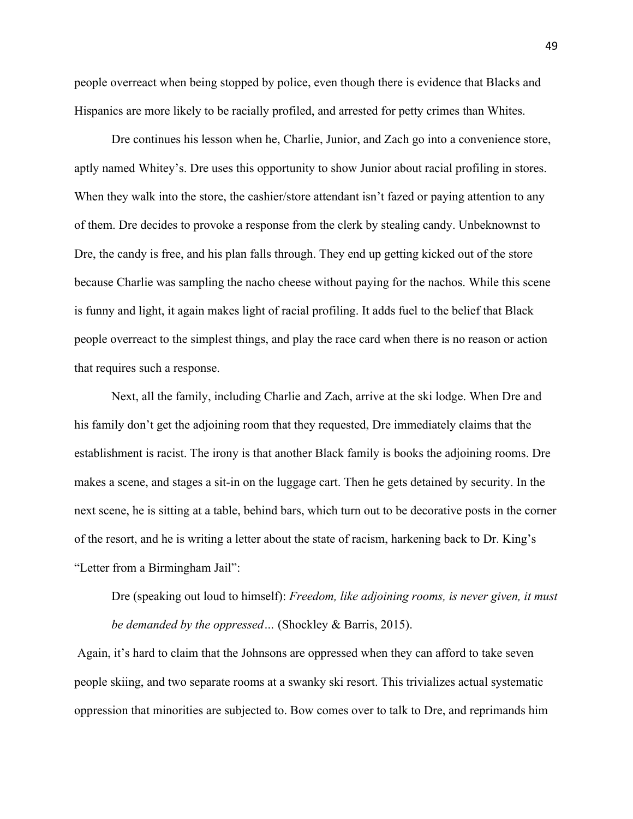people overreact when being stopped by police, even though there is evidence that Blacks and Hispanics are more likely to be racially profiled, and arrested for petty crimes than Whites.

Dre continues his lesson when he, Charlie, Junior, and Zach go into a convenience store, aptly named Whitey's. Dre uses this opportunity to show Junior about racial profiling in stores. When they walk into the store, the cashier/store attendant isn't fazed or paying attention to any of them. Dre decides to provoke a response from the clerk by stealing candy. Unbeknownst to Dre, the candy is free, and his plan falls through. They end up getting kicked out of the store because Charlie was sampling the nacho cheese without paying for the nachos. While this scene is funny and light, it again makes light of racial profiling. It adds fuel to the belief that Black people overreact to the simplest things, and play the race card when there is no reason or action that requires such a response.

Next, all the family, including Charlie and Zach, arrive at the ski lodge. When Dre and his family don't get the adjoining room that they requested, Dre immediately claims that the establishment is racist. The irony is that another Black family is books the adjoining rooms. Dre makes a scene, and stages a sit-in on the luggage cart. Then he gets detained by security. In the next scene, he is sitting at a table, behind bars, which turn out to be decorative posts in the corner of the resort, and he is writing a letter about the state of racism, harkening back to Dr. King's "Letter from a Birmingham Jail":

Dre (speaking out loud to himself): *Freedom, like adjoining rooms, is never given, it must be demanded by the oppressed…* (Shockley & Barris, 2015).

Again, it's hard to claim that the Johnsons are oppressed when they can afford to take seven people skiing, and two separate rooms at a swanky ski resort. This trivializes actual systematic oppression that minorities are subjected to. Bow comes over to talk to Dre, and reprimands him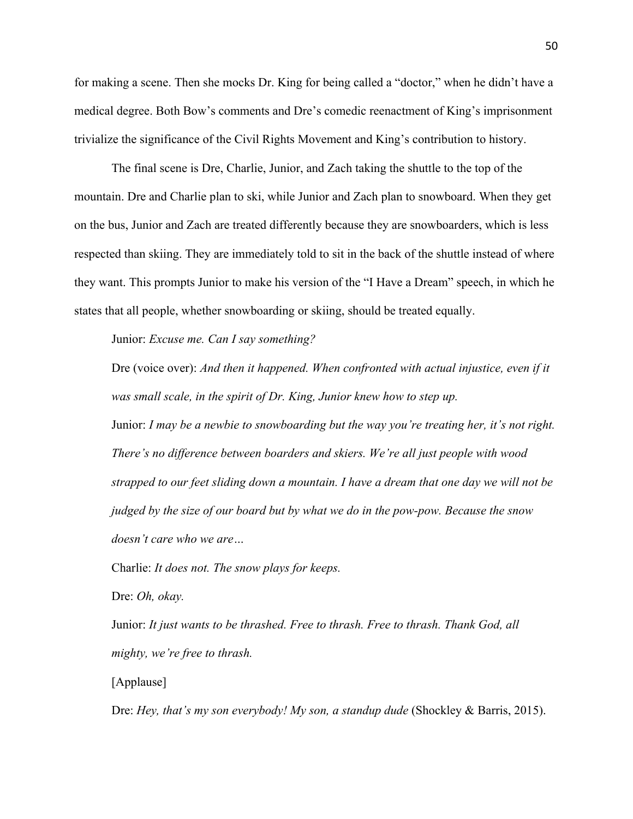for making a scene. Then she mocks Dr. King for being called a "doctor," when he didn't have a medical degree. Both Bow's comments and Dre's comedic reenactment of King's imprisonment trivialize the significance of the Civil Rights Movement and King's contribution to history.

The final scene is Dre, Charlie, Junior, and Zach taking the shuttle to the top of the mountain. Dre and Charlie plan to ski, while Junior and Zach plan to snowboard. When they get on the bus, Junior and Zach are treated differently because they are snowboarders, which is less respected than skiing. They are immediately told to sit in the back of the shuttle instead of where they want. This prompts Junior to make his version of the "I Have a Dream" speech, in which he states that all people, whether snowboarding or skiing, should be treated equally.

Junior: *Excuse me. Can I say something?*

Dre (voice over): *And then it happened. When confronted with actual injustice, even if it was small scale, in the spirit of Dr. King, Junior knew how to step up.*

Junior: *I may be a newbie to snowboarding but the way you're treating her, it's not right. There's no difference between boarders and skiers. We're all just people with wood strapped to our feet sliding down a mountain. I have a dream that one day we will not be judged by the size of our board but by what we do in the pow-pow. Because the snow doesn't care who we are…*

Charlie: *It does not. The snow plays for keeps.*

Dre: *Oh, okay.*

Junior: *It just wants to be thrashed. Free to thrash. Free to thrash. Thank God, all mighty, we're free to thrash.*

[Applause]

Dre: *Hey, that's my son everybody! My son, a standup dude* (Shockley & Barris, 2015).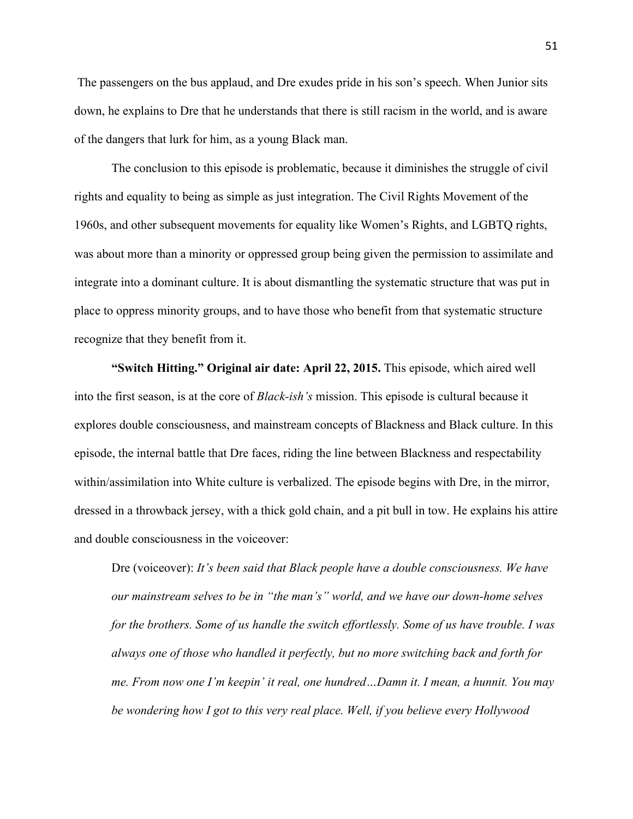The passengers on the bus applaud, and Dre exudes pride in his son's speech. When Junior sits down, he explains to Dre that he understands that there is still racism in the world, and is aware of the dangers that lurk for him, as a young Black man.

The conclusion to this episode is problematic, because it diminishes the struggle of civil rights and equality to being as simple as just integration. The Civil Rights Movement of the 1960s, and other subsequent movements for equality like Women's Rights, and LGBTQ rights, was about more than a minority or oppressed group being given the permission to assimilate and integrate into a dominant culture. It is about dismantling the systematic structure that was put in place to oppress minority groups, and to have those who benefit from that systematic structure recognize that they benefit from it.

**"Switch Hitting." Original air date: April 22, 2015.** This episode, which aired well into the first season, is at the core of *Black-ish's* mission. This episode is cultural because it explores double consciousness, and mainstream concepts of Blackness and Black culture. In this episode, the internal battle that Dre faces, riding the line between Blackness and respectability within/assimilation into White culture is verbalized. The episode begins with Dre, in the mirror, dressed in a throwback jersey, with a thick gold chain, and a pit bull in tow. He explains his attire and double consciousness in the voiceover:

Dre (voiceover): *It's been said that Black people have a double consciousness. We have our mainstream selves to be in "the man's" world, and we have our down-home selves for the brothers. Some of us handle the switch effortlessly. Some of us have trouble. I was always one of those who handled it perfectly, but no more switching back and forth for me. From now one I'm keepin' it real, one hundred…Damn it. I mean, a hunnit. You may be wondering how I got to this very real place. Well, if you believe every Hollywood*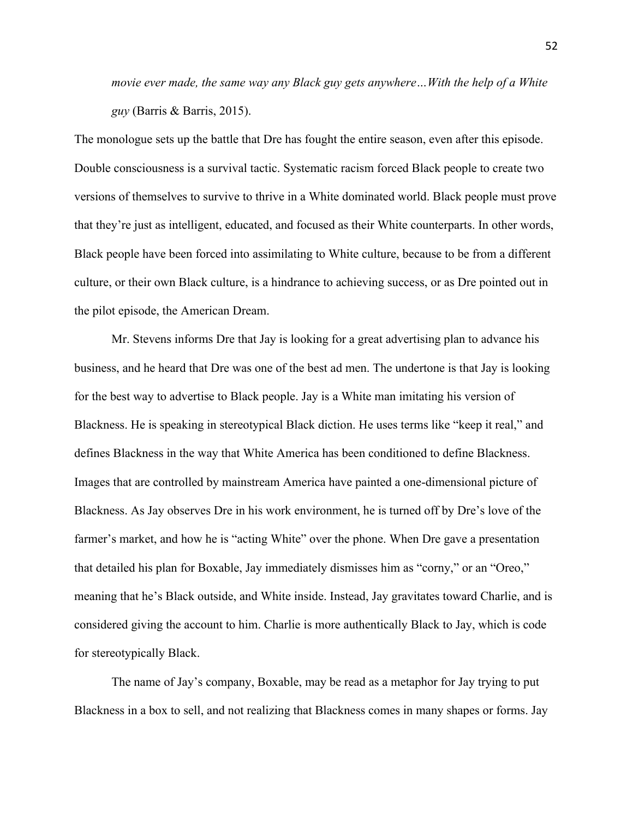*movie ever made, the same way any Black guy gets anywhere…With the help of a White guy* (Barris & Barris, 2015).

The monologue sets up the battle that Dre has fought the entire season, even after this episode. Double consciousness is a survival tactic. Systematic racism forced Black people to create two versions of themselves to survive to thrive in a White dominated world. Black people must prove that they're just as intelligent, educated, and focused as their White counterparts. In other words, Black people have been forced into assimilating to White culture, because to be from a different culture, or their own Black culture, is a hindrance to achieving success, or as Dre pointed out in the pilot episode, the American Dream.

Mr. Stevens informs Dre that Jay is looking for a great advertising plan to advance his business, and he heard that Dre was one of the best ad men. The undertone is that Jay is looking for the best way to advertise to Black people. Jay is a White man imitating his version of Blackness. He is speaking in stereotypical Black diction. He uses terms like "keep it real," and defines Blackness in the way that White America has been conditioned to define Blackness. Images that are controlled by mainstream America have painted a one-dimensional picture of Blackness. As Jay observes Dre in his work environment, he is turned off by Dre's love of the farmer's market, and how he is "acting White" over the phone. When Dre gave a presentation that detailed his plan for Boxable, Jay immediately dismisses him as "corny," or an "Oreo," meaning that he's Black outside, and White inside. Instead, Jay gravitates toward Charlie, and is considered giving the account to him. Charlie is more authentically Black to Jay, which is code for stereotypically Black.

The name of Jay's company, Boxable, may be read as a metaphor for Jay trying to put Blackness in a box to sell, and not realizing that Blackness comes in many shapes or forms. Jay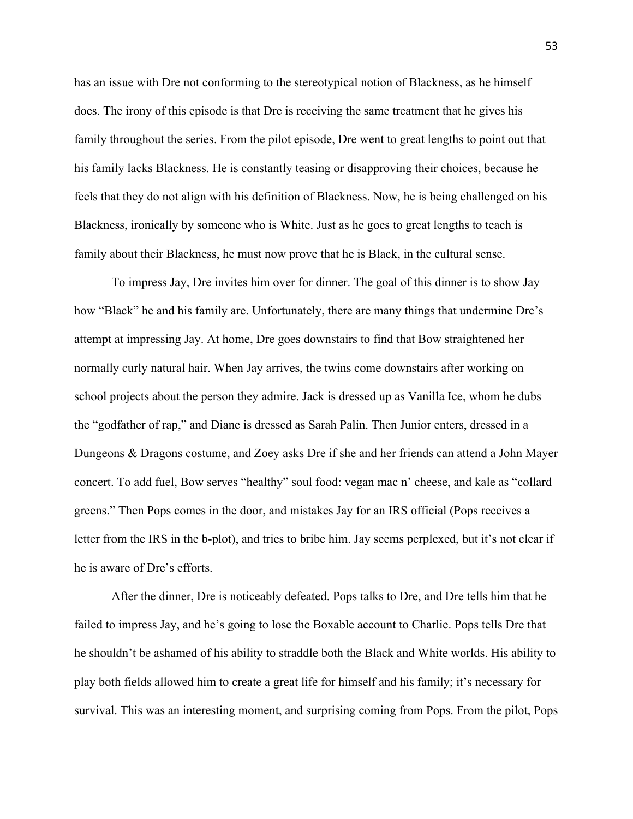has an issue with Dre not conforming to the stereotypical notion of Blackness, as he himself does. The irony of this episode is that Dre is receiving the same treatment that he gives his family throughout the series. From the pilot episode, Dre went to great lengths to point out that his family lacks Blackness. He is constantly teasing or disapproving their choices, because he feels that they do not align with his definition of Blackness. Now, he is being challenged on his Blackness, ironically by someone who is White. Just as he goes to great lengths to teach is family about their Blackness, he must now prove that he is Black, in the cultural sense.

To impress Jay, Dre invites him over for dinner. The goal of this dinner is to show Jay how "Black" he and his family are. Unfortunately, there are many things that undermine Dre's attempt at impressing Jay. At home, Dre goes downstairs to find that Bow straightened her normally curly natural hair. When Jay arrives, the twins come downstairs after working on school projects about the person they admire. Jack is dressed up as Vanilla Ice, whom he dubs the "godfather of rap," and Diane is dressed as Sarah Palin. Then Junior enters, dressed in a Dungeons & Dragons costume, and Zoey asks Dre if she and her friends can attend a John Mayer concert. To add fuel, Bow serves "healthy" soul food: vegan mac n' cheese, and kale as "collard greens." Then Pops comes in the door, and mistakes Jay for an IRS official (Pops receives a letter from the IRS in the b-plot), and tries to bribe him. Jay seems perplexed, but it's not clear if he is aware of Dre's efforts.

After the dinner, Dre is noticeably defeated. Pops talks to Dre, and Dre tells him that he failed to impress Jay, and he's going to lose the Boxable account to Charlie. Pops tells Dre that he shouldn't be ashamed of his ability to straddle both the Black and White worlds. His ability to play both fields allowed him to create a great life for himself and his family; it's necessary for survival. This was an interesting moment, and surprising coming from Pops. From the pilot, Pops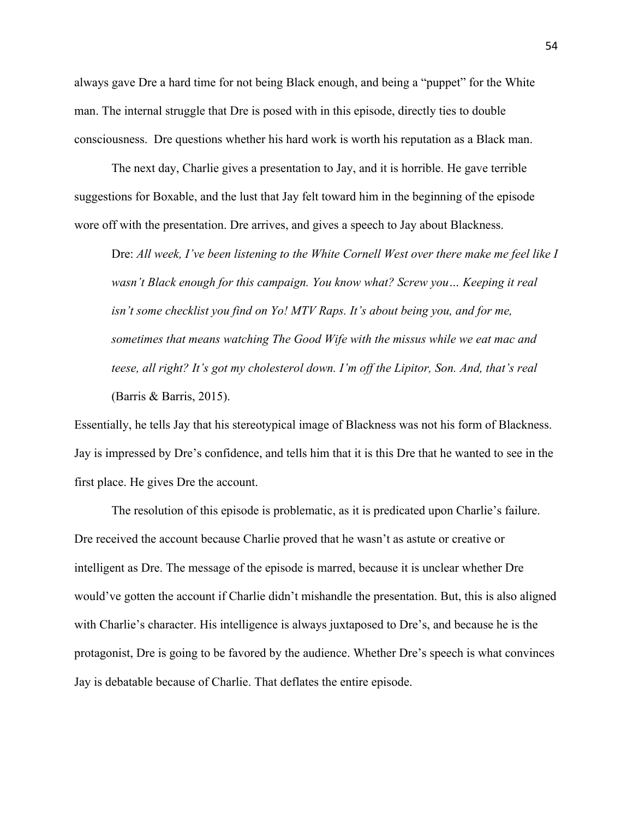always gave Dre a hard time for not being Black enough, and being a "puppet" for the White man. The internal struggle that Dre is posed with in this episode, directly ties to double consciousness. Dre questions whether his hard work is worth his reputation as a Black man.

The next day, Charlie gives a presentation to Jay, and it is horrible. He gave terrible suggestions for Boxable, and the lust that Jay felt toward him in the beginning of the episode wore off with the presentation. Dre arrives, and gives a speech to Jay about Blackness.

Dre: *All week, I've been listening to the White Cornell West over there make me feel like I wasn't Black enough for this campaign. You know what? Screw you… Keeping it real isn't some checklist you find on Yo! MTV Raps. It's about being you, and for me, sometimes that means watching The Good Wife with the missus while we eat mac and teese, all right? It's got my cholesterol down. I'm off the Lipitor, Son. And, that's real* (Barris & Barris, 2015).

Essentially, he tells Jay that his stereotypical image of Blackness was not his form of Blackness. Jay is impressed by Dre's confidence, and tells him that it is this Dre that he wanted to see in the first place. He gives Dre the account.

The resolution of this episode is problematic, as it is predicated upon Charlie's failure. Dre received the account because Charlie proved that he wasn't as astute or creative or intelligent as Dre. The message of the episode is marred, because it is unclear whether Dre would've gotten the account if Charlie didn't mishandle the presentation. But, this is also aligned with Charlie's character. His intelligence is always juxtaposed to Dre's, and because he is the protagonist, Dre is going to be favored by the audience. Whether Dre's speech is what convinces Jay is debatable because of Charlie. That deflates the entire episode.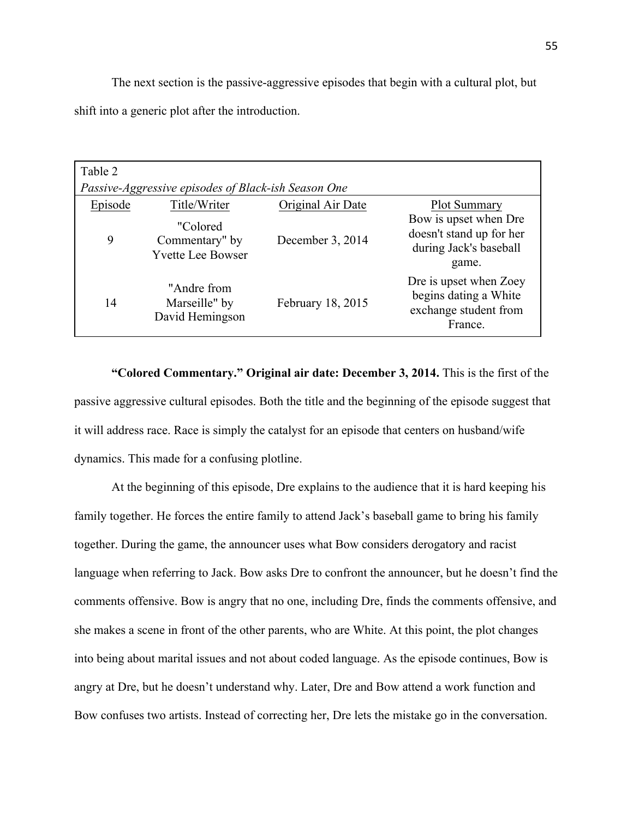The next section is the passive-aggressive episodes that begin with a cultural plot, but shift into a generic plot after the introduction.

| Table 2                                             |                                                        |                   |                                                                                      |  |  |  |  |
|-----------------------------------------------------|--------------------------------------------------------|-------------------|--------------------------------------------------------------------------------------|--|--|--|--|
| Passive-Aggressive episodes of Black-ish Season One |                                                        |                   |                                                                                      |  |  |  |  |
| Episode                                             | Title/Writer                                           | Original Air Date | <b>Plot Summary</b>                                                                  |  |  |  |  |
| 9                                                   | "Colored<br>Commentary" by<br><b>Yvette Lee Bowser</b> | December 3, 2014  | Bow is upset when Dre<br>doesn't stand up for her<br>during Jack's baseball<br>game. |  |  |  |  |
| 14                                                  | "Andre from<br>Marseille" by<br>David Hemingson        | February 18, 2015 | Dre is upset when Zoey<br>begins dating a White<br>exchange student from<br>France.  |  |  |  |  |

**"Colored Commentary." Original air date: December 3, 2014.** This is the first of the passive aggressive cultural episodes. Both the title and the beginning of the episode suggest that it will address race. Race is simply the catalyst for an episode that centers on husband/wife dynamics. This made for a confusing plotline.

At the beginning of this episode, Dre explains to the audience that it is hard keeping his family together. He forces the entire family to attend Jack's baseball game to bring his family together. During the game, the announcer uses what Bow considers derogatory and racist language when referring to Jack. Bow asks Dre to confront the announcer, but he doesn't find the comments offensive. Bow is angry that no one, including Dre, finds the comments offensive, and she makes a scene in front of the other parents, who are White. At this point, the plot changes into being about marital issues and not about coded language. As the episode continues, Bow is angry at Dre, but he doesn't understand why. Later, Dre and Bow attend a work function and Bow confuses two artists. Instead of correcting her, Dre lets the mistake go in the conversation.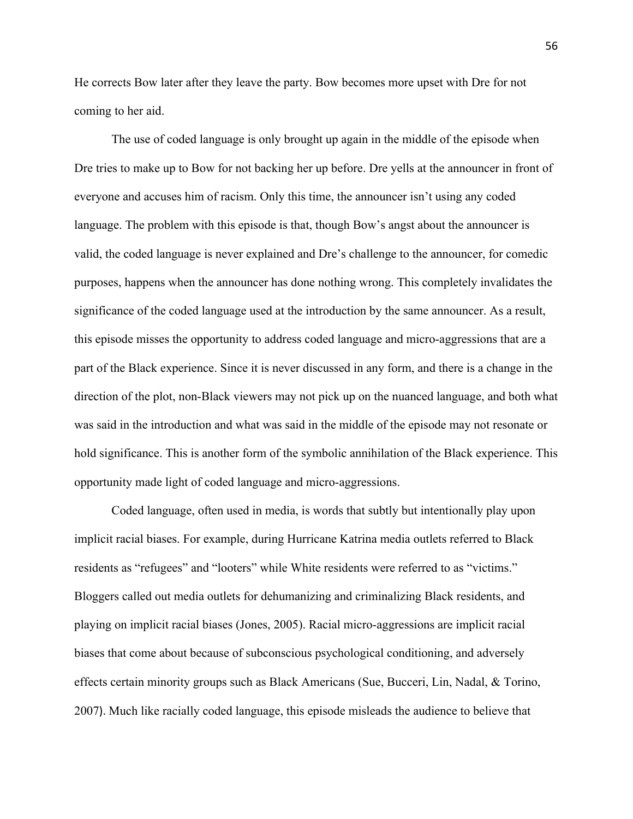He corrects Bow later after they leave the party. Bow becomes more upset with Dre for not coming to her aid.

The use of coded language is only brought up again in the middle of the episode when Dre tries to make up to Bow for not backing her up before. Dre yells at the announcer in front of everyone and accuses him of racism. Only this time, the announcer isn't using any coded language. The problem with this episode is that, though Bow's angst about the announcer is valid, the coded language is never explained and Dre's challenge to the announcer, for comedic purposes, happens when the announcer has done nothing wrong. This completely invalidates the significance of the coded language used at the introduction by the same announcer. As a result, this episode misses the opportunity to address coded language and micro-aggressions that are a part of the Black experience. Since it is never discussed in any form, and there is a change in the direction of the plot, non-Black viewers may not pick up on the nuanced language, and both what was said in the introduction and what was said in the middle of the episode may not resonate or hold significance. This is another form of the symbolic annihilation of the Black experience. This opportunity made light of coded language and micro-aggressions.

Coded language, often used in media, is words that subtly but intentionally play upon implicit racial biases. For example, during Hurricane Katrina media outlets referred to Black residents as "refugees" and "looters" while White residents were referred to as "victims." Bloggers called out media outlets for dehumanizing and criminalizing Black residents, and playing on implicit racial biases (Jones, 2005). Racial micro-aggressions are implicit racial biases that come about because of subconscious psychological conditioning, and adversely effects certain minority groups such as Black Americans (Sue, Bucceri, Lin, Nadal, & Torino, 2007). Much like racially coded language, this episode misleads the audience to believe that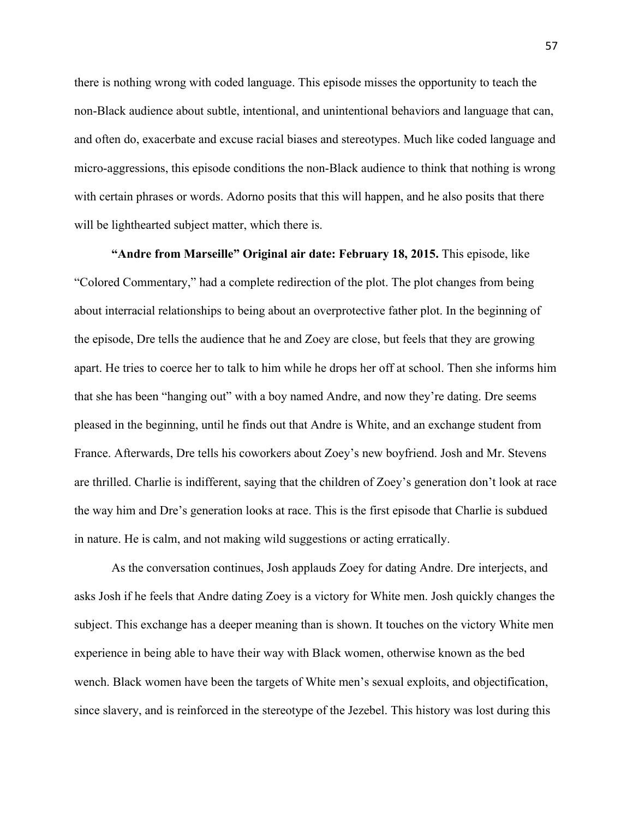there is nothing wrong with coded language. This episode misses the opportunity to teach the non-Black audience about subtle, intentional, and unintentional behaviors and language that can, and often do, exacerbate and excuse racial biases and stereotypes. Much like coded language and micro-aggressions, this episode conditions the non-Black audience to think that nothing is wrong with certain phrases or words. Adorno posits that this will happen, and he also posits that there will be lighthearted subject matter, which there is.

**"Andre from Marseille" Original air date: February 18, 2015.** This episode, like "Colored Commentary," had a complete redirection of the plot. The plot changes from being about interracial relationships to being about an overprotective father plot. In the beginning of the episode, Dre tells the audience that he and Zoey are close, but feels that they are growing apart. He tries to coerce her to talk to him while he drops her off at school. Then she informs him that she has been "hanging out" with a boy named Andre, and now they're dating. Dre seems pleased in the beginning, until he finds out that Andre is White, and an exchange student from France. Afterwards, Dre tells his coworkers about Zoey's new boyfriend. Josh and Mr. Stevens are thrilled. Charlie is indifferent, saying that the children of Zoey's generation don't look at race the way him and Dre's generation looks at race. This is the first episode that Charlie is subdued in nature. He is calm, and not making wild suggestions or acting erratically.

As the conversation continues, Josh applauds Zoey for dating Andre. Dre interjects, and asks Josh if he feels that Andre dating Zoey is a victory for White men. Josh quickly changes the subject. This exchange has a deeper meaning than is shown. It touches on the victory White men experience in being able to have their way with Black women, otherwise known as the bed wench. Black women have been the targets of White men's sexual exploits, and objectification, since slavery, and is reinforced in the stereotype of the Jezebel. This history was lost during this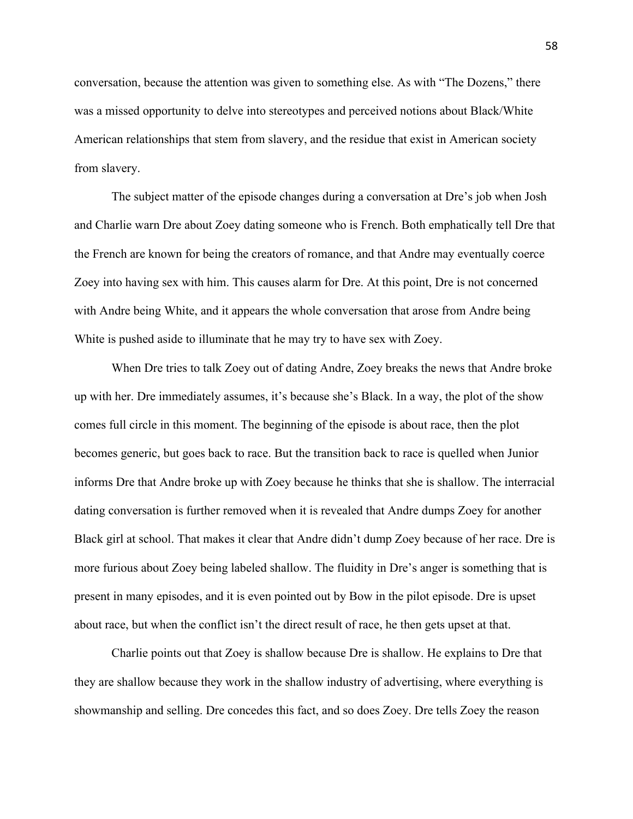conversation, because the attention was given to something else. As with "The Dozens," there was a missed opportunity to delve into stereotypes and perceived notions about Black/White American relationships that stem from slavery, and the residue that exist in American society from slavery.

The subject matter of the episode changes during a conversation at Dre's job when Josh and Charlie warn Dre about Zoey dating someone who is French. Both emphatically tell Dre that the French are known for being the creators of romance, and that Andre may eventually coerce Zoey into having sex with him. This causes alarm for Dre. At this point, Dre is not concerned with Andre being White, and it appears the whole conversation that arose from Andre being White is pushed aside to illuminate that he may try to have sex with Zoey.

When Dre tries to talk Zoey out of dating Andre, Zoey breaks the news that Andre broke up with her. Dre immediately assumes, it's because she's Black. In a way, the plot of the show comes full circle in this moment. The beginning of the episode is about race, then the plot becomes generic, but goes back to race. But the transition back to race is quelled when Junior informs Dre that Andre broke up with Zoey because he thinks that she is shallow. The interracial dating conversation is further removed when it is revealed that Andre dumps Zoey for another Black girl at school. That makes it clear that Andre didn't dump Zoey because of her race. Dre is more furious about Zoey being labeled shallow. The fluidity in Dre's anger is something that is present in many episodes, and it is even pointed out by Bow in the pilot episode. Dre is upset about race, but when the conflict isn't the direct result of race, he then gets upset at that.

Charlie points out that Zoey is shallow because Dre is shallow. He explains to Dre that they are shallow because they work in the shallow industry of advertising, where everything is showmanship and selling. Dre concedes this fact, and so does Zoey. Dre tells Zoey the reason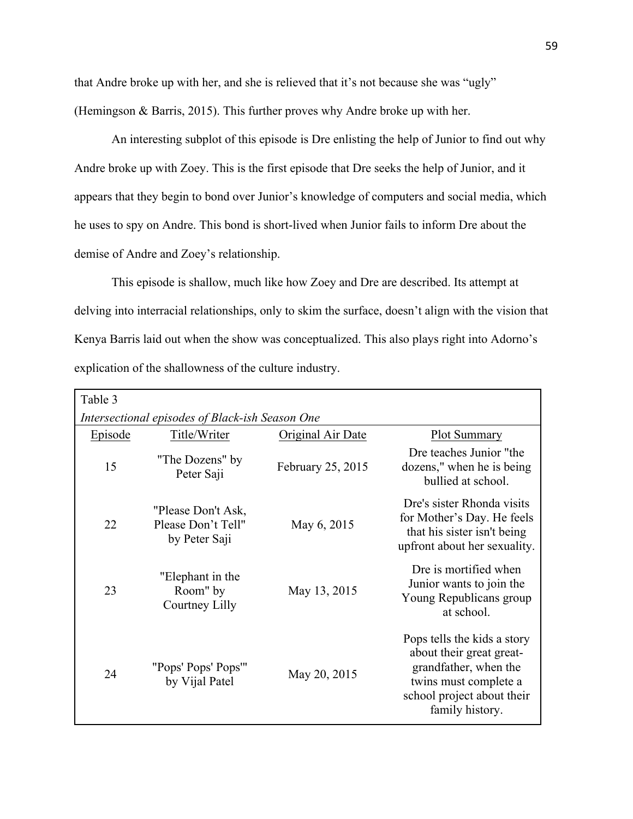that Andre broke up with her, and she is relieved that it's not because she was "ugly" (Hemingson & Barris, 2015). This further proves why Andre broke up with her.

An interesting subplot of this episode is Dre enlisting the help of Junior to find out why Andre broke up with Zoey. This is the first episode that Dre seeks the help of Junior, and it appears that they begin to bond over Junior's knowledge of computers and social media, which he uses to spy on Andre. This bond is short-lived when Junior fails to inform Dre about the demise of Andre and Zoey's relationship.

This episode is shallow, much like how Zoey and Dre are described. Its attempt at delving into interracial relationships, only to skim the surface, doesn't align with the vision that Kenya Barris laid out when the show was conceptualized. This also plays right into Adorno's explication of the shallowness of the culture industry.

| Table 3                                         |                                                           |                   |                                                                                                                                                            |  |  |  |
|-------------------------------------------------|-----------------------------------------------------------|-------------------|------------------------------------------------------------------------------------------------------------------------------------------------------------|--|--|--|
| Intersectional episodes of Black-ish Season One |                                                           |                   |                                                                                                                                                            |  |  |  |
| Episode                                         | Title/Writer                                              | Original Air Date | <b>Plot Summary</b>                                                                                                                                        |  |  |  |
| 15                                              | "The Dozens" by<br>Peter Saji                             | February 25, 2015 | Dre teaches Junior "the<br>dozens," when he is being<br>bullied at school.                                                                                 |  |  |  |
| 22                                              | "Please Don't Ask,<br>Please Don't Tell"<br>by Peter Saji | May 6, 2015       | Dre's sister Rhonda visits<br>for Mother's Day. He feels<br>that his sister isn't being<br>upfront about her sexuality.                                    |  |  |  |
| 23                                              | "Elephant in the<br>Room" by<br>Courtney Lilly            | May 13, 2015      | Dre is mortified when<br>Junior wants to join the<br>Young Republicans group<br>at school.                                                                 |  |  |  |
| 24                                              | "Pops' Pops' Pops'"<br>by Vijal Patel                     | May 20, 2015      | Pops tells the kids a story<br>about their great great-<br>grandfather, when the<br>twins must complete a<br>school project about their<br>family history. |  |  |  |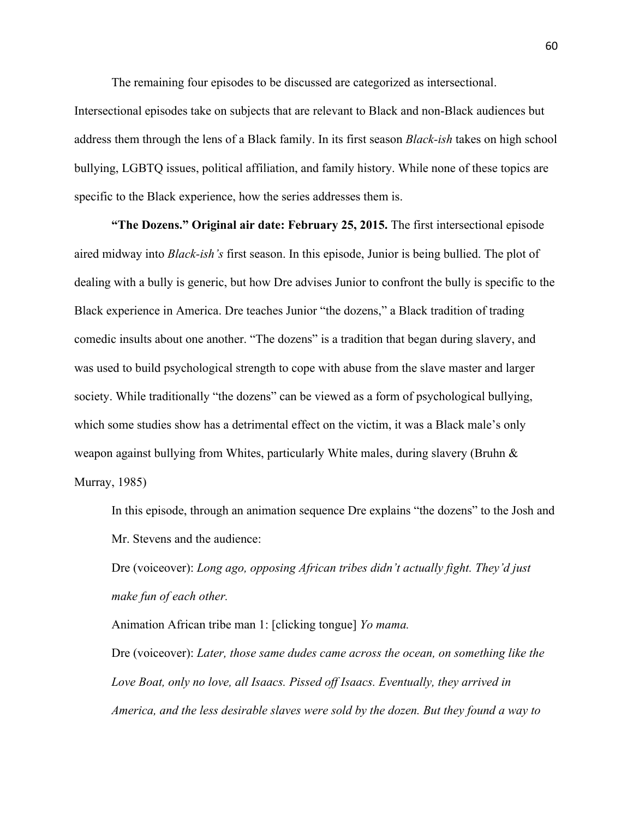The remaining four episodes to be discussed are categorized as intersectional.

Intersectional episodes take on subjects that are relevant to Black and non-Black audiences but address them through the lens of a Black family. In its first season *Black-ish* takes on high school bullying, LGBTQ issues, political affiliation, and family history. While none of these topics are specific to the Black experience, how the series addresses them is.

**"The Dozens." Original air date: February 25, 2015.** The first intersectional episode aired midway into *Black-ish's* first season. In this episode, Junior is being bullied. The plot of dealing with a bully is generic, but how Dre advises Junior to confront the bully is specific to the Black experience in America. Dre teaches Junior "the dozens," a Black tradition of trading comedic insults about one another. "The dozens" is a tradition that began during slavery, and was used to build psychological strength to cope with abuse from the slave master and larger society. While traditionally "the dozens" can be viewed as a form of psychological bullying, which some studies show has a detrimental effect on the victim, it was a Black male's only weapon against bullying from Whites, particularly White males, during slavery (Bruhn & Murray, 1985)

In this episode, through an animation sequence Dre explains "the dozens" to the Josh and Mr. Stevens and the audience:

Dre (voiceover): *Long ago, opposing African tribes didn't actually fight. They'd just make fun of each other.*

Animation African tribe man 1: [clicking tongue] *Yo mama.* Dre (voiceover): *Later, those same dudes came across the ocean, on something like the Love Boat, only no love, all Isaacs. Pissed off Isaacs. Eventually, they arrived in America, and the less desirable slaves were sold by the dozen. But they found a way to*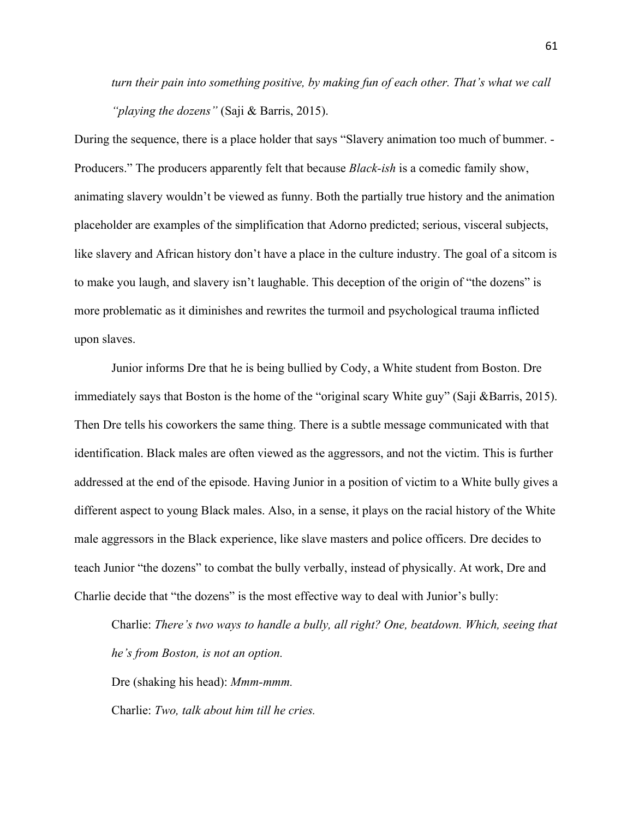*turn their pain into something positive, by making fun of each other. That's what we call "playing the dozens"* (Saji & Barris, 2015).

During the sequence, there is a place holder that says "Slavery animation too much of bummer. - Producers." The producers apparently felt that because *Black-ish* is a comedic family show, animating slavery wouldn't be viewed as funny. Both the partially true history and the animation placeholder are examples of the simplification that Adorno predicted; serious, visceral subjects, like slavery and African history don't have a place in the culture industry. The goal of a sitcom is to make you laugh, and slavery isn't laughable. This deception of the origin of "the dozens" is more problematic as it diminishes and rewrites the turmoil and psychological trauma inflicted upon slaves.

Junior informs Dre that he is being bullied by Cody, a White student from Boston. Dre immediately says that Boston is the home of the "original scary White guy" (Saji &Barris, 2015). Then Dre tells his coworkers the same thing. There is a subtle message communicated with that identification. Black males are often viewed as the aggressors, and not the victim. This is further addressed at the end of the episode. Having Junior in a position of victim to a White bully gives a different aspect to young Black males. Also, in a sense, it plays on the racial history of the White male aggressors in the Black experience, like slave masters and police officers. Dre decides to teach Junior "the dozens" to combat the bully verbally, instead of physically. At work, Dre and Charlie decide that "the dozens" is the most effective way to deal with Junior's bully:

Charlie: *There's two ways to handle a bully, all right? One, beatdown. Which, seeing that he's from Boston, is not an option.*

Dre (shaking his head): *Mmm-mmm.*

Charlie: *Two, talk about him till he cries.*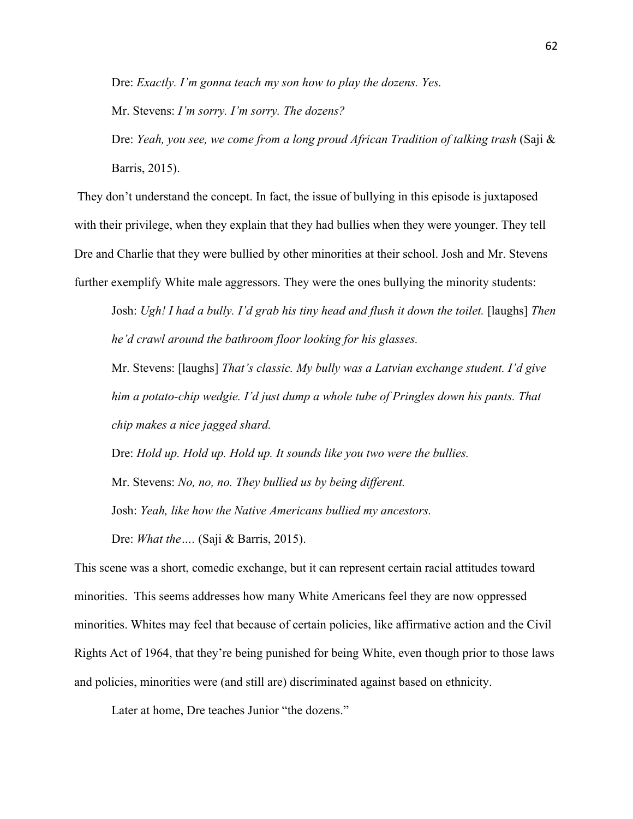Dre: *Exactly. I'm gonna teach my son how to play the dozens. Yes.*

Mr. Stevens: *I'm sorry. I'm sorry. The dozens?*

Dre: *Yeah, you see, we come from a long proud African Tradition of talking trash* (Saji & Barris, 2015).

They don't understand the concept. In fact, the issue of bullying in this episode is juxtaposed with their privilege, when they explain that they had bullies when they were younger. They tell Dre and Charlie that they were bullied by other minorities at their school. Josh and Mr. Stevens further exemplify White male aggressors. They were the ones bullying the minority students:

Josh: *Ugh! I had a bully. I'd grab his tiny head and flush it down the toilet.* [laughs] *Then he'd crawl around the bathroom floor looking for his glasses.* 

Mr. Stevens: [laughs] *That's classic. My bully was a Latvian exchange student. I'd give him a potato-chip wedgie. I'd just dump a whole tube of Pringles down his pants. That chip makes a nice jagged shard.*

Dre: *Hold up. Hold up. Hold up. It sounds like you two were the bullies.* Mr. Stevens: *No, no, no. They bullied us by being different.* Josh: *Yeah, like how the Native Americans bullied my ancestors.* Dre: *What the….* (Saji & Barris, 2015).

This scene was a short, comedic exchange, but it can represent certain racial attitudes toward minorities. This seems addresses how many White Americans feel they are now oppressed minorities. Whites may feel that because of certain policies, like affirmative action and the Civil Rights Act of 1964, that they're being punished for being White, even though prior to those laws and policies, minorities were (and still are) discriminated against based on ethnicity.

Later at home, Dre teaches Junior "the dozens."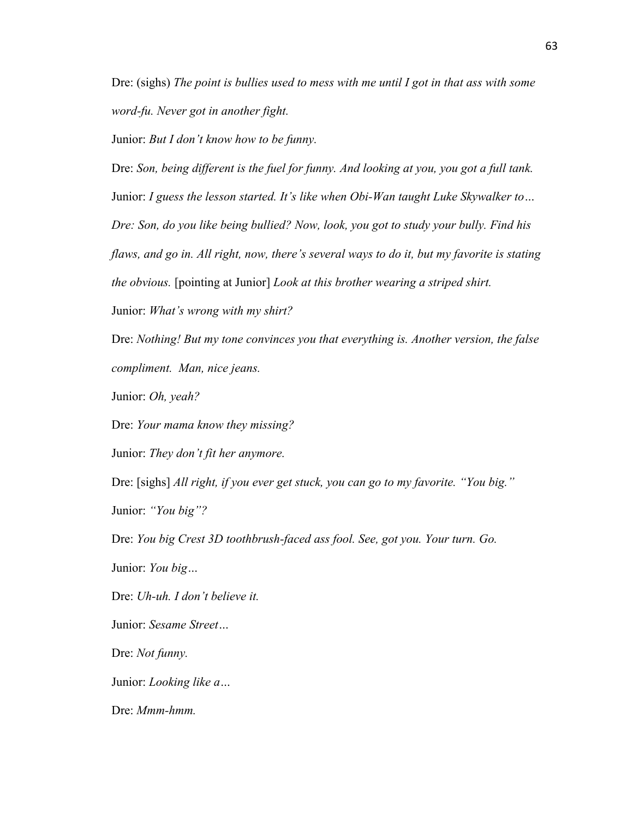Dre: (sighs) *The point is bullies used to mess with me until I got in that ass with some word-fu. Never got in another fight.*

Junior: *But I don't know how to be funny.*

Dre: *Son, being different is the fuel for funny. And looking at you, you got a full tank.* Junior: *I guess the lesson started. It's like when Obi-Wan taught Luke Skywalker to… Dre: Son, do you like being bullied? Now, look, you got to study your bully. Find his flaws, and go in. All right, now, there's several ways to do it, but my favorite is stating the obvious.* [pointing at Junior] *Look at this brother wearing a striped shirt.*

Junior: *What's wrong with my shirt?*

Dre: *Nothing! But my tone convinces you that everything is. Another version, the false compliment. Man, nice jeans.*

Junior: *Oh, yeah?*

Dre: *Your mama know they missing?*

Junior: *They don't fit her anymore.*

Dre: [sighs] *All right, if you ever get stuck, you can go to my favorite. "You big."* Junior: *"You big"?*

Dre: *You big Crest 3D toothbrush-faced ass fool. See, got you. Your turn. Go.*  Junior: *You big…*

Dre: *Uh-uh. I don't believe it.*

Junior: *Sesame Street…*

Dre: *Not funny.*

Junior: *Looking like a…*

Dre: *Mmm-hmm.*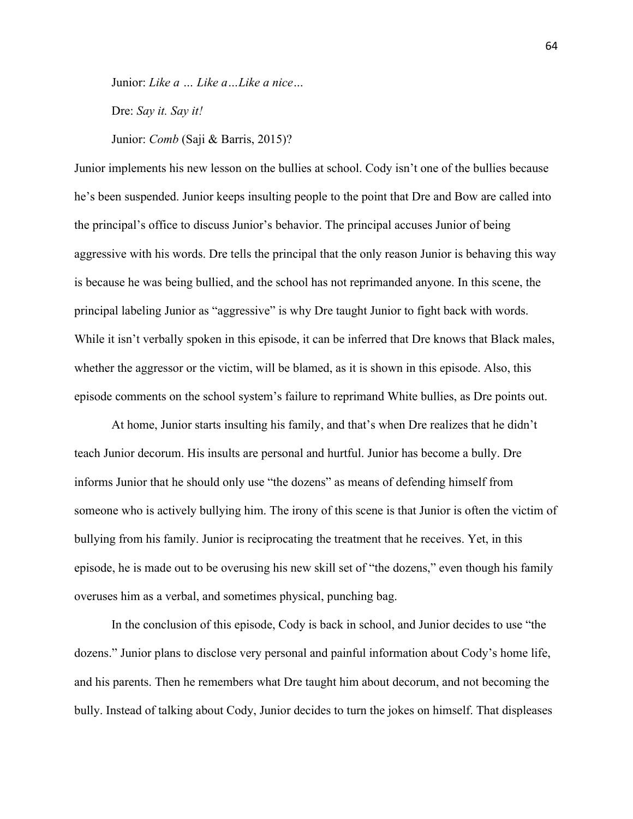Junior: *Like a … Like a…Like a nice…*

Dre: *Say it. Say it!*

Junior: *Comb* (Saji & Barris, 2015)?

Junior implements his new lesson on the bullies at school. Cody isn't one of the bullies because he's been suspended. Junior keeps insulting people to the point that Dre and Bow are called into the principal's office to discuss Junior's behavior. The principal accuses Junior of being aggressive with his words. Dre tells the principal that the only reason Junior is behaving this way is because he was being bullied, and the school has not reprimanded anyone. In this scene, the principal labeling Junior as "aggressive" is why Dre taught Junior to fight back with words. While it isn't verbally spoken in this episode, it can be inferred that Dre knows that Black males, whether the aggressor or the victim, will be blamed, as it is shown in this episode. Also, this episode comments on the school system's failure to reprimand White bullies, as Dre points out.

At home, Junior starts insulting his family, and that's when Dre realizes that he didn't teach Junior decorum. His insults are personal and hurtful. Junior has become a bully. Dre informs Junior that he should only use "the dozens" as means of defending himself from someone who is actively bullying him. The irony of this scene is that Junior is often the victim of bullying from his family. Junior is reciprocating the treatment that he receives. Yet, in this episode, he is made out to be overusing his new skill set of "the dozens," even though his family overuses him as a verbal, and sometimes physical, punching bag.

In the conclusion of this episode, Cody is back in school, and Junior decides to use "the dozens." Junior plans to disclose very personal and painful information about Cody's home life, and his parents. Then he remembers what Dre taught him about decorum, and not becoming the bully. Instead of talking about Cody, Junior decides to turn the jokes on himself. That displeases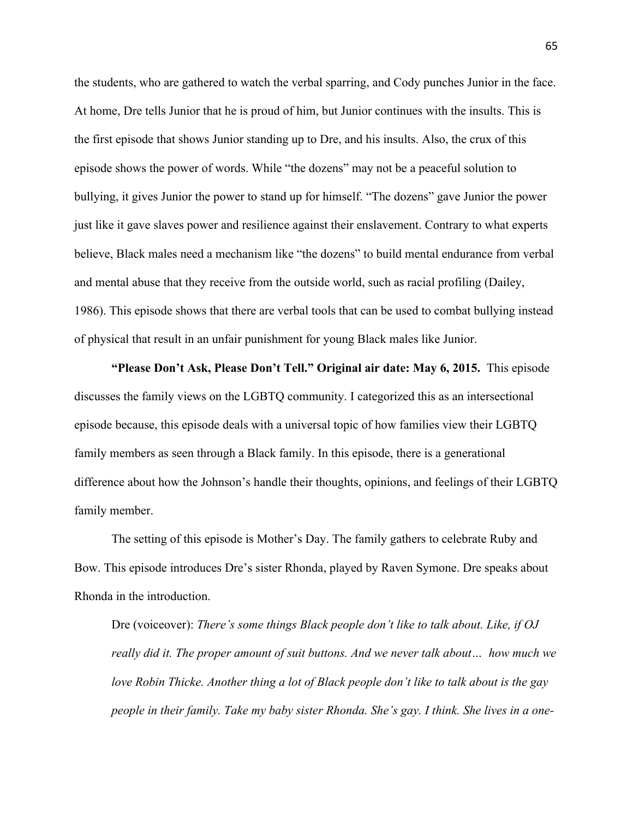the students, who are gathered to watch the verbal sparring, and Cody punches Junior in the face. At home, Dre tells Junior that he is proud of him, but Junior continues with the insults. This is the first episode that shows Junior standing up to Dre, and his insults. Also, the crux of this episode shows the power of words. While "the dozens" may not be a peaceful solution to bullying, it gives Junior the power to stand up for himself. "The dozens" gave Junior the power just like it gave slaves power and resilience against their enslavement. Contrary to what experts believe, Black males need a mechanism like "the dozens" to build mental endurance from verbal and mental abuse that they receive from the outside world, such as racial profiling (Dailey, 1986). This episode shows that there are verbal tools that can be used to combat bullying instead of physical that result in an unfair punishment for young Black males like Junior.

**"Please Don't Ask, Please Don't Tell." Original air date: May 6, 2015.** This episode discusses the family views on the LGBTQ community. I categorized this as an intersectional episode because, this episode deals with a universal topic of how families view their LGBTQ family members as seen through a Black family. In this episode, there is a generational difference about how the Johnson's handle their thoughts, opinions, and feelings of their LGBTQ family member.

The setting of this episode is Mother's Day. The family gathers to celebrate Ruby and Bow. This episode introduces Dre's sister Rhonda, played by Raven Symone. Dre speaks about Rhonda in the introduction.

Dre (voiceover): *There's some things Black people don't like to talk about. Like, if OJ really did it. The proper amount of suit buttons. And we never talk about… how much we love Robin Thicke. Another thing a lot of Black people don't like to talk about is the gay people in their family. Take my baby sister Rhonda. She's gay. I think. She lives in a one-*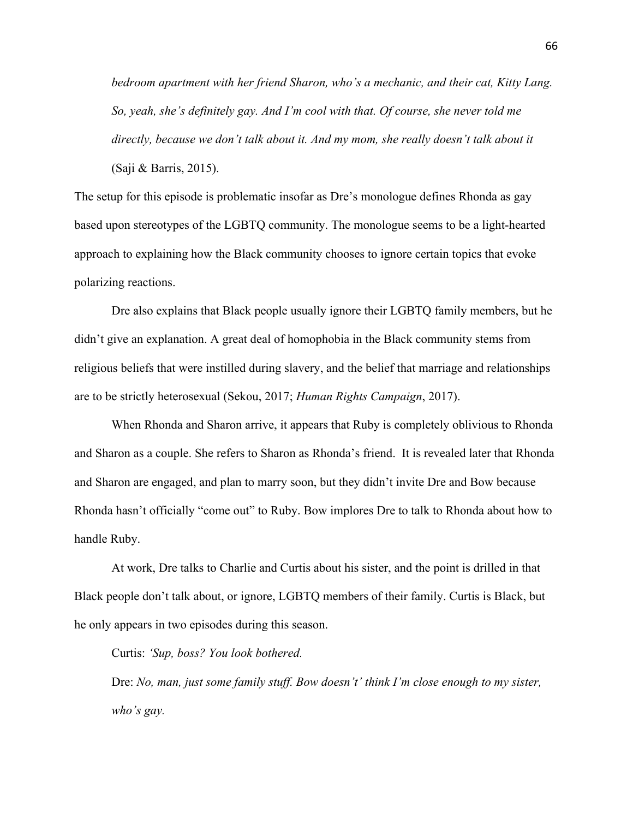*bedroom apartment with her friend Sharon, who's a mechanic, and their cat, Kitty Lang. So, yeah, she's definitely gay. And I'm cool with that. Of course, she never told me directly, because we don't talk about it. And my mom, she really doesn't talk about it* (Saji & Barris, 2015).

The setup for this episode is problematic insofar as Dre's monologue defines Rhonda as gay based upon stereotypes of the LGBTQ community. The monologue seems to be a light-hearted approach to explaining how the Black community chooses to ignore certain topics that evoke polarizing reactions.

Dre also explains that Black people usually ignore their LGBTQ family members, but he didn't give an explanation. A great deal of homophobia in the Black community stems from religious beliefs that were instilled during slavery, and the belief that marriage and relationships are to be strictly heterosexual (Sekou, 2017; *Human Rights Campaign*, 2017).

When Rhonda and Sharon arrive, it appears that Ruby is completely oblivious to Rhonda and Sharon as a couple. She refers to Sharon as Rhonda's friend. It is revealed later that Rhonda and Sharon are engaged, and plan to marry soon, but they didn't invite Dre and Bow because Rhonda hasn't officially "come out" to Ruby. Bow implores Dre to talk to Rhonda about how to handle Ruby.

At work, Dre talks to Charlie and Curtis about his sister, and the point is drilled in that Black people don't talk about, or ignore, LGBTQ members of their family. Curtis is Black, but he only appears in two episodes during this season.

#### Curtis: *'Sup, boss? You look bothered.*

Dre: *No, man, just some family stuff. Bow doesn't' think I'm close enough to my sister, who's gay.*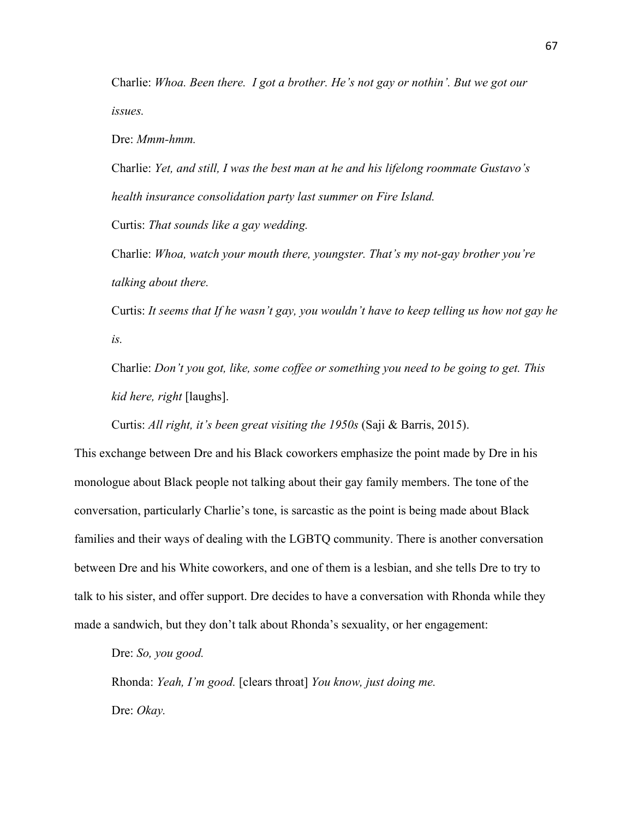Charlie: *Whoa. Been there. I got a brother. He's not gay or nothin'. But we got our issues.* 

Dre: *Mmm-hmm.*

Charlie: *Yet, and still, I was the best man at he and his lifelong roommate Gustavo's health insurance consolidation party last summer on Fire Island.* Curtis: *That sounds like a gay wedding.*

Charlie: *Whoa, watch your mouth there, youngster. That's my not-gay brother you're talking about there.*

Curtis: *It seems that If he wasn't gay, you wouldn't have to keep telling us how not gay he is.*

Charlie: *Don't you got, like, some coffee or something you need to be going to get. This kid here, right* [laughs].

Curtis: *All right, it's been great visiting the 1950s* (Saji & Barris, 2015).

This exchange between Dre and his Black coworkers emphasize the point made by Dre in his monologue about Black people not talking about their gay family members. The tone of the conversation, particularly Charlie's tone, is sarcastic as the point is being made about Black families and their ways of dealing with the LGBTQ community. There is another conversation between Dre and his White coworkers, and one of them is a lesbian, and she tells Dre to try to talk to his sister, and offer support. Dre decides to have a conversation with Rhonda while they made a sandwich, but they don't talk about Rhonda's sexuality, or her engagement:

Dre: *So, you good.*

Rhonda: *Yeah, I'm good.* [clears throat] *You know, just doing me.* Dre: *Okay.*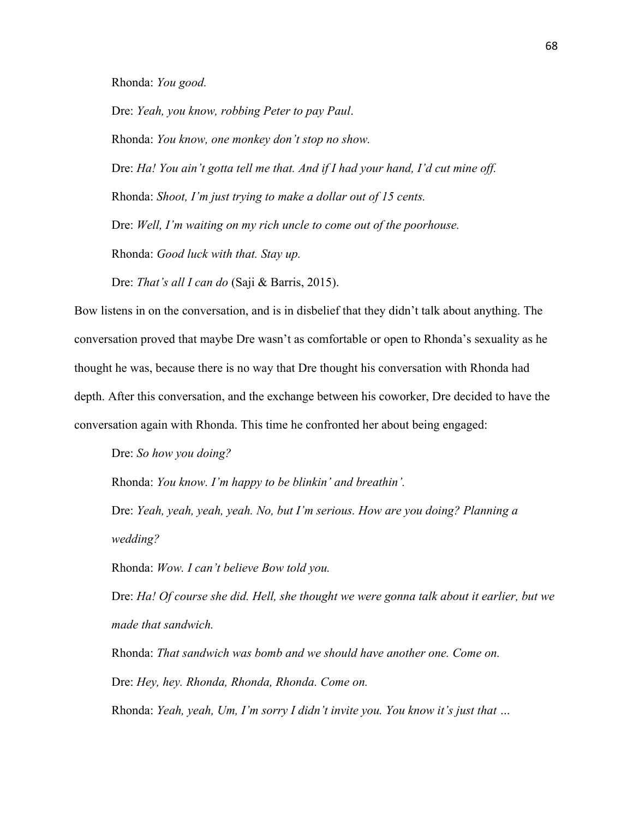Rhonda: *You good.*

Dre: *Yeah, you know, robbing Peter to pay Paul*. Rhonda: *You know, one monkey don't stop no show.* Dre: *Ha! You ain't gotta tell me that. And if I had your hand, I'd cut mine off.* Rhonda: *Shoot, I'm just trying to make a dollar out of 15 cents.* Dre: *Well, I'm waiting on my rich uncle to come out of the poorhouse.*  Rhonda: *Good luck with that. Stay up.*

Dre: *That's all I can do* (Saji & Barris, 2015).

Bow listens in on the conversation, and is in disbelief that they didn't talk about anything. The conversation proved that maybe Dre wasn't as comfortable or open to Rhonda's sexuality as he thought he was, because there is no way that Dre thought his conversation with Rhonda had depth. After this conversation, and the exchange between his coworker, Dre decided to have the conversation again with Rhonda. This time he confronted her about being engaged:

Dre: *So how you doing?*

Rhonda: *You know. I'm happy to be blinkin' and breathin'.*

Dre: *Yeah, yeah, yeah, yeah. No, but I'm serious. How are you doing? Planning a wedding?*

Rhonda: *Wow. I can't believe Bow told you.*

Dre: *Ha! Of course she did. Hell, she thought we were gonna talk about it earlier, but we made that sandwich.* 

Rhonda: *That sandwich was bomb and we should have another one. Come on.*  Dre: *Hey, hey. Rhonda, Rhonda, Rhonda. Come on.*

Rhonda: *Yeah, yeah, Um, I'm sorry I didn't invite you. You know it's just that …*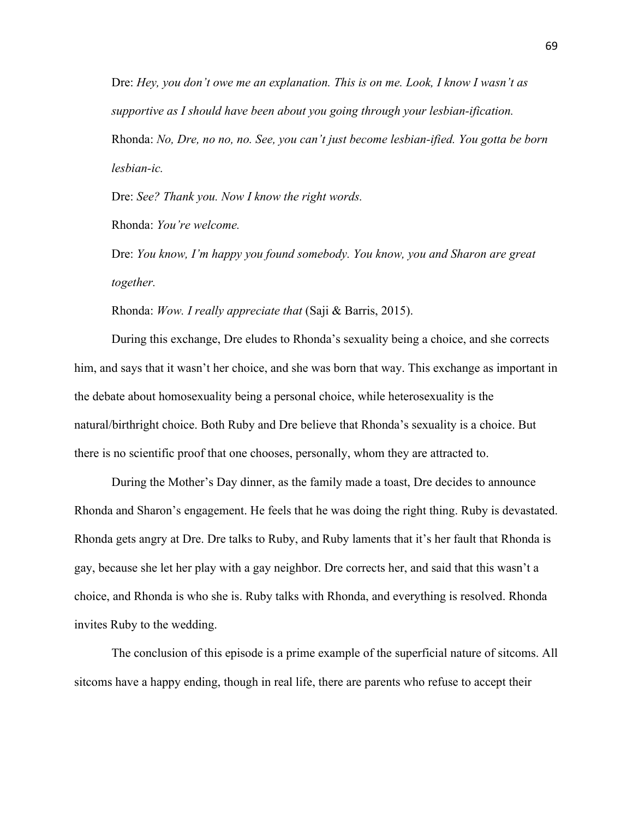Dre: *Hey, you don't owe me an explanation. This is on me. Look, I know I wasn't as supportive as I should have been about you going through your lesbian-ification.* Rhonda: *No, Dre, no no, no. See, you can't just become lesbian-ified. You gotta be born* 

*lesbian-ic.*

Dre: *See? Thank you. Now I know the right words.* 

Rhonda: *You're welcome.* 

Dre: *You know, I'm happy you found somebody. You know, you and Sharon are great together.*

Rhonda: *Wow. I really appreciate that* (Saji & Barris, 2015).

During this exchange, Dre eludes to Rhonda's sexuality being a choice, and she corrects him, and says that it wasn't her choice, and she was born that way. This exchange as important in the debate about homosexuality being a personal choice, while heterosexuality is the natural/birthright choice. Both Ruby and Dre believe that Rhonda's sexuality is a choice. But there is no scientific proof that one chooses, personally, whom they are attracted to.

During the Mother's Day dinner, as the family made a toast, Dre decides to announce Rhonda and Sharon's engagement. He feels that he was doing the right thing. Ruby is devastated. Rhonda gets angry at Dre. Dre talks to Ruby, and Ruby laments that it's her fault that Rhonda is gay, because she let her play with a gay neighbor. Dre corrects her, and said that this wasn't a choice, and Rhonda is who she is. Ruby talks with Rhonda, and everything is resolved. Rhonda invites Ruby to the wedding.

The conclusion of this episode is a prime example of the superficial nature of sitcoms. All sitcoms have a happy ending, though in real life, there are parents who refuse to accept their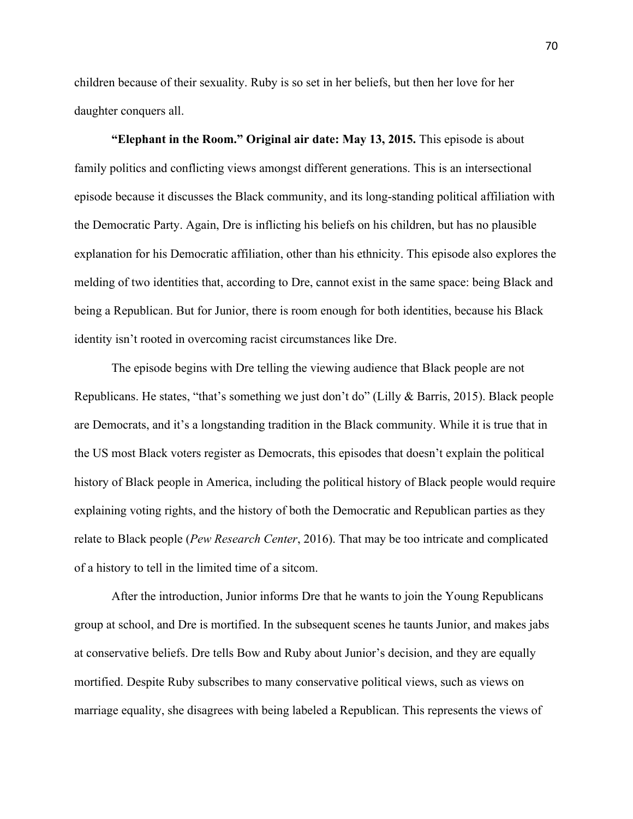children because of their sexuality. Ruby is so set in her beliefs, but then her love for her daughter conquers all.

**"Elephant in the Room." Original air date: May 13, 2015.** This episode is about family politics and conflicting views amongst different generations. This is an intersectional episode because it discusses the Black community, and its long-standing political affiliation with the Democratic Party. Again, Dre is inflicting his beliefs on his children, but has no plausible explanation for his Democratic affiliation, other than his ethnicity. This episode also explores the melding of two identities that, according to Dre, cannot exist in the same space: being Black and being a Republican. But for Junior, there is room enough for both identities, because his Black identity isn't rooted in overcoming racist circumstances like Dre.

The episode begins with Dre telling the viewing audience that Black people are not Republicans. He states, "that's something we just don't do" (Lilly & Barris, 2015). Black people are Democrats, and it's a longstanding tradition in the Black community. While it is true that in the US most Black voters register as Democrats, this episodes that doesn't explain the political history of Black people in America, including the political history of Black people would require explaining voting rights, and the history of both the Democratic and Republican parties as they relate to Black people (*Pew Research Center*, 2016). That may be too intricate and complicated of a history to tell in the limited time of a sitcom.

After the introduction, Junior informs Dre that he wants to join the Young Republicans group at school, and Dre is mortified. In the subsequent scenes he taunts Junior, and makes jabs at conservative beliefs. Dre tells Bow and Ruby about Junior's decision, and they are equally mortified. Despite Ruby subscribes to many conservative political views, such as views on marriage equality, she disagrees with being labeled a Republican. This represents the views of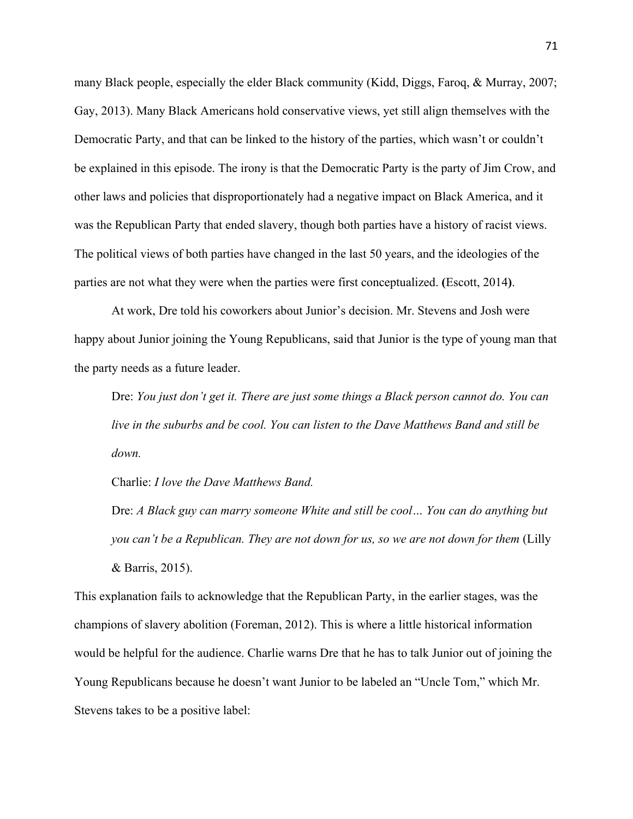many Black people, especially the elder Black community (Kidd, Diggs, Faroq, & Murray, 2007; Gay, 2013). Many Black Americans hold conservative views, yet still align themselves with the Democratic Party, and that can be linked to the history of the parties, which wasn't or couldn't be explained in this episode. The irony is that the Democratic Party is the party of Jim Crow, and other laws and policies that disproportionately had a negative impact on Black America, and it was the Republican Party that ended slavery, though both parties have a history of racist views. The political views of both parties have changed in the last 50 years, and the ideologies of the parties are not what they were when the parties were first conceptualized. **(**Escott, 2014**)**.

At work, Dre told his coworkers about Junior's decision. Mr. Stevens and Josh were happy about Junior joining the Young Republicans, said that Junior is the type of young man that the party needs as a future leader.

Dre: *You just don't get it. There are just some things a Black person cannot do. You can live in the suburbs and be cool. You can listen to the Dave Matthews Band and still be down.*

Charlie: *I love the Dave Matthews Band.*

Dre: *A Black guy can marry someone White and still be cool… You can do anything but you can't be a Republican. They are not down for us, so we are not down for them (Lilly* & Barris, 2015).

This explanation fails to acknowledge that the Republican Party, in the earlier stages, was the champions of slavery abolition (Foreman, 2012). This is where a little historical information would be helpful for the audience. Charlie warns Dre that he has to talk Junior out of joining the Young Republicans because he doesn't want Junior to be labeled an "Uncle Tom," which Mr. Stevens takes to be a positive label: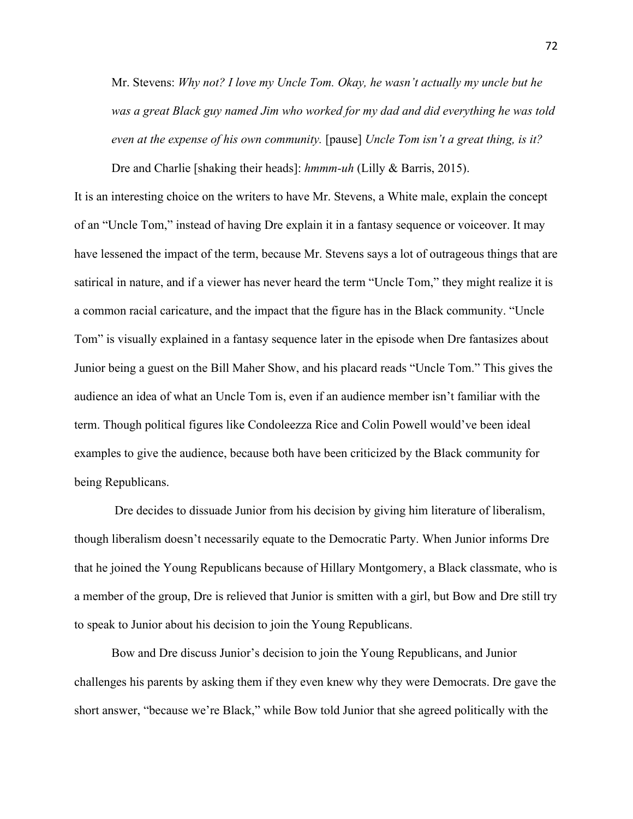Mr. Stevens: *Why not? I love my Uncle Tom. Okay, he wasn't actually my uncle but he was a great Black guy named Jim who worked for my dad and did everything he was told even at the expense of his own community.* [pause] *Uncle Tom isn't a great thing, is it?*

Dre and Charlie [shaking their heads]: *hmmm-uh* (Lilly & Barris, 2015). It is an interesting choice on the writers to have Mr. Stevens, a White male, explain the concept of an "Uncle Tom," instead of having Dre explain it in a fantasy sequence or voiceover. It may have lessened the impact of the term, because Mr. Stevens says a lot of outrageous things that are satirical in nature, and if a viewer has never heard the term "Uncle Tom," they might realize it is a common racial caricature, and the impact that the figure has in the Black community. "Uncle Tom" is visually explained in a fantasy sequence later in the episode when Dre fantasizes about Junior being a guest on the Bill Maher Show, and his placard reads "Uncle Tom." This gives the audience an idea of what an Uncle Tom is, even if an audience member isn't familiar with the term. Though political figures like Condoleezza Rice and Colin Powell would've been ideal examples to give the audience, because both have been criticized by the Black community for being Republicans.

Dre decides to dissuade Junior from his decision by giving him literature of liberalism, though liberalism doesn't necessarily equate to the Democratic Party. When Junior informs Dre that he joined the Young Republicans because of Hillary Montgomery, a Black classmate, who is a member of the group, Dre is relieved that Junior is smitten with a girl, but Bow and Dre still try to speak to Junior about his decision to join the Young Republicans.

Bow and Dre discuss Junior's decision to join the Young Republicans, and Junior challenges his parents by asking them if they even knew why they were Democrats. Dre gave the short answer, "because we're Black," while Bow told Junior that she agreed politically with the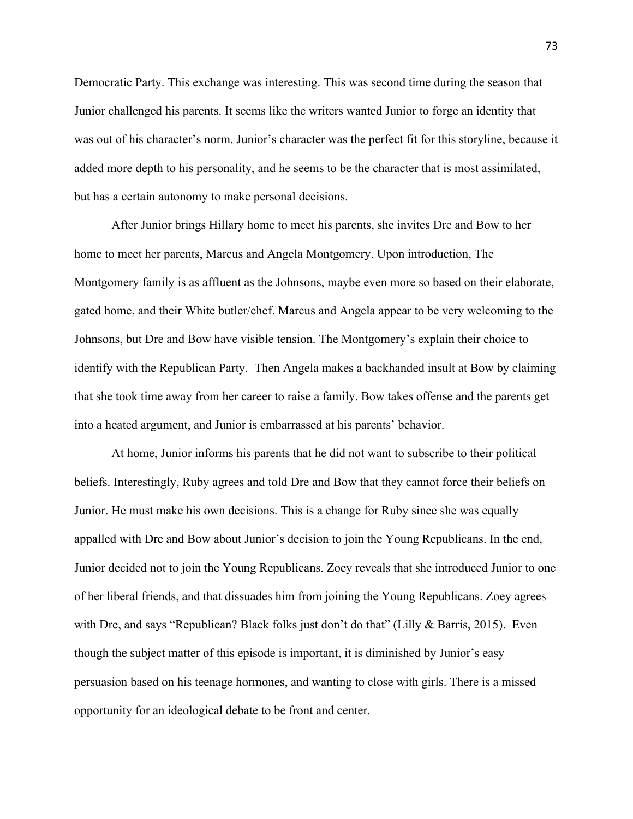Democratic Party. This exchange was interesting. This was second time during the season that Junior challenged his parents. It seems like the writers wanted Junior to forge an identity that was out of his character's norm. Junior's character was the perfect fit for this storyline, because it added more depth to his personality, and he seems to be the character that is most assimilated, but has a certain autonomy to make personal decisions.

After Junior brings Hillary home to meet his parents, she invites Dre and Bow to her home to meet her parents, Marcus and Angela Montgomery. Upon introduction, The Montgomery family is as affluent as the Johnsons, maybe even more so based on their elaborate, gated home, and their White butler/chef. Marcus and Angela appear to be very welcoming to the Johnsons, but Dre and Bow have visible tension. The Montgomery's explain their choice to identify with the Republican Party. Then Angela makes a backhanded insult at Bow by claiming that she took time away from her career to raise a family. Bow takes offense and the parents get into a heated argument, and Junior is embarrassed at his parents' behavior.

At home, Junior informs his parents that he did not want to subscribe to their political beliefs. Interestingly, Ruby agrees and told Dre and Bow that they cannot force their beliefs on Junior. He must make his own decisions. This is a change for Ruby since she was equally appalled with Dre and Bow about Junior's decision to join the Young Republicans. In the end, Junior decided not to join the Young Republicans. Zoey reveals that she introduced Junior to one of her liberal friends, and that dissuades him from joining the Young Republicans. Zoey agrees with Dre, and says "Republican? Black folks just don't do that" (Lilly & Barris, 2015). Even though the subject matter of this episode is important, it is diminished by Junior's easy persuasion based on his teenage hormones, and wanting to close with girls. There is a missed opportunity for an ideological debate to be front and center.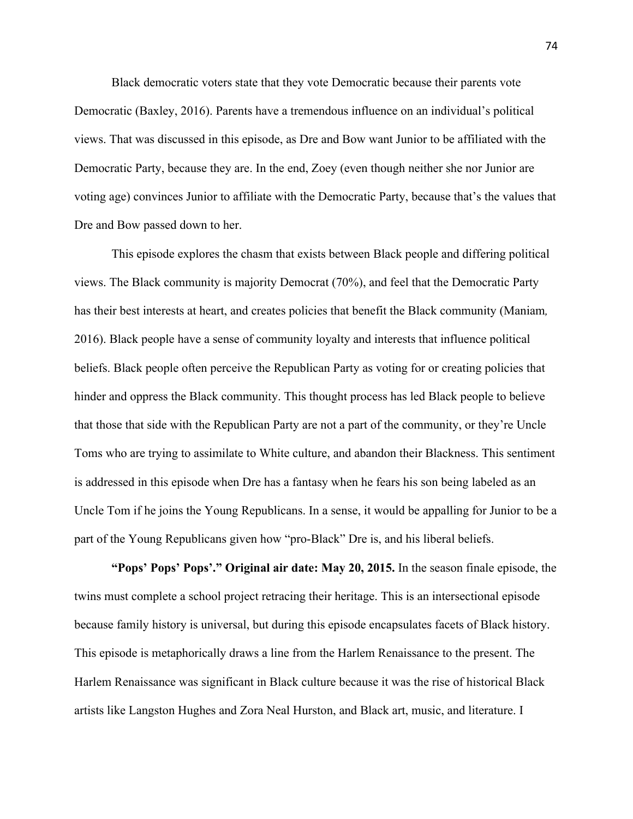Black democratic voters state that they vote Democratic because their parents vote Democratic (Baxley, 2016). Parents have a tremendous influence on an individual's political views. That was discussed in this episode, as Dre and Bow want Junior to be affiliated with the Democratic Party, because they are. In the end, Zoey (even though neither she nor Junior are voting age) convinces Junior to affiliate with the Democratic Party, because that's the values that Dre and Bow passed down to her.

This episode explores the chasm that exists between Black people and differing political views. The Black community is majority Democrat (70%), and feel that the Democratic Party has their best interests at heart, and creates policies that benefit the Black community (Maniam*,*  2016). Black people have a sense of community loyalty and interests that influence political beliefs. Black people often perceive the Republican Party as voting for or creating policies that hinder and oppress the Black community. This thought process has led Black people to believe that those that side with the Republican Party are not a part of the community, or they're Uncle Toms who are trying to assimilate to White culture, and abandon their Blackness. This sentiment is addressed in this episode when Dre has a fantasy when he fears his son being labeled as an Uncle Tom if he joins the Young Republicans. In a sense, it would be appalling for Junior to be a part of the Young Republicans given how "pro-Black" Dre is, and his liberal beliefs.

**"Pops' Pops' Pops'." Original air date: May 20, 2015.** In the season finale episode, the twins must complete a school project retracing their heritage. This is an intersectional episode because family history is universal, but during this episode encapsulates facets of Black history. This episode is metaphorically draws a line from the Harlem Renaissance to the present. The Harlem Renaissance was significant in Black culture because it was the rise of historical Black artists like Langston Hughes and Zora Neal Hurston, and Black art, music, and literature. I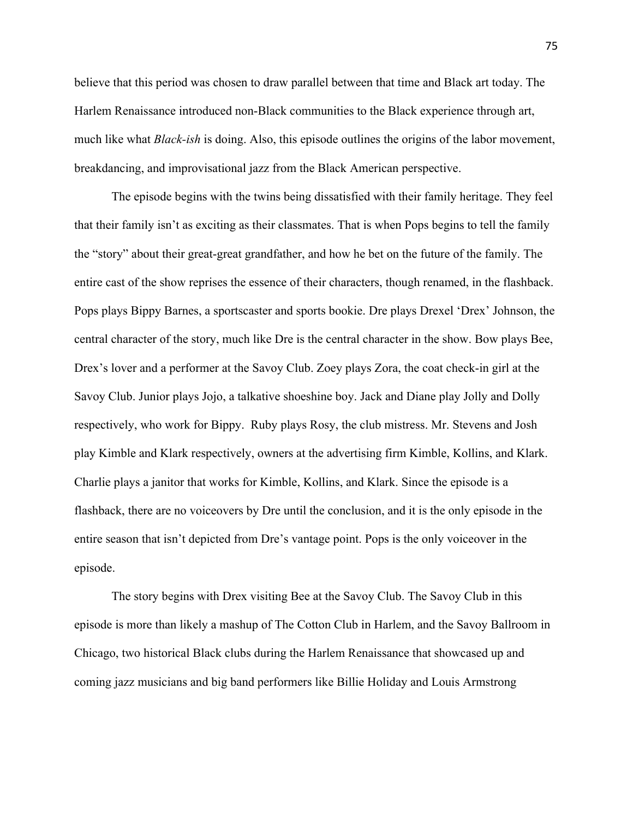believe that this period was chosen to draw parallel between that time and Black art today. The Harlem Renaissance introduced non-Black communities to the Black experience through art, much like what *Black-ish* is doing. Also, this episode outlines the origins of the labor movement, breakdancing, and improvisational jazz from the Black American perspective.

The episode begins with the twins being dissatisfied with their family heritage. They feel that their family isn't as exciting as their classmates. That is when Pops begins to tell the family the "story" about their great-great grandfather, and how he bet on the future of the family. The entire cast of the show reprises the essence of their characters, though renamed, in the flashback. Pops plays Bippy Barnes, a sportscaster and sports bookie. Dre plays Drexel 'Drex' Johnson, the central character of the story, much like Dre is the central character in the show. Bow plays Bee, Drex's lover and a performer at the Savoy Club. Zoey plays Zora, the coat check-in girl at the Savoy Club. Junior plays Jojo, a talkative shoeshine boy. Jack and Diane play Jolly and Dolly respectively, who work for Bippy. Ruby plays Rosy, the club mistress. Mr. Stevens and Josh play Kimble and Klark respectively, owners at the advertising firm Kimble, Kollins, and Klark. Charlie plays a janitor that works for Kimble, Kollins, and Klark. Since the episode is a flashback, there are no voiceovers by Dre until the conclusion, and it is the only episode in the entire season that isn't depicted from Dre's vantage point. Pops is the only voiceover in the episode.

The story begins with Drex visiting Bee at the Savoy Club. The Savoy Club in this episode is more than likely a mashup of The Cotton Club in Harlem, and the Savoy Ballroom in Chicago, two historical Black clubs during the Harlem Renaissance that showcased up and coming jazz musicians and big band performers like Billie Holiday and Louis Armstrong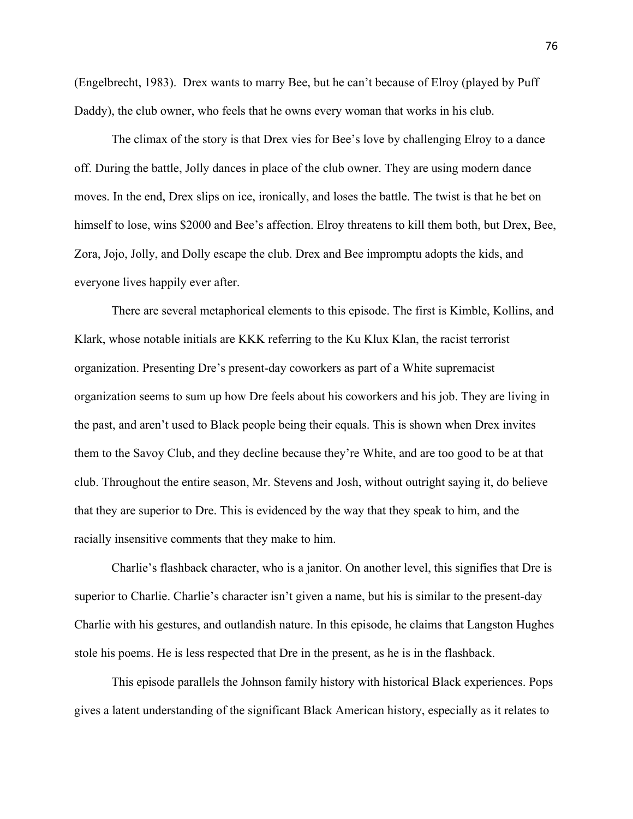(Engelbrecht, 1983). Drex wants to marry Bee, but he can't because of Elroy (played by Puff Daddy), the club owner, who feels that he owns every woman that works in his club.

The climax of the story is that Drex vies for Bee's love by challenging Elroy to a dance off. During the battle, Jolly dances in place of the club owner. They are using modern dance moves. In the end, Drex slips on ice, ironically, and loses the battle. The twist is that he bet on himself to lose, wins \$2000 and Bee's affection. Elroy threatens to kill them both, but Drex, Bee, Zora, Jojo, Jolly, and Dolly escape the club. Drex and Bee impromptu adopts the kids, and everyone lives happily ever after.

There are several metaphorical elements to this episode. The first is Kimble, Kollins, and Klark, whose notable initials are KKK referring to the Ku Klux Klan, the racist terrorist organization. Presenting Dre's present-day coworkers as part of a White supremacist organization seems to sum up how Dre feels about his coworkers and his job. They are living in the past, and aren't used to Black people being their equals. This is shown when Drex invites them to the Savoy Club, and they decline because they're White, and are too good to be at that club. Throughout the entire season, Mr. Stevens and Josh, without outright saying it, do believe that they are superior to Dre. This is evidenced by the way that they speak to him, and the racially insensitive comments that they make to him.

Charlie's flashback character, who is a janitor. On another level, this signifies that Dre is superior to Charlie. Charlie's character isn't given a name, but his is similar to the present-day Charlie with his gestures, and outlandish nature. In this episode, he claims that Langston Hughes stole his poems. He is less respected that Dre in the present, as he is in the flashback.

This episode parallels the Johnson family history with historical Black experiences. Pops gives a latent understanding of the significant Black American history, especially as it relates to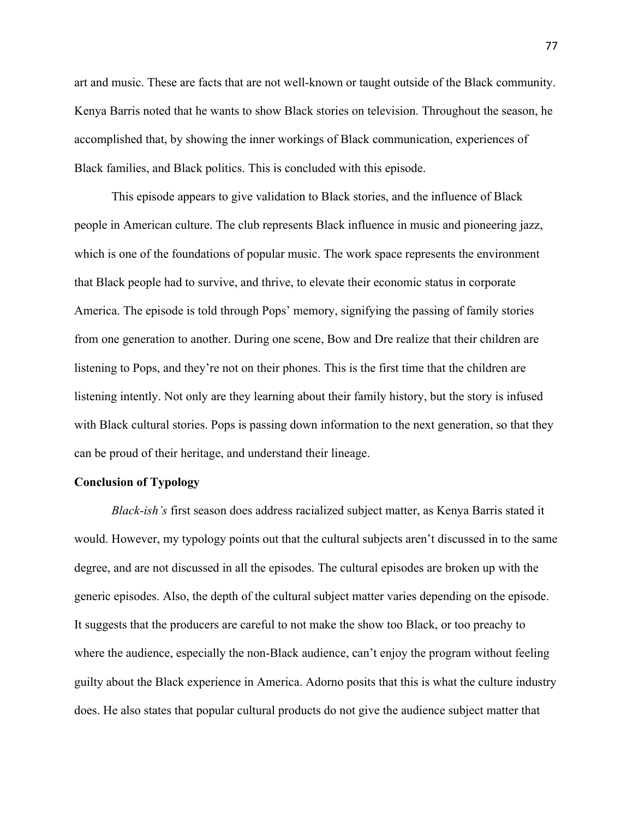art and music. These are facts that are not well-known or taught outside of the Black community. Kenya Barris noted that he wants to show Black stories on television. Throughout the season, he accomplished that, by showing the inner workings of Black communication, experiences of Black families, and Black politics. This is concluded with this episode.

This episode appears to give validation to Black stories, and the influence of Black people in American culture. The club represents Black influence in music and pioneering jazz, which is one of the foundations of popular music. The work space represents the environment that Black people had to survive, and thrive, to elevate their economic status in corporate America. The episode is told through Pops' memory, signifying the passing of family stories from one generation to another. During one scene, Bow and Dre realize that their children are listening to Pops, and they're not on their phones. This is the first time that the children are listening intently. Not only are they learning about their family history, but the story is infused with Black cultural stories. Pops is passing down information to the next generation, so that they can be proud of their heritage, and understand their lineage.

# **Conclusion of Typology**

*Black-ish's* first season does address racialized subject matter, as Kenya Barris stated it would. However, my typology points out that the cultural subjects aren't discussed in to the same degree, and are not discussed in all the episodes. The cultural episodes are broken up with the generic episodes. Also, the depth of the cultural subject matter varies depending on the episode. It suggests that the producers are careful to not make the show too Black, or too preachy to where the audience, especially the non-Black audience, can't enjoy the program without feeling guilty about the Black experience in America. Adorno posits that this is what the culture industry does. He also states that popular cultural products do not give the audience subject matter that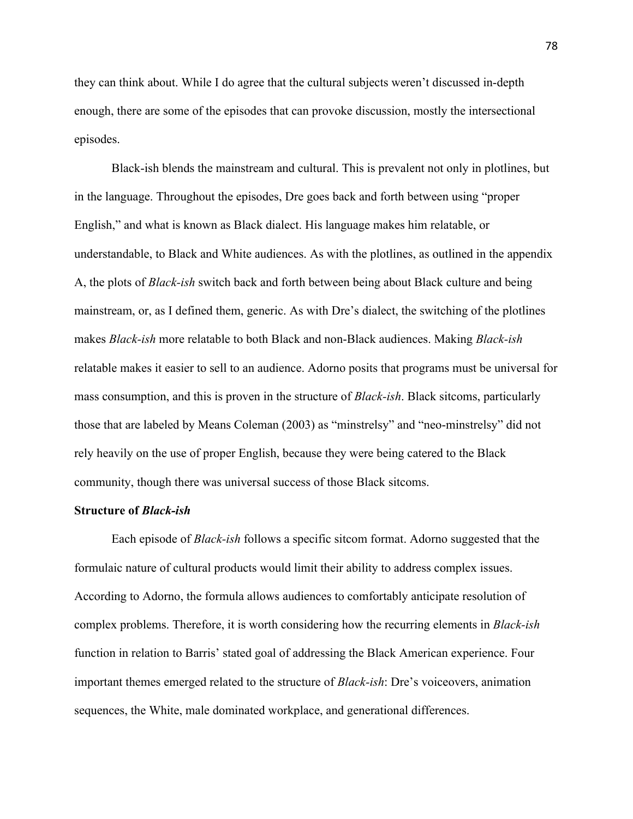they can think about. While I do agree that the cultural subjects weren't discussed in-depth enough, there are some of the episodes that can provoke discussion, mostly the intersectional episodes.

Black-ish blends the mainstream and cultural. This is prevalent not only in plotlines, but in the language. Throughout the episodes, Dre goes back and forth between using "proper English," and what is known as Black dialect. His language makes him relatable, or understandable, to Black and White audiences. As with the plotlines, as outlined in the appendix A, the plots of *Black-ish* switch back and forth between being about Black culture and being mainstream, or, as I defined them, generic. As with Dre's dialect, the switching of the plotlines makes *Black-ish* more relatable to both Black and non-Black audiences. Making *Black-ish* relatable makes it easier to sell to an audience. Adorno posits that programs must be universal for mass consumption, and this is proven in the structure of *Black-ish*. Black sitcoms, particularly those that are labeled by Means Coleman (2003) as "minstrelsy" and "neo-minstrelsy" did not rely heavily on the use of proper English, because they were being catered to the Black community, though there was universal success of those Black sitcoms.

## **Structure of** *Black-ish*

Each episode of *Black-ish* follows a specific sitcom format. Adorno suggested that the formulaic nature of cultural products would limit their ability to address complex issues. According to Adorno, the formula allows audiences to comfortably anticipate resolution of complex problems. Therefore, it is worth considering how the recurring elements in *Black-ish* function in relation to Barris' stated goal of addressing the Black American experience. Four important themes emerged related to the structure of *Black-ish*: Dre's voiceovers, animation sequences, the White, male dominated workplace, and generational differences.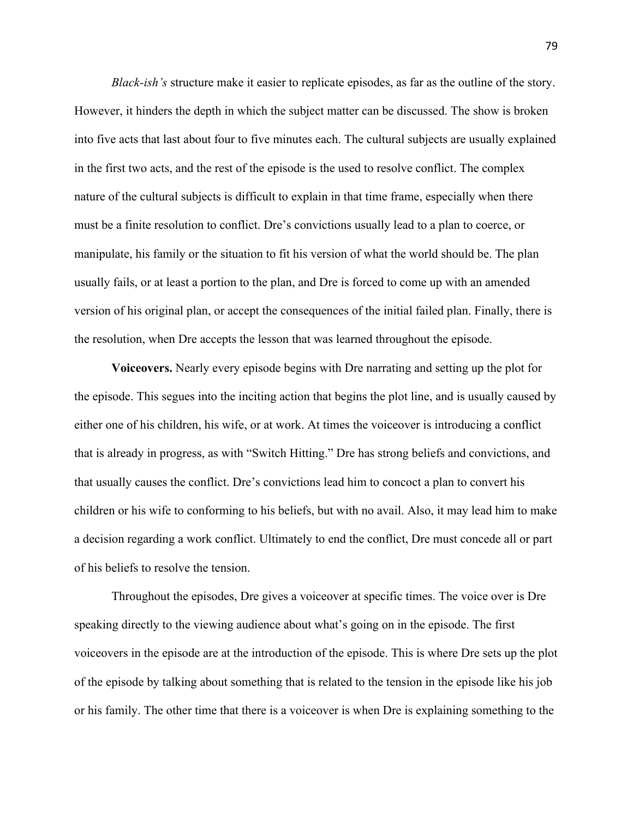*Black-ish's* structure make it easier to replicate episodes, as far as the outline of the story. However, it hinders the depth in which the subject matter can be discussed. The show is broken into five acts that last about four to five minutes each. The cultural subjects are usually explained in the first two acts, and the rest of the episode is the used to resolve conflict. The complex nature of the cultural subjects is difficult to explain in that time frame, especially when there must be a finite resolution to conflict. Dre's convictions usually lead to a plan to coerce, or manipulate, his family or the situation to fit his version of what the world should be. The plan usually fails, or at least a portion to the plan, and Dre is forced to come up with an amended version of his original plan, or accept the consequences of the initial failed plan. Finally, there is the resolution, when Dre accepts the lesson that was learned throughout the episode.

**Voiceovers.** Nearly every episode begins with Dre narrating and setting up the plot for the episode. This segues into the inciting action that begins the plot line, and is usually caused by either one of his children, his wife, or at work. At times the voiceover is introducing a conflict that is already in progress, as with "Switch Hitting." Dre has strong beliefs and convictions, and that usually causes the conflict. Dre's convictions lead him to concoct a plan to convert his children or his wife to conforming to his beliefs, but with no avail. Also, it may lead him to make a decision regarding a work conflict. Ultimately to end the conflict, Dre must concede all or part of his beliefs to resolve the tension.

Throughout the episodes, Dre gives a voiceover at specific times. The voice over is Dre speaking directly to the viewing audience about what's going on in the episode. The first voiceovers in the episode are at the introduction of the episode. This is where Dre sets up the plot of the episode by talking about something that is related to the tension in the episode like his job or his family. The other time that there is a voiceover is when Dre is explaining something to the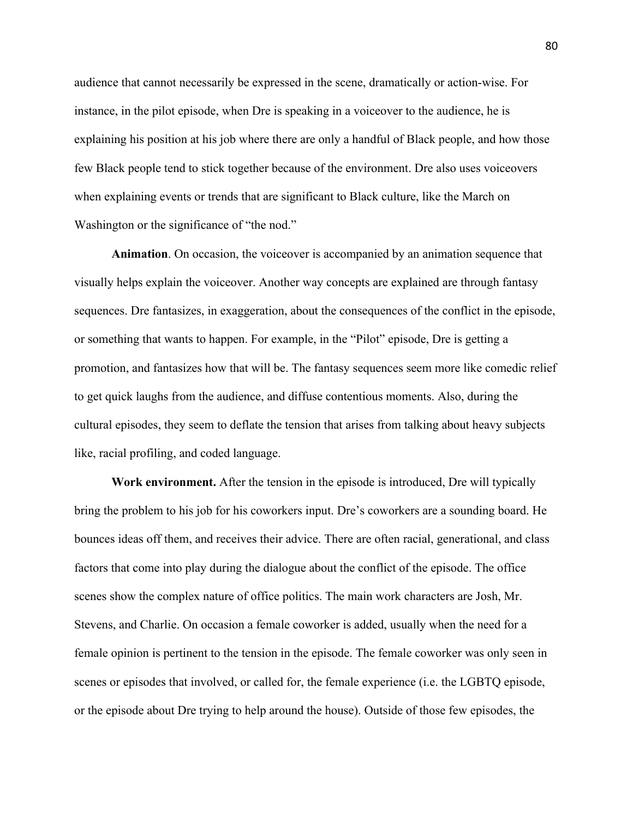audience that cannot necessarily be expressed in the scene, dramatically or action-wise. For instance, in the pilot episode, when Dre is speaking in a voiceover to the audience, he is explaining his position at his job where there are only a handful of Black people, and how those few Black people tend to stick together because of the environment. Dre also uses voiceovers when explaining events or trends that are significant to Black culture, like the March on Washington or the significance of "the nod."

**Animation**. On occasion, the voiceover is accompanied by an animation sequence that visually helps explain the voiceover. Another way concepts are explained are through fantasy sequences. Dre fantasizes, in exaggeration, about the consequences of the conflict in the episode, or something that wants to happen. For example, in the "Pilot" episode, Dre is getting a promotion, and fantasizes how that will be. The fantasy sequences seem more like comedic relief to get quick laughs from the audience, and diffuse contentious moments. Also, during the cultural episodes, they seem to deflate the tension that arises from talking about heavy subjects like, racial profiling, and coded language.

**Work environment.** After the tension in the episode is introduced, Dre will typically bring the problem to his job for his coworkers input. Dre's coworkers are a sounding board. He bounces ideas off them, and receives their advice. There are often racial, generational, and class factors that come into play during the dialogue about the conflict of the episode. The office scenes show the complex nature of office politics. The main work characters are Josh, Mr. Stevens, and Charlie. On occasion a female coworker is added, usually when the need for a female opinion is pertinent to the tension in the episode. The female coworker was only seen in scenes or episodes that involved, or called for, the female experience (i.e. the LGBTQ episode, or the episode about Dre trying to help around the house). Outside of those few episodes, the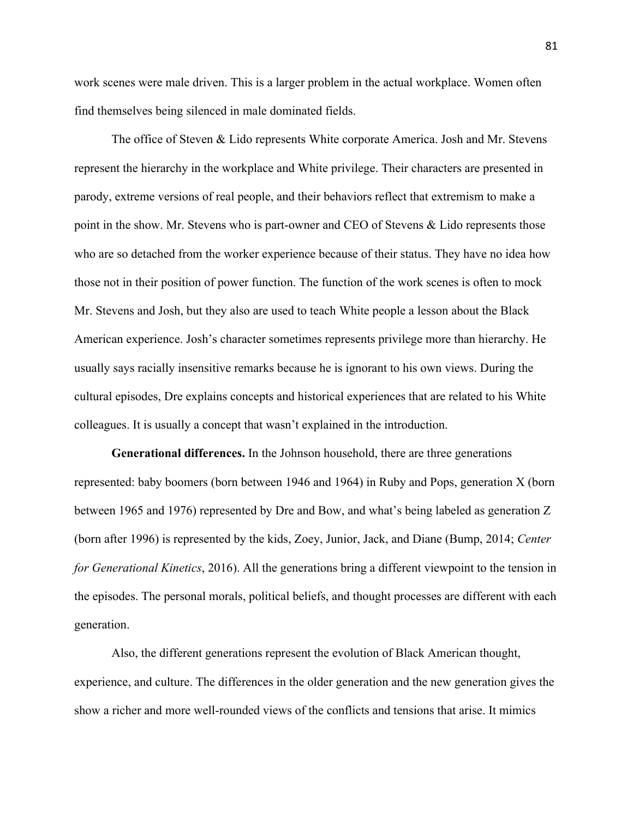work scenes were male driven. This is a larger problem in the actual workplace. Women often find themselves being silenced in male dominated fields.

The office of Steven & Lido represents White corporate America. Josh and Mr. Stevens represent the hierarchy in the workplace and White privilege. Their characters are presented in parody, extreme versions of real people, and their behaviors reflect that extremism to make a point in the show. Mr. Stevens who is part-owner and CEO of Stevens & Lido represents those who are so detached from the worker experience because of their status. They have no idea how those not in their position of power function. The function of the work scenes is often to mock Mr. Stevens and Josh, but they also are used to teach White people a lesson about the Black American experience. Josh's character sometimes represents privilege more than hierarchy. He usually says racially insensitive remarks because he is ignorant to his own views. During the cultural episodes, Dre explains concepts and historical experiences that are related to his White colleagues. It is usually a concept that wasn't explained in the introduction.

**Generational differences.** In the Johnson household, there are three generations represented: baby boomers (born between 1946 and 1964) in Ruby and Pops, generation X (born between 1965 and 1976) represented by Dre and Bow, and what's being labeled as generation Z (born after 1996) is represented by the kids, Zoey, Junior, Jack, and Diane (Bump, 2014; *Center for Generational Kinetics*, 2016). All the generations bring a different viewpoint to the tension in the episodes. The personal morals, political beliefs, and thought processes are different with each generation.

Also, the different generations represent the evolution of Black American thought, experience, and culture. The differences in the older generation and the new generation gives the show a richer and more well-rounded views of the conflicts and tensions that arise. It mimics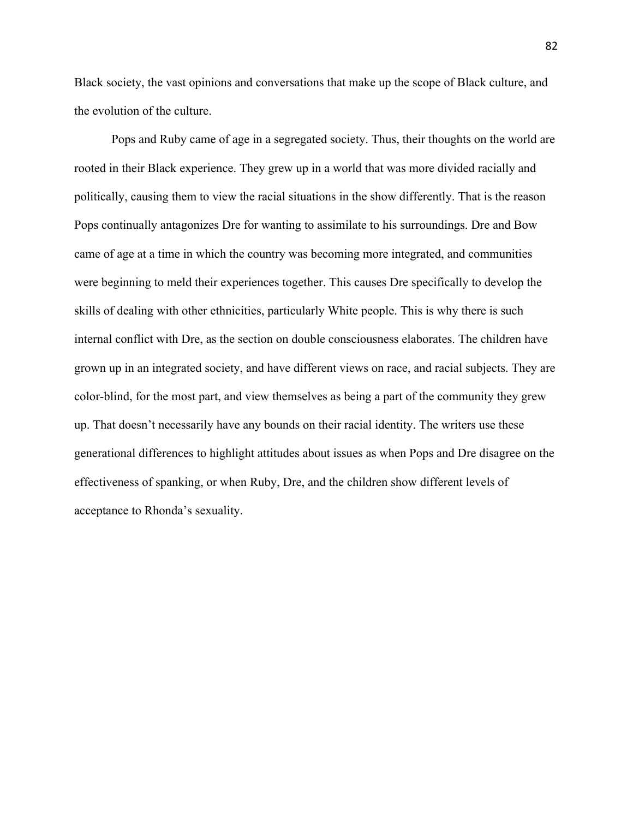Black society, the vast opinions and conversations that make up the scope of Black culture, and the evolution of the culture.

Pops and Ruby came of age in a segregated society. Thus, their thoughts on the world are rooted in their Black experience. They grew up in a world that was more divided racially and politically, causing them to view the racial situations in the show differently. That is the reason Pops continually antagonizes Dre for wanting to assimilate to his surroundings. Dre and Bow came of age at a time in which the country was becoming more integrated, and communities were beginning to meld their experiences together. This causes Dre specifically to develop the skills of dealing with other ethnicities, particularly White people. This is why there is such internal conflict with Dre, as the section on double consciousness elaborates. The children have grown up in an integrated society, and have different views on race, and racial subjects. They are color-blind, for the most part, and view themselves as being a part of the community they grew up. That doesn't necessarily have any bounds on their racial identity. The writers use these generational differences to highlight attitudes about issues as when Pops and Dre disagree on the effectiveness of spanking, or when Ruby, Dre, and the children show different levels of acceptance to Rhonda's sexuality.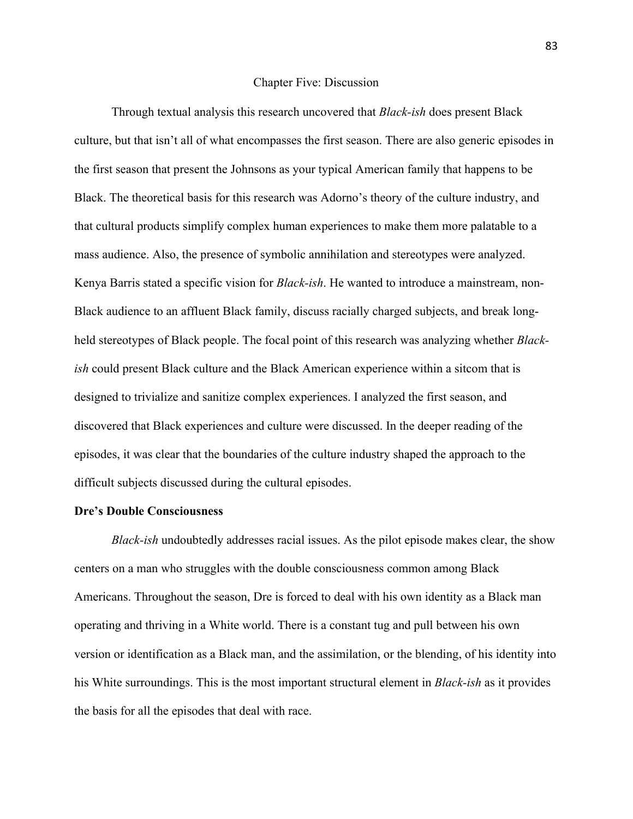#### Chapter Five: Discussion

Through textual analysis this research uncovered that *Black-ish* does present Black culture, but that isn't all of what encompasses the first season. There are also generic episodes in the first season that present the Johnsons as your typical American family that happens to be Black. The theoretical basis for this research was Adorno's theory of the culture industry, and that cultural products simplify complex human experiences to make them more palatable to a mass audience. Also, the presence of symbolic annihilation and stereotypes were analyzed. Kenya Barris stated a specific vision for *Black-ish*. He wanted to introduce a mainstream, non-Black audience to an affluent Black family, discuss racially charged subjects, and break longheld stereotypes of Black people. The focal point of this research was analyzing whether *Blackish* could present Black culture and the Black American experience within a sitcom that is designed to trivialize and sanitize complex experiences. I analyzed the first season, and discovered that Black experiences and culture were discussed. In the deeper reading of the episodes, it was clear that the boundaries of the culture industry shaped the approach to the difficult subjects discussed during the cultural episodes.

## **Dre's Double Consciousness**

*Black-ish* undoubtedly addresses racial issues. As the pilot episode makes clear, the show centers on a man who struggles with the double consciousness common among Black Americans. Throughout the season, Dre is forced to deal with his own identity as a Black man operating and thriving in a White world. There is a constant tug and pull between his own version or identification as a Black man, and the assimilation, or the blending, of his identity into his White surroundings. This is the most important structural element in *Black-ish* as it provides the basis for all the episodes that deal with race.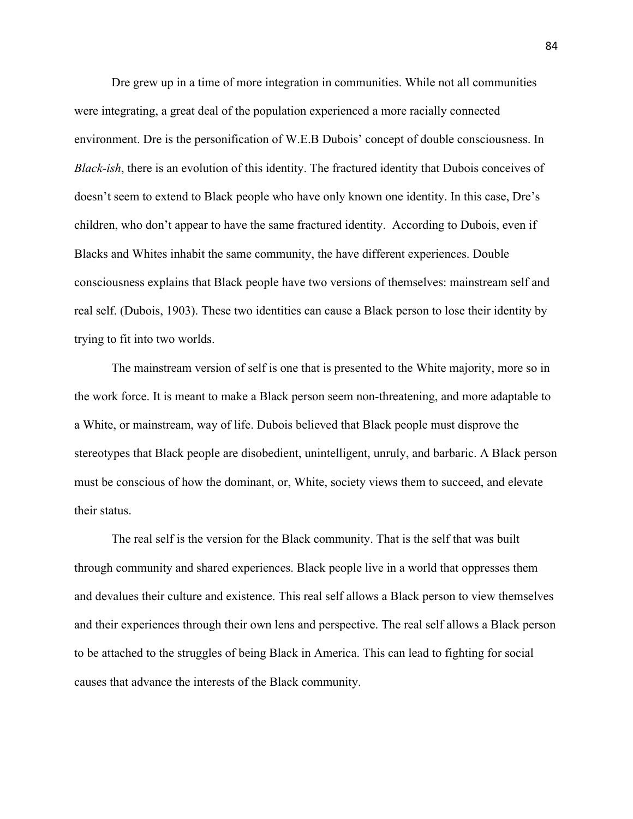Dre grew up in a time of more integration in communities. While not all communities were integrating, a great deal of the population experienced a more racially connected environment. Dre is the personification of W.E.B Dubois' concept of double consciousness. In *Black-ish*, there is an evolution of this identity. The fractured identity that Dubois conceives of doesn't seem to extend to Black people who have only known one identity. In this case, Dre's children, who don't appear to have the same fractured identity. According to Dubois, even if Blacks and Whites inhabit the same community, the have different experiences. Double consciousness explains that Black people have two versions of themselves: mainstream self and real self. (Dubois, 1903). These two identities can cause a Black person to lose their identity by trying to fit into two worlds.

The mainstream version of self is one that is presented to the White majority, more so in the work force. It is meant to make a Black person seem non-threatening, and more adaptable to a White, or mainstream, way of life. Dubois believed that Black people must disprove the stereotypes that Black people are disobedient, unintelligent, unruly, and barbaric. A Black person must be conscious of how the dominant, or, White, society views them to succeed, and elevate their status.

The real self is the version for the Black community. That is the self that was built through community and shared experiences. Black people live in a world that oppresses them and devalues their culture and existence. This real self allows a Black person to view themselves and their experiences through their own lens and perspective. The real self allows a Black person to be attached to the struggles of being Black in America. This can lead to fighting for social causes that advance the interests of the Black community.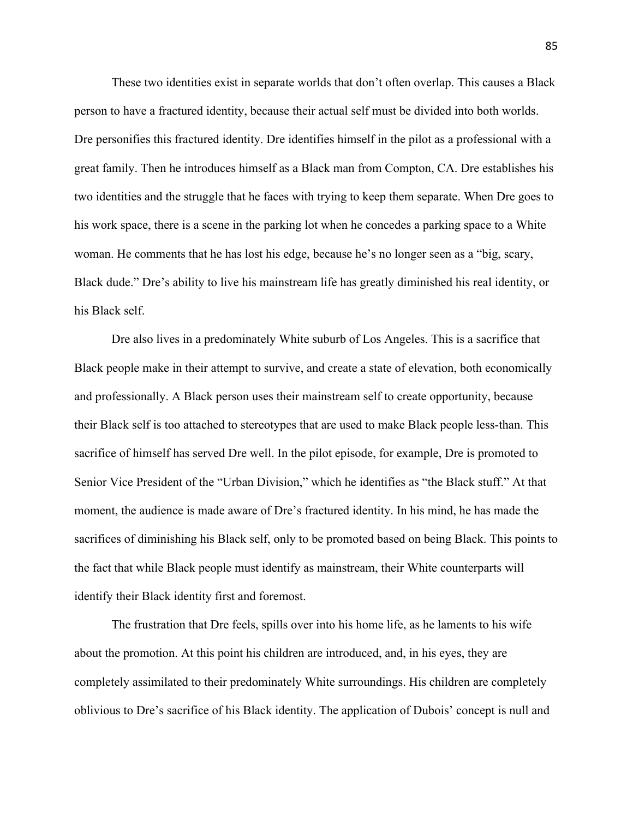These two identities exist in separate worlds that don't often overlap. This causes a Black person to have a fractured identity, because their actual self must be divided into both worlds. Dre personifies this fractured identity. Dre identifies himself in the pilot as a professional with a great family. Then he introduces himself as a Black man from Compton, CA. Dre establishes his two identities and the struggle that he faces with trying to keep them separate. When Dre goes to his work space, there is a scene in the parking lot when he concedes a parking space to a White woman. He comments that he has lost his edge, because he's no longer seen as a "big, scary, Black dude." Dre's ability to live his mainstream life has greatly diminished his real identity, or his Black self.

Dre also lives in a predominately White suburb of Los Angeles. This is a sacrifice that Black people make in their attempt to survive, and create a state of elevation, both economically and professionally. A Black person uses their mainstream self to create opportunity, because their Black self is too attached to stereotypes that are used to make Black people less-than. This sacrifice of himself has served Dre well. In the pilot episode, for example, Dre is promoted to Senior Vice President of the "Urban Division," which he identifies as "the Black stuff." At that moment, the audience is made aware of Dre's fractured identity. In his mind, he has made the sacrifices of diminishing his Black self, only to be promoted based on being Black. This points to the fact that while Black people must identify as mainstream, their White counterparts will identify their Black identity first and foremost.

The frustration that Dre feels, spills over into his home life, as he laments to his wife about the promotion. At this point his children are introduced, and, in his eyes, they are completely assimilated to their predominately White surroundings. His children are completely oblivious to Dre's sacrifice of his Black identity. The application of Dubois' concept is null and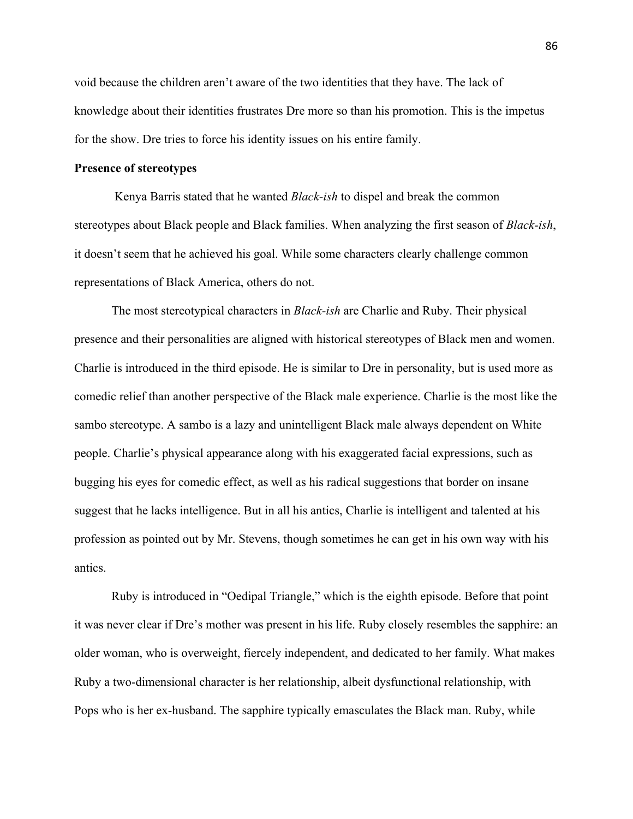void because the children aren't aware of the two identities that they have. The lack of knowledge about their identities frustrates Dre more so than his promotion. This is the impetus for the show. Dre tries to force his identity issues on his entire family.

## **Presence of stereotypes**

Kenya Barris stated that he wanted *Black-ish* to dispel and break the common stereotypes about Black people and Black families. When analyzing the first season of *Black-ish*, it doesn't seem that he achieved his goal. While some characters clearly challenge common representations of Black America, others do not.

The most stereotypical characters in *Black-ish* are Charlie and Ruby. Their physical presence and their personalities are aligned with historical stereotypes of Black men and women. Charlie is introduced in the third episode. He is similar to Dre in personality, but is used more as comedic relief than another perspective of the Black male experience. Charlie is the most like the sambo stereotype. A sambo is a lazy and unintelligent Black male always dependent on White people. Charlie's physical appearance along with his exaggerated facial expressions, such as bugging his eyes for comedic effect, as well as his radical suggestions that border on insane suggest that he lacks intelligence. But in all his antics, Charlie is intelligent and talented at his profession as pointed out by Mr. Stevens, though sometimes he can get in his own way with his antics.

Ruby is introduced in "Oedipal Triangle," which is the eighth episode. Before that point it was never clear if Dre's mother was present in his life. Ruby closely resembles the sapphire: an older woman, who is overweight, fiercely independent, and dedicated to her family. What makes Ruby a two-dimensional character is her relationship, albeit dysfunctional relationship, with Pops who is her ex-husband. The sapphire typically emasculates the Black man. Ruby, while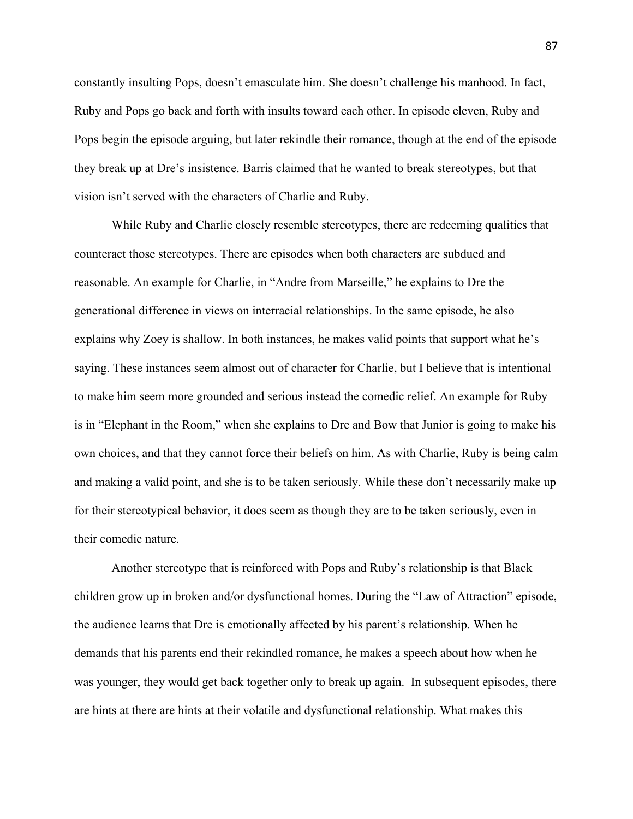constantly insulting Pops, doesn't emasculate him. She doesn't challenge his manhood. In fact, Ruby and Pops go back and forth with insults toward each other. In episode eleven, Ruby and Pops begin the episode arguing, but later rekindle their romance, though at the end of the episode they break up at Dre's insistence. Barris claimed that he wanted to break stereotypes, but that vision isn't served with the characters of Charlie and Ruby.

While Ruby and Charlie closely resemble stereotypes, there are redeeming qualities that counteract those stereotypes. There are episodes when both characters are subdued and reasonable. An example for Charlie, in "Andre from Marseille," he explains to Dre the generational difference in views on interracial relationships. In the same episode, he also explains why Zoey is shallow. In both instances, he makes valid points that support what he's saying. These instances seem almost out of character for Charlie, but I believe that is intentional to make him seem more grounded and serious instead the comedic relief. An example for Ruby is in "Elephant in the Room," when she explains to Dre and Bow that Junior is going to make his own choices, and that they cannot force their beliefs on him. As with Charlie, Ruby is being calm and making a valid point, and she is to be taken seriously. While these don't necessarily make up for their stereotypical behavior, it does seem as though they are to be taken seriously, even in their comedic nature.

Another stereotype that is reinforced with Pops and Ruby's relationship is that Black children grow up in broken and/or dysfunctional homes. During the "Law of Attraction" episode, the audience learns that Dre is emotionally affected by his parent's relationship. When he demands that his parents end their rekindled romance, he makes a speech about how when he was younger, they would get back together only to break up again. In subsequent episodes, there are hints at there are hints at their volatile and dysfunctional relationship. What makes this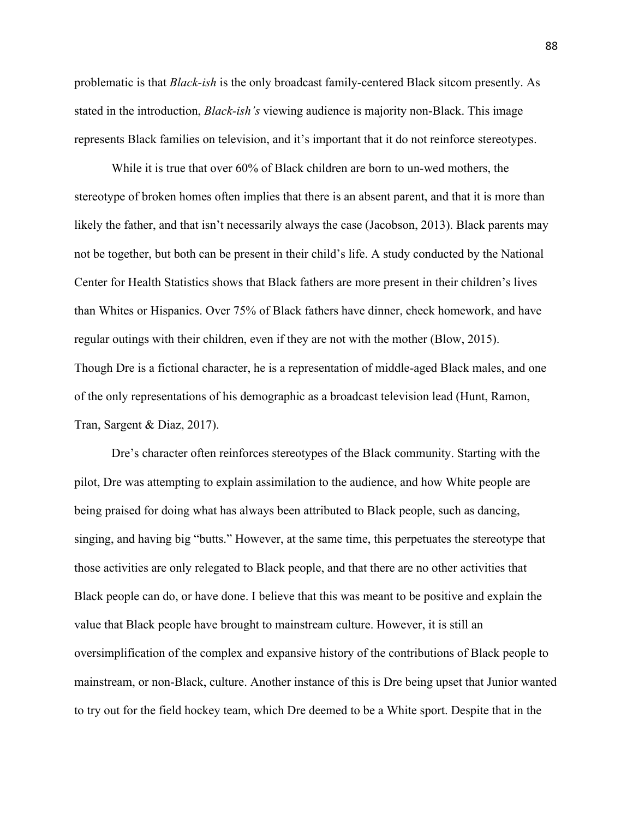problematic is that *Black-ish* is the only broadcast family-centered Black sitcom presently. As stated in the introduction, *Black-ish's* viewing audience is majority non-Black. This image represents Black families on television, and it's important that it do not reinforce stereotypes.

While it is true that over 60% of Black children are born to un-wed mothers, the stereotype of broken homes often implies that there is an absent parent, and that it is more than likely the father, and that isn't necessarily always the case (Jacobson, 2013). Black parents may not be together, but both can be present in their child's life. A study conducted by the National Center for Health Statistics shows that Black fathers are more present in their children's lives than Whites or Hispanics. Over 75% of Black fathers have dinner, check homework, and have regular outings with their children, even if they are not with the mother (Blow, 2015). Though Dre is a fictional character, he is a representation of middle-aged Black males, and one of the only representations of his demographic as a broadcast television lead (Hunt, Ramon, Tran, Sargent & Diaz, 2017).

Dre's character often reinforces stereotypes of the Black community. Starting with the pilot, Dre was attempting to explain assimilation to the audience, and how White people are being praised for doing what has always been attributed to Black people, such as dancing, singing, and having big "butts." However, at the same time, this perpetuates the stereotype that those activities are only relegated to Black people, and that there are no other activities that Black people can do, or have done. I believe that this was meant to be positive and explain the value that Black people have brought to mainstream culture. However, it is still an oversimplification of the complex and expansive history of the contributions of Black people to mainstream, or non-Black, culture. Another instance of this is Dre being upset that Junior wanted to try out for the field hockey team, which Dre deemed to be a White sport. Despite that in the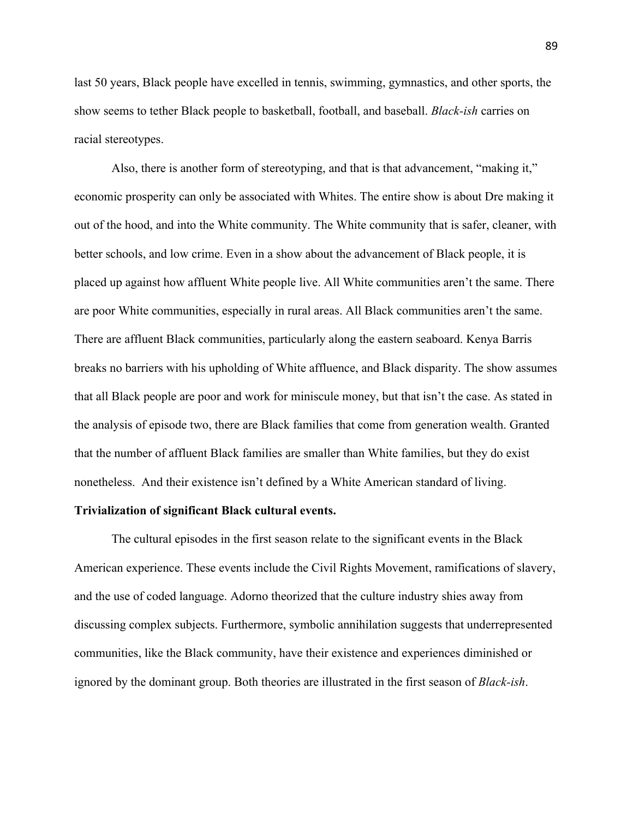last 50 years, Black people have excelled in tennis, swimming, gymnastics, and other sports, the show seems to tether Black people to basketball, football, and baseball. *Black-ish* carries on racial stereotypes.

Also, there is another form of stereotyping, and that is that advancement, "making it," economic prosperity can only be associated with Whites. The entire show is about Dre making it out of the hood, and into the White community. The White community that is safer, cleaner, with better schools, and low crime. Even in a show about the advancement of Black people, it is placed up against how affluent White people live. All White communities aren't the same. There are poor White communities, especially in rural areas. All Black communities aren't the same. There are affluent Black communities, particularly along the eastern seaboard. Kenya Barris breaks no barriers with his upholding of White affluence, and Black disparity. The show assumes that all Black people are poor and work for miniscule money, but that isn't the case. As stated in the analysis of episode two, there are Black families that come from generation wealth. Granted that the number of affluent Black families are smaller than White families, but they do exist nonetheless. And their existence isn't defined by a White American standard of living.

#### **Trivialization of significant Black cultural events.**

The cultural episodes in the first season relate to the significant events in the Black American experience. These events include the Civil Rights Movement, ramifications of slavery, and the use of coded language. Adorno theorized that the culture industry shies away from discussing complex subjects. Furthermore, symbolic annihilation suggests that underrepresented communities, like the Black community, have their existence and experiences diminished or ignored by the dominant group. Both theories are illustrated in the first season of *Black-ish*.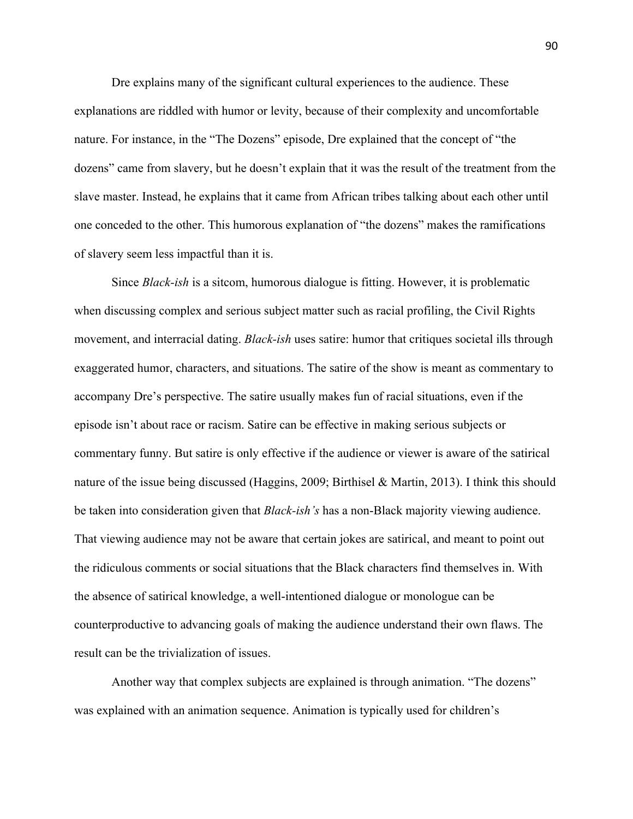Dre explains many of the significant cultural experiences to the audience. These explanations are riddled with humor or levity, because of their complexity and uncomfortable nature. For instance, in the "The Dozens" episode, Dre explained that the concept of "the dozens" came from slavery, but he doesn't explain that it was the result of the treatment from the slave master. Instead, he explains that it came from African tribes talking about each other until one conceded to the other. This humorous explanation of "the dozens" makes the ramifications of slavery seem less impactful than it is.

Since *Black-ish* is a sitcom, humorous dialogue is fitting. However, it is problematic when discussing complex and serious subject matter such as racial profiling, the Civil Rights movement, and interracial dating. *Black-ish* uses satire: humor that critiques societal ills through exaggerated humor, characters, and situations. The satire of the show is meant as commentary to accompany Dre's perspective. The satire usually makes fun of racial situations, even if the episode isn't about race or racism. Satire can be effective in making serious subjects or commentary funny. But satire is only effective if the audience or viewer is aware of the satirical nature of the issue being discussed (Haggins, 2009; Birthisel & Martin, 2013). I think this should be taken into consideration given that *Black-ish's* has a non-Black majority viewing audience. That viewing audience may not be aware that certain jokes are satirical, and meant to point out the ridiculous comments or social situations that the Black characters find themselves in. With the absence of satirical knowledge, a well-intentioned dialogue or monologue can be counterproductive to advancing goals of making the audience understand their own flaws. The result can be the trivialization of issues.

Another way that complex subjects are explained is through animation. "The dozens" was explained with an animation sequence. Animation is typically used for children's

90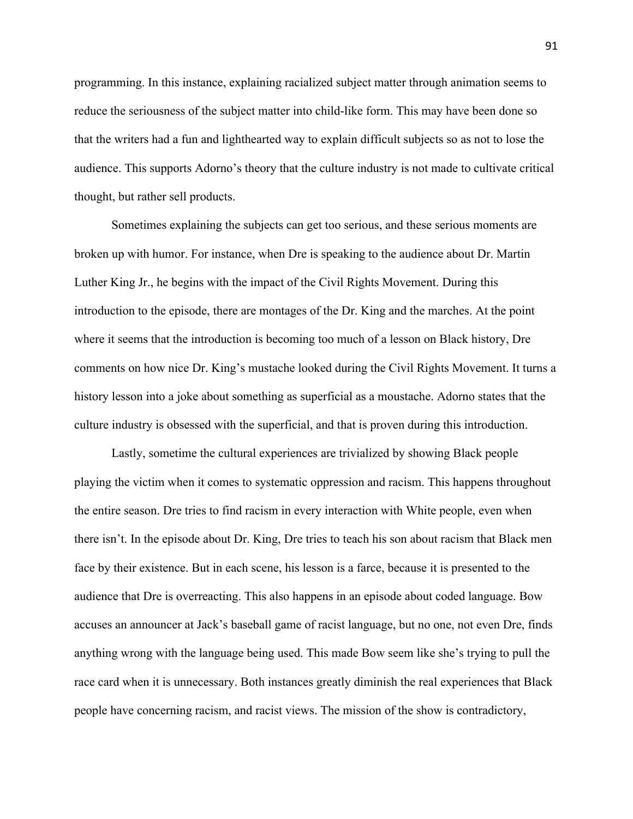programming. In this instance, explaining racialized subject matter through animation seems to reduce the seriousness of the subject matter into child-like form. This may have been done so that the writers had a fun and lighthearted way to explain difficult subjects so as not to lose the audience. This supports Adorno's theory that the culture industry is not made to cultivate critical thought, but rather sell products.

Sometimes explaining the subjects can get too serious, and these serious moments are broken up with humor. For instance, when Dre is speaking to the audience about Dr. Martin Luther King Jr., he begins with the impact of the Civil Rights Movement. During this introduction to the episode, there are montages of the Dr. King and the marches. At the point where it seems that the introduction is becoming too much of a lesson on Black history, Dre comments on how nice Dr. King's mustache looked during the Civil Rights Movement. It turns a history lesson into a joke about something as superficial as a moustache. Adorno states that the culture industry is obsessed with the superficial, and that is proven during this introduction.

Lastly, sometime the cultural experiences are trivialized by showing Black people playing the victim when it comes to systematic oppression and racism. This happens throughout the entire season. Dre tries to find racism in every interaction with White people, even when there isn't. In the episode about Dr. King, Dre tries to teach his son about racism that Black men face by their existence. But in each scene, his lesson is a farce, because it is presented to the audience that Dre is overreacting. This also happens in an episode about coded language. Bow accuses an announcer at Jack's baseball game of racist language, but no one, not even Dre, finds anything wrong with the language being used. This made Bow seem like she's trying to pull the race card when it is unnecessary. Both instances greatly diminish the real experiences that Black people have concerning racism, and racist views. The mission of the show is contradictory,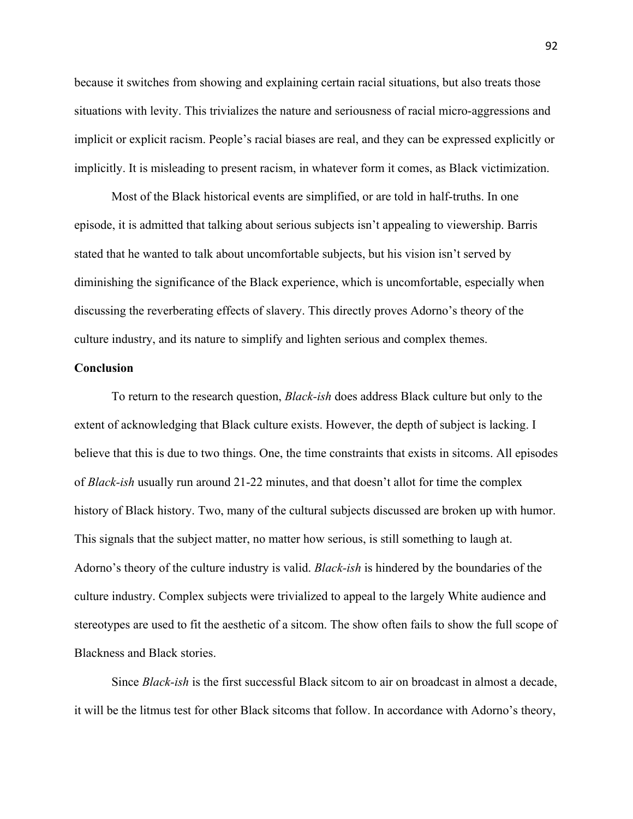because it switches from showing and explaining certain racial situations, but also treats those situations with levity. This trivializes the nature and seriousness of racial micro-aggressions and implicit or explicit racism. People's racial biases are real, and they can be expressed explicitly or implicitly. It is misleading to present racism, in whatever form it comes, as Black victimization.

Most of the Black historical events are simplified, or are told in half-truths. In one episode, it is admitted that talking about serious subjects isn't appealing to viewership. Barris stated that he wanted to talk about uncomfortable subjects, but his vision isn't served by diminishing the significance of the Black experience, which is uncomfortable, especially when discussing the reverberating effects of slavery. This directly proves Adorno's theory of the culture industry, and its nature to simplify and lighten serious and complex themes.

## **Conclusion**

To return to the research question, *Black-ish* does address Black culture but only to the extent of acknowledging that Black culture exists. However, the depth of subject is lacking. I believe that this is due to two things. One, the time constraints that exists in sitcoms. All episodes of *Black-ish* usually run around 21-22 minutes, and that doesn't allot for time the complex history of Black history. Two, many of the cultural subjects discussed are broken up with humor. This signals that the subject matter, no matter how serious, is still something to laugh at. Adorno's theory of the culture industry is valid. *Black-ish* is hindered by the boundaries of the culture industry. Complex subjects were trivialized to appeal to the largely White audience and stereotypes are used to fit the aesthetic of a sitcom. The show often fails to show the full scope of Blackness and Black stories.

Since *Black-ish* is the first successful Black sitcom to air on broadcast in almost a decade, it will be the litmus test for other Black sitcoms that follow. In accordance with Adorno's theory,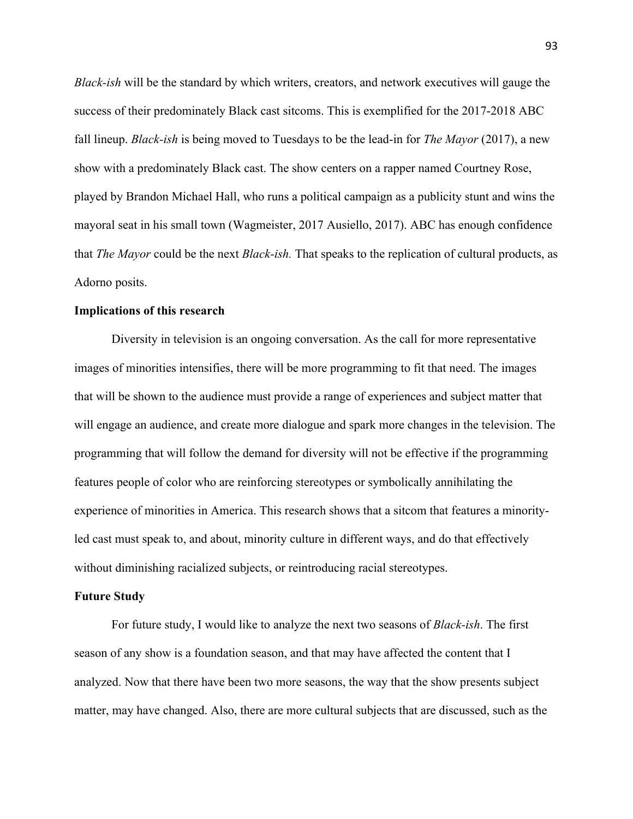*Black-ish* will be the standard by which writers, creators, and network executives will gauge the success of their predominately Black cast sitcoms. This is exemplified for the 2017-2018 ABC fall lineup. *Black-ish* is being moved to Tuesdays to be the lead-in for *The Mayor* (2017), a new show with a predominately Black cast. The show centers on a rapper named Courtney Rose, played by Brandon Michael Hall, who runs a political campaign as a publicity stunt and wins the mayoral seat in his small town (Wagmeister, 2017 Ausiello, 2017). ABC has enough confidence that *The Mayor* could be the next *Black-ish.* That speaks to the replication of cultural products, as Adorno posits.

### **Implications of this research**

Diversity in television is an ongoing conversation. As the call for more representative images of minorities intensifies, there will be more programming to fit that need. The images that will be shown to the audience must provide a range of experiences and subject matter that will engage an audience, and create more dialogue and spark more changes in the television. The programming that will follow the demand for diversity will not be effective if the programming features people of color who are reinforcing stereotypes or symbolically annihilating the experience of minorities in America. This research shows that a sitcom that features a minorityled cast must speak to, and about, minority culture in different ways, and do that effectively without diminishing racialized subjects, or reintroducing racial stereotypes.

### **Future Study**

For future study, I would like to analyze the next two seasons of *Black-ish*. The first season of any show is a foundation season, and that may have affected the content that I analyzed. Now that there have been two more seasons, the way that the show presents subject matter, may have changed. Also, there are more cultural subjects that are discussed, such as the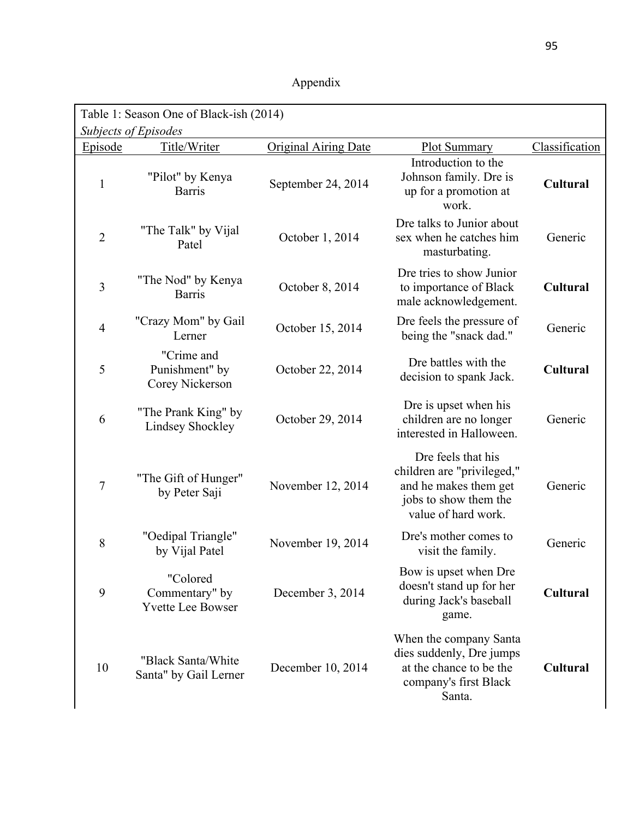| Appendix |
|----------|
|          |

| Table 1: Season One of Black-ish (2014)<br>Subjects of Episodes |                                                        |                             |                                                                                                                           |                 |
|-----------------------------------------------------------------|--------------------------------------------------------|-----------------------------|---------------------------------------------------------------------------------------------------------------------------|-----------------|
| Episode                                                         | Title/Writer                                           | <b>Original Airing Date</b> | <b>Plot Summary</b>                                                                                                       | Classification  |
| $\mathbf{1}$                                                    | "Pilot" by Kenya<br><b>Barris</b>                      | September 24, 2014          | Introduction to the<br>Johnson family. Dre is<br>up for a promotion at<br>work.                                           | <b>Cultural</b> |
| $\overline{2}$                                                  | "The Talk" by Vijal<br>Patel                           | October 1, 2014             | Dre talks to Junior about<br>sex when he catches him<br>masturbating.                                                     | Generic         |
| 3                                                               | "The Nod" by Kenya<br><b>Barris</b>                    | October 8, 2014             | Dre tries to show Junior<br>to importance of Black<br>male acknowledgement.                                               | <b>Cultural</b> |
| $\overline{4}$                                                  | "Crazy Mom" by Gail<br>Lerner                          | October 15, 2014            | Dre feels the pressure of<br>being the "snack dad."                                                                       | Generic         |
| 5                                                               | "Crime and<br>Punishment" by<br>Corey Nickerson        | October 22, 2014            | Dre battles with the<br>decision to spank Jack.                                                                           | <b>Cultural</b> |
| 6                                                               | "The Prank King" by<br><b>Lindsey Shockley</b>         | October 29, 2014            | Dre is upset when his<br>children are no longer<br>interested in Halloween.                                               | Generic         |
| 7                                                               | "The Gift of Hunger"<br>by Peter Saji                  | November 12, 2014           | Dre feels that his<br>children are "privileged,"<br>and he makes them get<br>jobs to show them the<br>value of hard work. | Generic         |
| 8                                                               | "Oedipal Triangle"<br>by Vijal Patel                   | November 19, 2014           | Dre's mother comes to<br>visit the family.                                                                                | Generic         |
| 9                                                               | "Colored<br>Commentary" by<br><b>Yvette Lee Bowser</b> | December 3, 2014            | Bow is upset when Dre<br>doesn't stand up for her<br>during Jack's baseball<br>game.                                      | <b>Cultural</b> |
| 10                                                              | "Black Santa/White<br>Santa" by Gail Lerner            | December 10, 2014           | When the company Santa<br>dies suddenly, Dre jumps<br>at the chance to be the<br>company's first Black<br>Santa.          | Cultural        |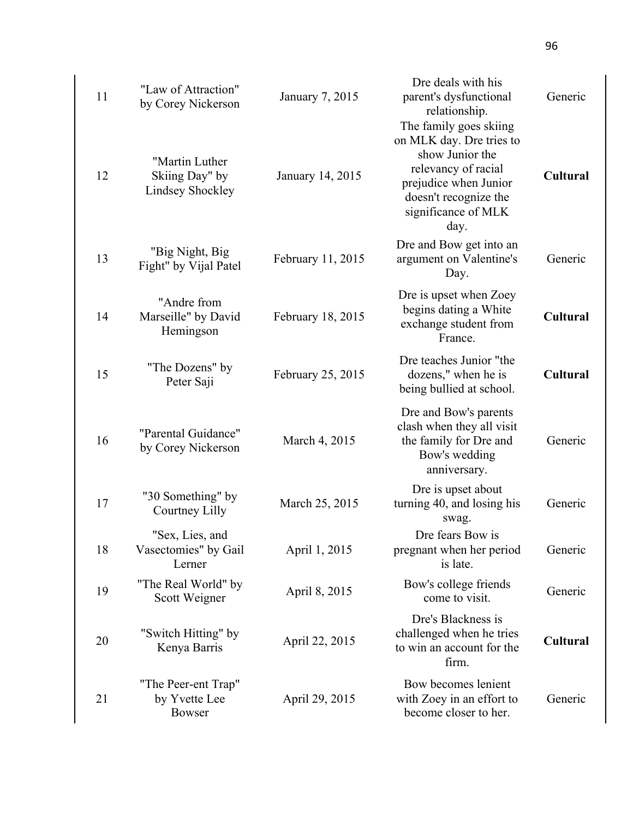| 11 | "Law of Attraction"<br>by Corey Nickerson                   | January 7, 2015   | Dre deals with his<br>parent's dysfunctional<br>relationship.<br>The family goes skiing                                                             | Generic         |
|----|-------------------------------------------------------------|-------------------|-----------------------------------------------------------------------------------------------------------------------------------------------------|-----------------|
| 12 | "Martin Luther<br>Skiing Day" by<br><b>Lindsey Shockley</b> | January 14, 2015  | on MLK day. Dre tries to<br>show Junior the<br>relevancy of racial<br>prejudice when Junior<br>doesn't recognize the<br>significance of MLK<br>day. | <b>Cultural</b> |
| 13 | "Big Night, Big<br>Fight" by Vijal Patel                    | February 11, 2015 | Dre and Bow get into an<br>argument on Valentine's<br>Day.                                                                                          | Generic         |
| 14 | "Andre from<br>Marseille" by David<br>Hemingson             | February 18, 2015 | Dre is upset when Zoey<br>begins dating a White<br>exchange student from<br>France.                                                                 | <b>Cultural</b> |
| 15 | "The Dozens" by<br>Peter Saji                               | February 25, 2015 | Dre teaches Junior "the<br>dozens," when he is<br>being bullied at school.                                                                          | <b>Cultural</b> |
| 16 | "Parental Guidance"<br>by Corey Nickerson                   | March 4, 2015     | Dre and Bow's parents<br>clash when they all visit<br>the family for Dre and<br>Bow's wedding<br>anniversary.                                       | Generic         |
| 17 | "30 Something" by<br>Courtney Lilly                         | March 25, 2015    | Dre is upset about<br>turning 40, and losing his<br>swag.                                                                                           | Generic         |
| 18 | "Sex, Lies, and<br>Vasectomies" by Gail<br>Lerner           | April 1, 2015     | Dre fears Bow is<br>pregnant when her period<br>is late.                                                                                            | Generic         |
| 19 | "The Real World" by<br>Scott Weigner                        | April 8, 2015     | Bow's college friends<br>come to visit.                                                                                                             | Generic         |
| 20 | "Switch Hitting" by<br>Kenya Barris                         | April 22, 2015    | Dre's Blackness is<br>challenged when he tries<br>to win an account for the<br>firm.                                                                | <b>Cultural</b> |
| 21 | "The Peer-ent Trap"<br>by Yvette Lee<br><b>Bowser</b>       | April 29, 2015    | Bow becomes lenient<br>with Zoey in an effort to<br>become closer to her.                                                                           | Generic         |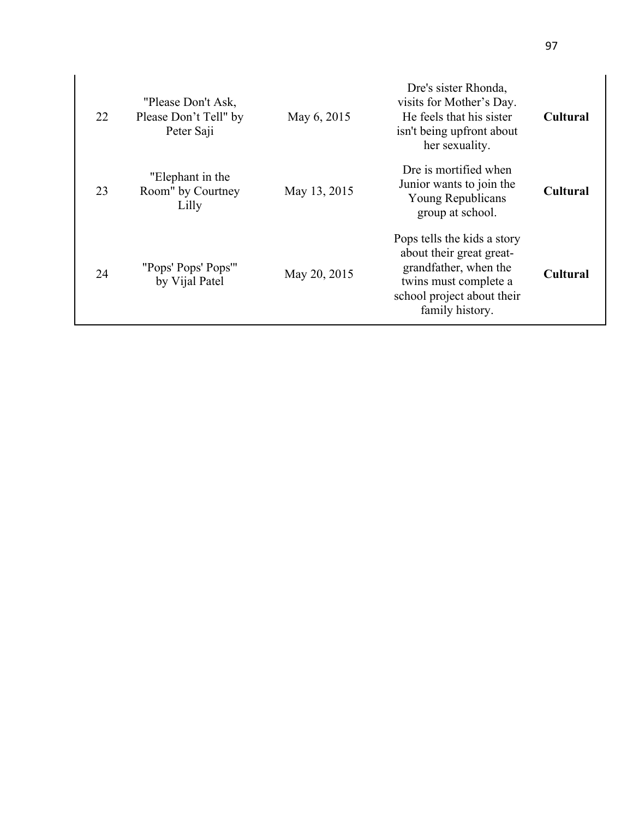| 22 | "Please Don't Ask,<br>Please Don't Tell" by<br>Peter Saji | May 6, 2015  | Dre's sister Rhonda,<br>visits for Mother's Day.<br>He feels that his sister<br>isn't being upfront about<br>her sexuality.                                | <b>Cultural</b> |
|----|-----------------------------------------------------------|--------------|------------------------------------------------------------------------------------------------------------------------------------------------------------|-----------------|
| 23 | "Elephant in the<br>Room" by Courtney<br>Lilly            | May 13, 2015 | Dre is mortified when<br>Junior wants to join the<br>Young Republicans<br>group at school.                                                                 | Cultural        |
| 24 | "Pops' Pops' Pops'"<br>by Vijal Patel                     | May 20, 2015 | Pops tells the kids a story<br>about their great great-<br>grandfather, when the<br>twins must complete a<br>school project about their<br>family history. | <b>Cultural</b> |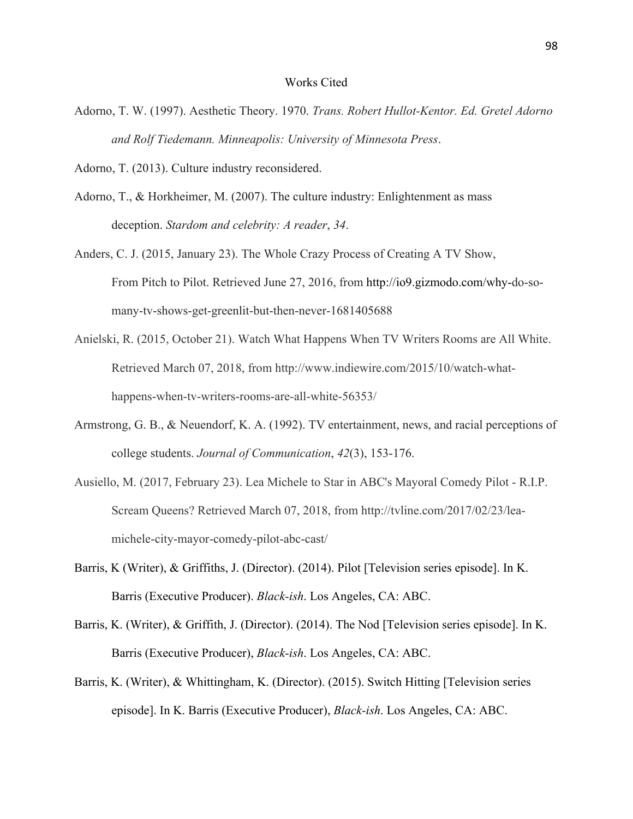#### Works Cited

- Adorno, T. W. (1997). Aesthetic Theory. 1970. *Trans. Robert Hullot-Kentor. Ed. Gretel Adorno and Rolf Tiedemann. Minneapolis: University of Minnesota Press*.
- Adorno, T. (2013). Culture industry reconsidered.
- Adorno, T., & Horkheimer, M. (2007). The culture industry: Enlightenment as mass deception. *Stardom and celebrity: A reader*, *34*.
- Anders, C. J. (2015, January 23). The Whole Crazy Process of Creating A TV Show, From Pitch to Pilot. Retrieved June 27, 2016, from http://io9.gizmodo.com/why-do-somany-tv-shows-get-greenlit-but-then-never-1681405688
- Anielski, R. (2015, October 21). Watch What Happens When TV Writers Rooms are All White. Retrieved March 07, 2018, from http://www.indiewire.com/2015/10/watch-whathappens-when-tv-writers-rooms-are-all-white-56353/
- Armstrong, G. B., & Neuendorf, K. A. (1992). TV entertainment, news, and racial perceptions of college students. *Journal of Communication*, *42*(3), 153-176.
- Ausiello, M. (2017, February 23). Lea Michele to Star in ABC's Mayoral Comedy Pilot R.I.P. Scream Queens? Retrieved March 07, 2018, from http://tvline.com/2017/02/23/leamichele-city-mayor-comedy-pilot-abc-cast/
- Barris, K (Writer), & Griffiths, J. (Director). (2014). Pilot [Television series episode]. In K. Barris (Executive Producer). *Black-ish*. Los Angeles, CA: ABC.
- Barris, K. (Writer), & Griffith, J. (Director). (2014). The Nod [Television series episode]. In K. Barris (Executive Producer), *Black-ish*. Los Angeles, CA: ABC.
- Barris, K. (Writer), & Whittingham, K. (Director). (2015). Switch Hitting [Television series episode]. In K. Barris (Executive Producer), *Black-ish*. Los Angeles, CA: ABC.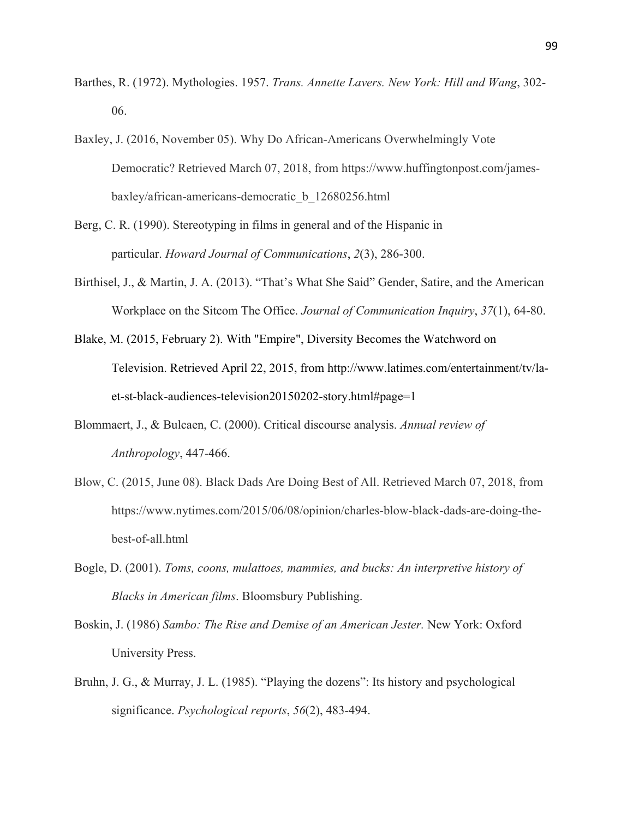- Barthes, R. (1972). Mythologies. 1957. *Trans. Annette Lavers. New York: Hill and Wang*, 302- 06.
- Baxley, J. (2016, November 05). Why Do African-Americans Overwhelmingly Vote Democratic? Retrieved March 07, 2018, from https://www.huffingtonpost.com/jamesbaxley/african-americans-democratic\_b\_12680256.html
- Berg, C. R. (1990). Stereotyping in films in general and of the Hispanic in particular. *Howard Journal of Communications*, *2*(3), 286-300.
- Birthisel, J., & Martin, J. A. (2013). "That's What She Said" Gender, Satire, and the American Workplace on the Sitcom The Office. *Journal of Communication Inquiry*, *37*(1), 64-80.
- Blake, M. (2015, February 2). With "Empire", Diversity Becomes the Watchword on Television. Retrieved April 22, 2015, from http://www.latimes.com/entertainment/tv/laet-st-black-audiences-television20150202-story.html#page=1
- Blommaert, J., & Bulcaen, C. (2000). Critical discourse analysis. *Annual review of Anthropology*, 447-466.
- Blow, C. (2015, June 08). Black Dads Are Doing Best of All. Retrieved March 07, 2018, from https://www.nytimes.com/2015/06/08/opinion/charles-blow-black-dads-are-doing-thebest-of-all.html
- Bogle, D. (2001). *Toms, coons, mulattoes, mammies, and bucks: An interpretive history of Blacks in American films*. Bloomsbury Publishing.
- Boskin, J. (1986) *Sambo: The Rise and Demise of an American Jester.* New York: Oxford University Press.
- Bruhn, J. G., & Murray, J. L. (1985). "Playing the dozens": Its history and psychological significance. *Psychological reports*, *56*(2), 483-494.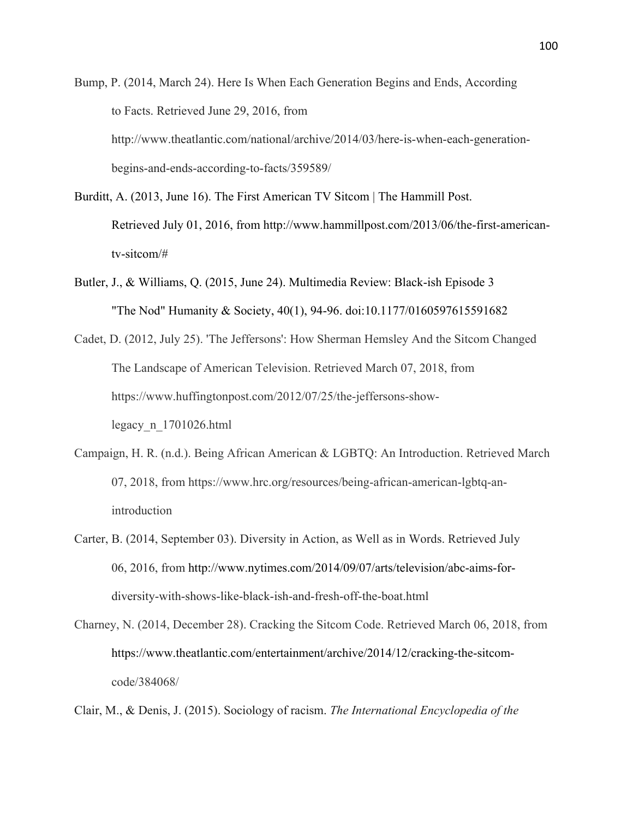Bump, P. (2014, March 24). Here Is When Each Generation Begins and Ends, According to Facts. Retrieved June 29, 2016, from http://www.theatlantic.com/national/archive/2014/03/here-is-when-each-generationbegins-and-ends-according-to-facts/359589/

- Burditt, A. (2013, June 16). The First American TV Sitcom | The Hammill Post. Retrieved July 01, 2016, from http://www.hammillpost.com/2013/06/the-first-americantv-sitcom/#
- Butler, J., & Williams, Q. (2015, June 24). Multimedia Review: Black-ish Episode 3 "The Nod" Humanity & Society, 40(1), 94-96. doi:10.1177/0160597615591682
- Cadet, D. (2012, July 25). 'The Jeffersons': How Sherman Hemsley And the Sitcom Changed The Landscape of American Television. Retrieved March 07, 2018, from https://www.huffingtonpost.com/2012/07/25/the-jeffersons-showlegacy\_n\_1701026.html
- Campaign, H. R. (n.d.). Being African American & LGBTQ: An Introduction. Retrieved March 07, 2018, from https://www.hrc.org/resources/being-african-american-lgbtq-anintroduction
- Carter, B. (2014, September 03). Diversity in Action, as Well as in Words. Retrieved July 06, 2016, from http://www.nytimes.com/2014/09/07/arts/television/abc-aims-fordiversity-with-shows-like-black-ish-and-fresh-off-the-boat.html
- Charney, N. (2014, December 28). Cracking the Sitcom Code. Retrieved March 06, 2018, from https://www.theatlantic.com/entertainment/archive/2014/12/cracking-the-sitcomcode/384068/

Clair, M., & Denis, J. (2015). Sociology of racism. *The International Encyclopedia of the*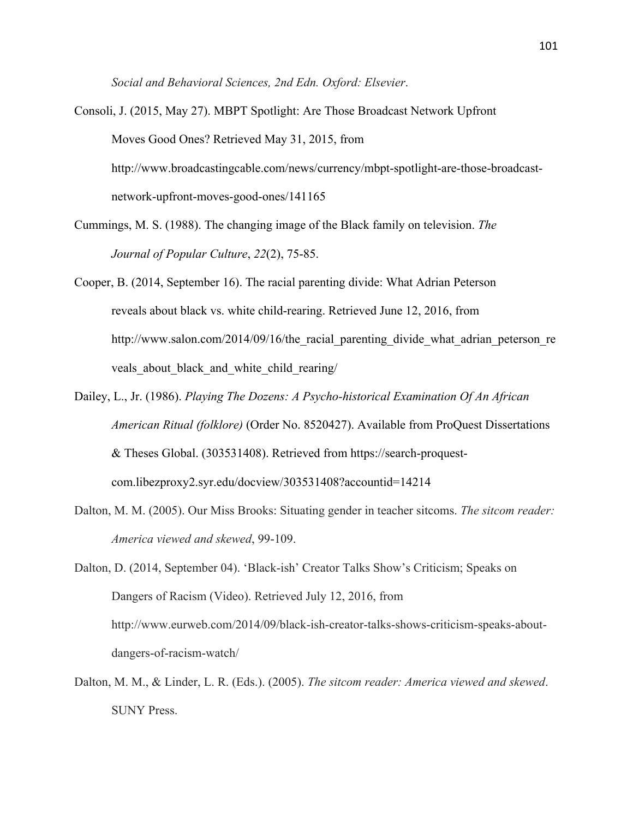*Social and Behavioral Sciences, 2nd Edn. Oxford: Elsevier*.

- Consoli, J. (2015, May 27). MBPT Spotlight: Are Those Broadcast Network Upfront Moves Good Ones? Retrieved May 31, 2015, from http://www.broadcastingcable.com/news/currency/mbpt-spotlight-are-those-broadcastnetwork-upfront-moves-good-ones/141165
- Cummings, M. S. (1988). The changing image of the Black family on television. *The Journal of Popular Culture*, *22*(2), 75-85.
- Cooper, B. (2014, September 16). The racial parenting divide: What Adrian Peterson reveals about black vs. white child-rearing. Retrieved June 12, 2016, from http://www.salon.com/2014/09/16/the racial parenting divide what adrian peterson re veals about black and white child rearing/
- Dailey, L., Jr. (1986). *Playing The Dozens: A Psycho-historical Examination Of An African American Ritual (folklore)* (Order No. 8520427). Available from ProQuest Dissertations & Theses Global. (303531408). Retrieved from https://search-proquestcom.libezproxy2.syr.edu/docview/303531408?accountid=14214
- Dalton, M. M. (2005). Our Miss Brooks: Situating gender in teacher sitcoms. *The sitcom reader: America viewed and skewed*, 99-109.

Dalton, D. (2014, September 04). 'Black-ish' Creator Talks Show's Criticism; Speaks on Dangers of Racism (Video). Retrieved July 12, 2016, from http://www.eurweb.com/2014/09/black-ish-creator-talks-shows-criticism-speaks-aboutdangers-of-racism-watch/

Dalton, M. M., & Linder, L. R. (Eds.). (2005). *The sitcom reader: America viewed and skewed*. SUNY Press.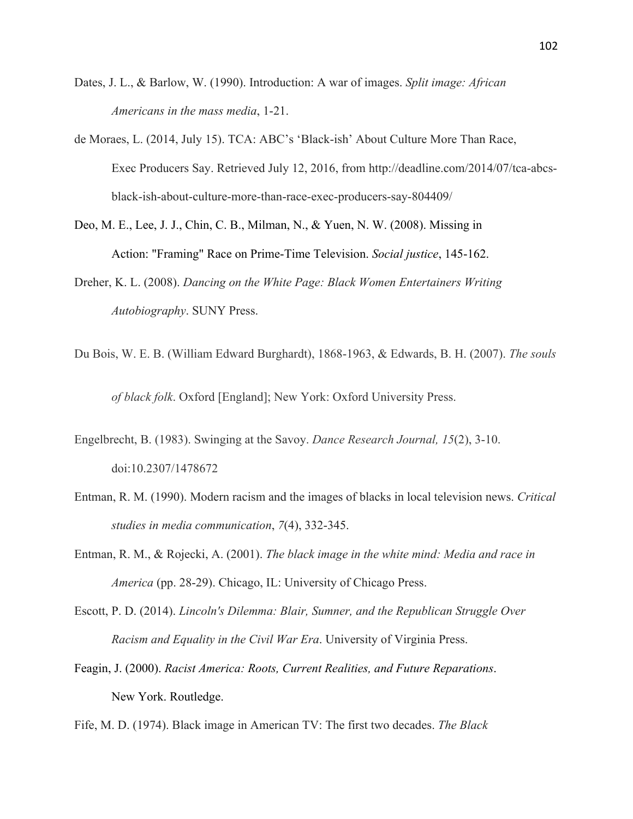- Dates, J. L., & Barlow, W. (1990). Introduction: A war of images. *Split image: African Americans in the mass media*, 1-21.
- de Moraes, L. (2014, July 15). TCA: ABC's 'Black-ish' About Culture More Than Race, Exec Producers Say. Retrieved July 12, 2016, from http://deadline.com/2014/07/tca-abcsblack-ish-about-culture-more-than-race-exec-producers-say-804409/
- Deo, M. E., Lee, J. J., Chin, C. B., Milman, N., & Yuen, N. W. (2008). Missing in Action: "Framing" Race on Prime-Time Television. *Social justice*, 145-162.
- Dreher, K. L. (2008). *Dancing on the White Page: Black Women Entertainers Writing Autobiography*. SUNY Press.
- Du Bois, W. E. B. (William Edward Burghardt), 1868-1963, & Edwards, B. H. (2007). *The souls of black folk*. Oxford [England]; New York: Oxford University Press.
- Engelbrecht, B. (1983). Swinging at the Savoy. *Dance Research Journal, 15*(2), 3-10. doi:10.2307/1478672
- Entman, R. M. (1990). Modern racism and the images of blacks in local television news. *Critical studies in media communication*, *7*(4), 332-345.
- Entman, R. M., & Rojecki, A. (2001). *The black image in the white mind: Media and race in America* (pp. 28-29). Chicago, IL: University of Chicago Press.
- Escott, P. D. (2014). *Lincoln's Dilemma: Blair, Sumner, and the Republican Struggle Over Racism and Equality in the Civil War Era*. University of Virginia Press.
- Feagin, J. (2000). *Racist America: Roots, Current Realities, and Future Reparations*. New York. Routledge.
- Fife, M. D. (1974). Black image in American TV: The first two decades. *The Black*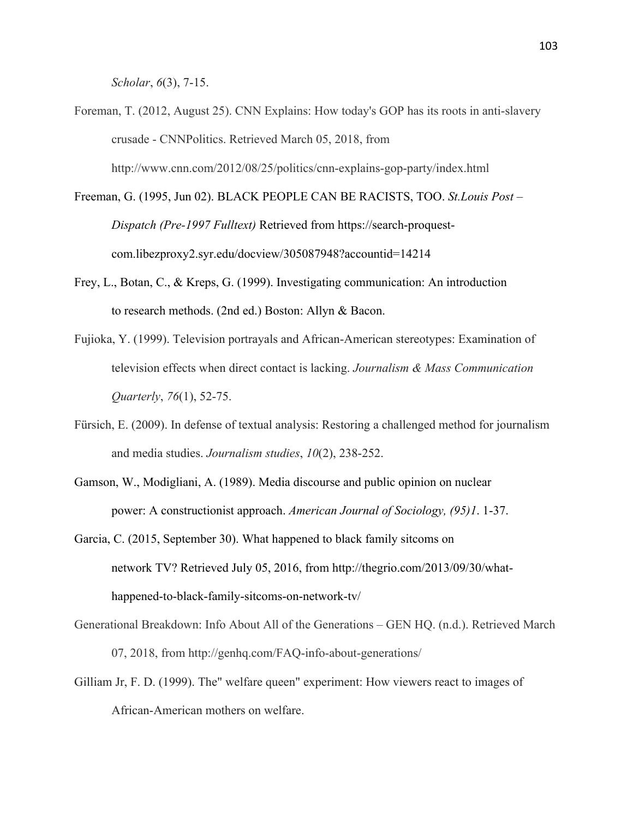*Scholar*, *6*(3), 7-15.

- Foreman, T. (2012, August 25). CNN Explains: How today's GOP has its roots in anti-slavery crusade - CNNPolitics. Retrieved March 05, 2018, from http://www.cnn.com/2012/08/25/politics/cnn-explains-gop-party/index.html
- Freeman, G. (1995, Jun 02). BLACK PEOPLE CAN BE RACISTS, TOO. *St.Louis Post – Dispatch (Pre-1997 Fulltext)* Retrieved from https://search-proquestcom.libezproxy2.syr.edu/docview/305087948?accountid=14214
- Frey, L., Botan, C., & Kreps, G. (1999). Investigating communication: An introduction to research methods. (2nd ed.) Boston: Allyn & Bacon.
- Fujioka, Y. (1999). Television portrayals and African-American stereotypes: Examination of television effects when direct contact is lacking. *Journalism & Mass Communication Quarterly*, *76*(1), 52-75.
- Fürsich, E. (2009). In defense of textual analysis: Restoring a challenged method for journalism and media studies. *Journalism studies*, *10*(2), 238-252.
- Gamson, W., Modigliani, A. (1989). Media discourse and public opinion on nuclear power: A constructionist approach. *American Journal of Sociology, (95)1*. 1-37.
- Garcia, C. (2015, September 30). What happened to black family sitcoms on network TV? Retrieved July 05, 2016, from http://thegrio.com/2013/09/30/whathappened-to-black-family-sitcoms-on-network-tv/
- Generational Breakdown: Info About All of the Generations GEN HQ. (n.d.). Retrieved March 07, 2018, from http://genhq.com/FAQ-info-about-generations/
- Gilliam Jr, F. D. (1999). The" welfare queen" experiment: How viewers react to images of African-American mothers on welfare.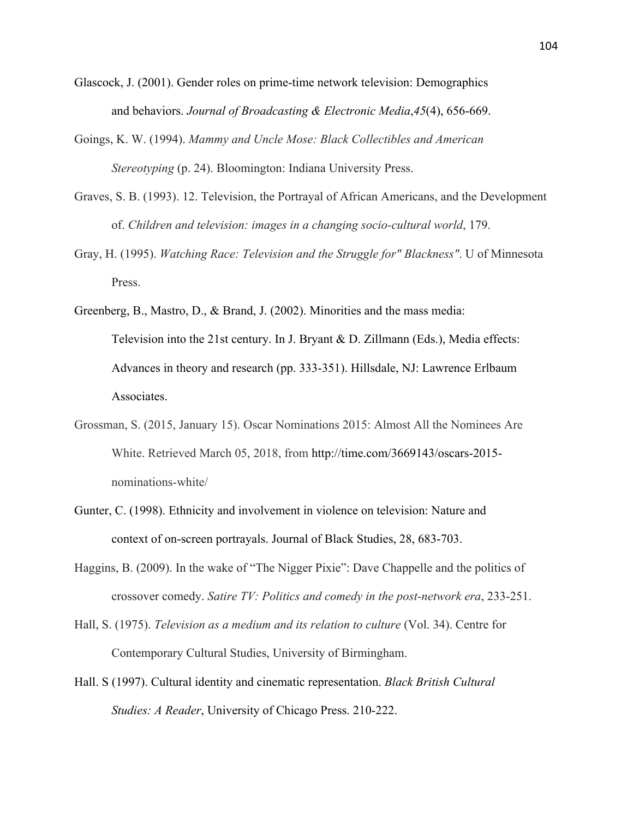- Glascock, J. (2001). Gender roles on prime-time network television: Demographics and behaviors. *Journal of Broadcasting & Electronic Media*,*45*(4), 656-669.
- Goings, K. W. (1994). *Mammy and Uncle Mose: Black Collectibles and American Stereotyping* (p. 24). Bloomington: Indiana University Press.
- Graves, S. B. (1993). 12. Television, the Portrayal of African Americans, and the Development of. *Children and television: images in a changing socio-cultural world*, 179.
- Gray, H. (1995). *Watching Race: Television and the Struggle for" Blackness"*. U of Minnesota Press.
- Greenberg, B., Mastro, D., & Brand, J. (2002). Minorities and the mass media: Television into the 21st century. In J. Bryant & D. Zillmann (Eds.), Media effects: Advances in theory and research (pp. 333-351). Hillsdale, NJ: Lawrence Erlbaum Associates.
- Grossman, S. (2015, January 15). Oscar Nominations 2015: Almost All the Nominees Are White. Retrieved March 05, 2018, from http://time.com/3669143/oscars-2015 nominations-white/
- Gunter, C. (1998). Ethnicity and involvement in violence on television: Nature and context of on-screen portrayals. Journal of Black Studies, 28, 683-703.
- Haggins, B. (2009). In the wake of "The Nigger Pixie": Dave Chappelle and the politics of crossover comedy. *Satire TV: Politics and comedy in the post-network era*, 233-251.
- Hall, S. (1975). *Television as a medium and its relation to culture* (Vol. 34). Centre for Contemporary Cultural Studies, University of Birmingham.
- Hall. S (1997). Cultural identity and cinematic representation. *Black British Cultural Studies: A Reader*, University of Chicago Press. 210-222.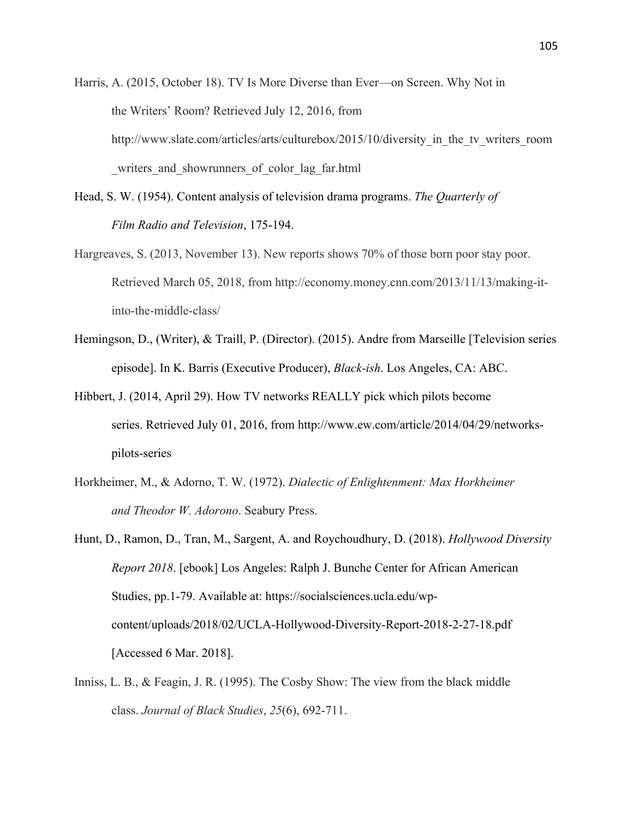Harris, A. (2015, October 18). TV Is More Diverse than Ever—on Screen. Why Not in the Writers' Room? Retrieved July 12, 2016, from http://www.slate.com/articles/arts/culturebox/2015/10/diversity in the tv writers room writers and showrunners of color lag far.html

- Head, S. W. (1954). Content analysis of television drama programs. *The Quarterly of Film Radio and Television*, 175-194.
- Hargreaves, S. (2013, November 13). New reports shows 70% of those born poor stay poor. Retrieved March 05, 2018, from http://economy.money.cnn.com/2013/11/13/making-itinto-the-middle-class/
- Hemingson, D., (Writer), & Traill, P. (Director). (2015). Andre from Marseille [Television series episode]. In K. Barris (Executive Producer), *Black-ish*. Los Angeles, CA: ABC.
- Hibbert, J. (2014, April 29). How TV networks REALLY pick which pilots become series. Retrieved July 01, 2016, from http://www.ew.com/article/2014/04/29/networkspilots-series
- Horkheimer, M., & Adorno, T. W. (1972). *Dialectic of Enlightenment: Max Horkheimer and Theodor W. Adorono*. Seabury Press.
- Hunt, D., Ramon, D., Tran, M., Sargent, A. and Roychoudhury, D. (2018). *Hollywood Diversity Report 2018*. [ebook] Los Angeles: Ralph J. Bunche Center for African American Studies, pp.1-79. Available at: https://socialsciences.ucla.edu/wpcontent/uploads/2018/02/UCLA-Hollywood-Diversity-Report-2018-2-27-18.pdf [Accessed 6 Mar. 2018].
- Inniss, L. B., & Feagin, J. R. (1995). The Cosby Show: The view from the black middle class. *Journal of Black Studies*, *25*(6), 692-711.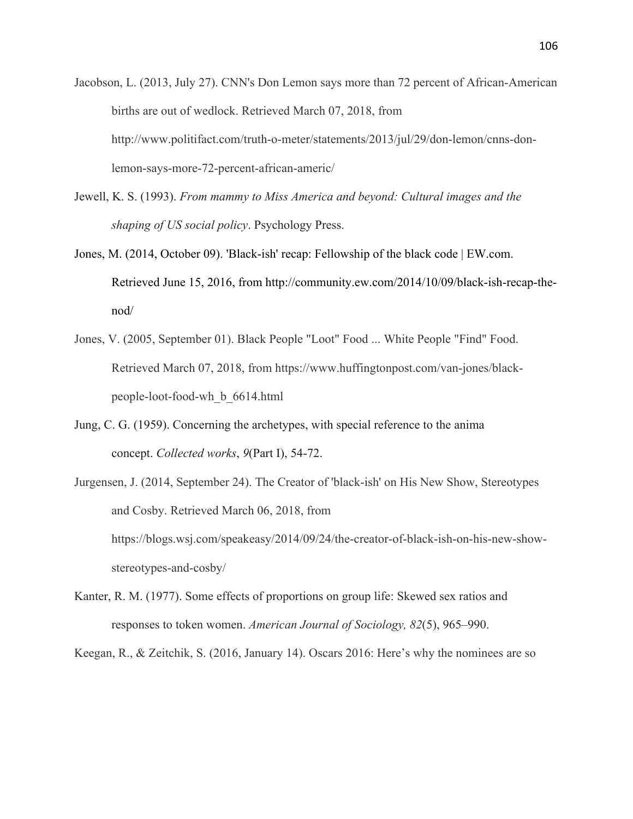- Jacobson, L. (2013, July 27). CNN's Don Lemon says more than 72 percent of African-American births are out of wedlock. Retrieved March 07, 2018, from http://www.politifact.com/truth-o-meter/statements/2013/jul/29/don-lemon/cnns-donlemon-says-more-72-percent-african-americ/
- Jewell, K. S. (1993). *From mammy to Miss America and beyond: Cultural images and the shaping of US social policy*. Psychology Press.
- Jones, M. (2014, October 09). 'Black-ish' recap: Fellowship of the black code | EW.com. Retrieved June 15, 2016, from http://community.ew.com/2014/10/09/black-ish-recap-thenod/
- Jones, V. (2005, September 01). Black People "Loot" Food ... White People "Find" Food. Retrieved March 07, 2018, from https://www.huffingtonpost.com/van-jones/blackpeople-loot-food-wh\_b\_6614.html
- Jung, C. G. (1959). Concerning the archetypes, with special reference to the anima concept. *Collected works*, *9*(Part I), 54-72.
- Jurgensen, J. (2014, September 24). The Creator of 'black-ish' on His New Show, Stereotypes and Cosby. Retrieved March 06, 2018, from https://blogs.wsj.com/speakeasy/2014/09/24/the-creator-of-black-ish-on-his-new-showstereotypes-and-cosby/
- Kanter, R. M. (1977). Some effects of proportions on group life: Skewed sex ratios and responses to token women. *American Journal of Sociology, 82*(5), 965–990.

Keegan, R., & Zeitchik, S. (2016, January 14). Oscars 2016: Here's why the nominees are so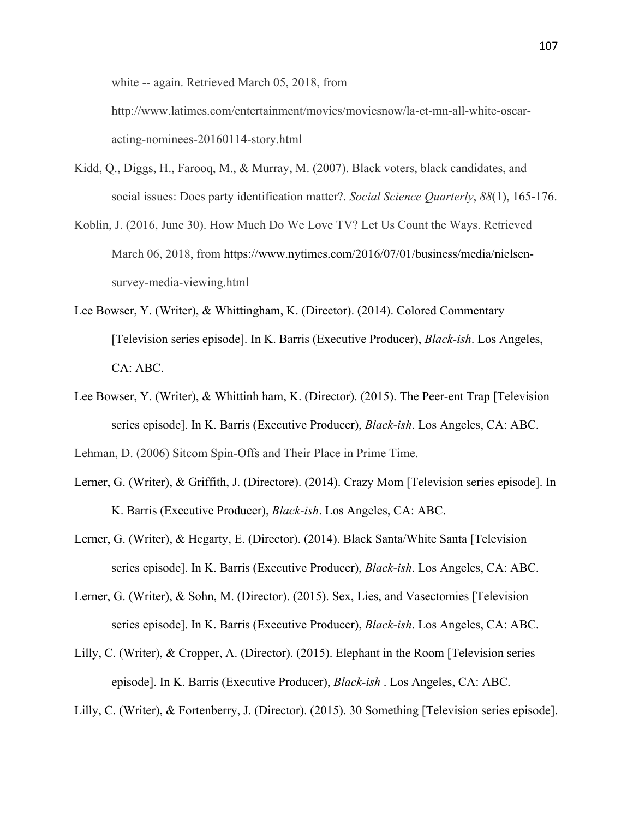white -- again. Retrieved March 05, 2018, from

http://www.latimes.com/entertainment/movies/moviesnow/la-et-mn-all-white-oscaracting-nominees-20160114-story.html

- Kidd, Q., Diggs, H., Farooq, M., & Murray, M. (2007). Black voters, black candidates, and social issues: Does party identification matter?. *Social Science Quarterly*, *88*(1), 165-176.
- Koblin, J. (2016, June 30). How Much Do We Love TV? Let Us Count the Ways. Retrieved March 06, 2018, from https://www.nytimes.com/2016/07/01/business/media/nielsensurvey-media-viewing.html
- Lee Bowser, Y. (Writer), & Whittingham, K. (Director). (2014). Colored Commentary [Television series episode]. In K. Barris (Executive Producer), *Black-ish*. Los Angeles, CA: ABC.
- Lee Bowser, Y. (Writer), & Whittinh ham, K. (Director). (2015). The Peer-ent Trap [Television series episode]. In K. Barris (Executive Producer), *Black-ish*. Los Angeles, CA: ABC.

Lehman, D. (2006) Sitcom Spin-Offs and Their Place in Prime Time.

- Lerner, G. (Writer), & Griffith, J. (Directore). (2014). Crazy Mom [Television series episode]. In K. Barris (Executive Producer), *Black-ish*. Los Angeles, CA: ABC.
- Lerner, G. (Writer), & Hegarty, E. (Director). (2014). Black Santa/White Santa [Television series episode]. In K. Barris (Executive Producer), *Black-ish*. Los Angeles, CA: ABC.
- Lerner, G. (Writer), & Sohn, M. (Director). (2015). Sex, Lies, and Vasectomies [Television series episode]. In K. Barris (Executive Producer), *Black-ish*. Los Angeles, CA: ABC.
- Lilly, C. (Writer), & Cropper, A. (Director). (2015). Elephant in the Room [Television series episode]. In K. Barris (Executive Producer), *Black-ish* . Los Angeles, CA: ABC.

Lilly, C. (Writer), & Fortenberry, J. (Director). (2015). 30 Something [Television series episode].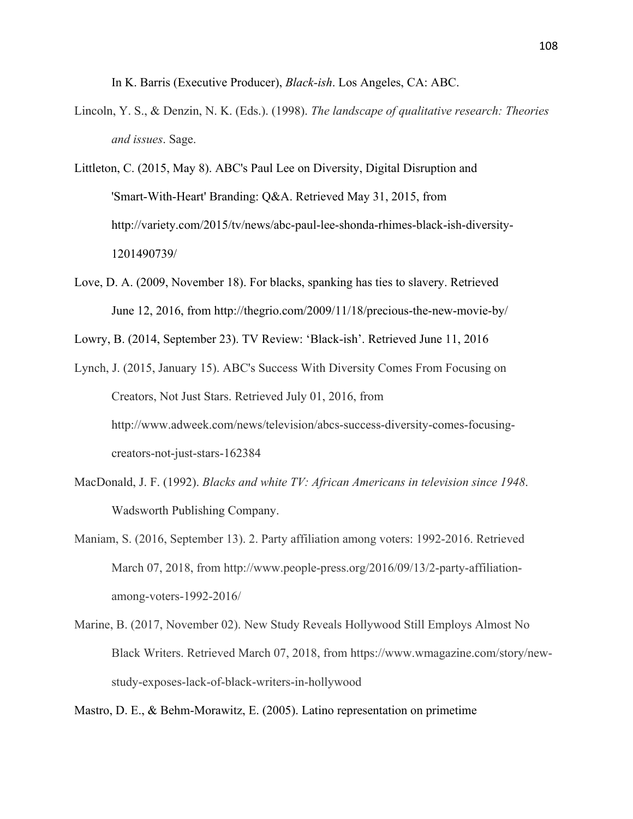In K. Barris (Executive Producer), *Black-ish*. Los Angeles, CA: ABC.

- Lincoln, Y. S., & Denzin, N. K. (Eds.). (1998). *The landscape of qualitative research: Theories and issues*. Sage.
- Littleton, C. (2015, May 8). ABC's Paul Lee on Diversity, Digital Disruption and 'Smart-With-Heart' Branding: Q&A. Retrieved May 31, 2015, from http://variety.com/2015/tv/news/abc-paul-lee-shonda-rhimes-black-ish-diversity-1201490739/
- Love, D. A. (2009, November 18). For blacks, spanking has ties to slavery. Retrieved June 12, 2016, from http://thegrio.com/2009/11/18/precious-the-new-movie-by/

Lowry, B. (2014, September 23). TV Review: 'Black-ish'. Retrieved June 11, 2016

- Lynch, J. (2015, January 15). ABC's Success With Diversity Comes From Focusing on Creators, Not Just Stars. Retrieved July 01, 2016, from http://www.adweek.com/news/television/abcs-success-diversity-comes-focusingcreators-not-just-stars-162384
- MacDonald, J. F. (1992). *Blacks and white TV: African Americans in television since 1948*. Wadsworth Publishing Company.
- Maniam, S. (2016, September 13). 2. Party affiliation among voters: 1992-2016. Retrieved March 07, 2018, from http://www.people-press.org/2016/09/13/2-party-affiliationamong-voters-1992-2016/
- Marine, B. (2017, November 02). New Study Reveals Hollywood Still Employs Almost No Black Writers. Retrieved March 07, 2018, from https://www.wmagazine.com/story/newstudy-exposes-lack-of-black-writers-in-hollywood

Mastro, D. E., & Behm-Morawitz, E. (2005). Latino representation on primetime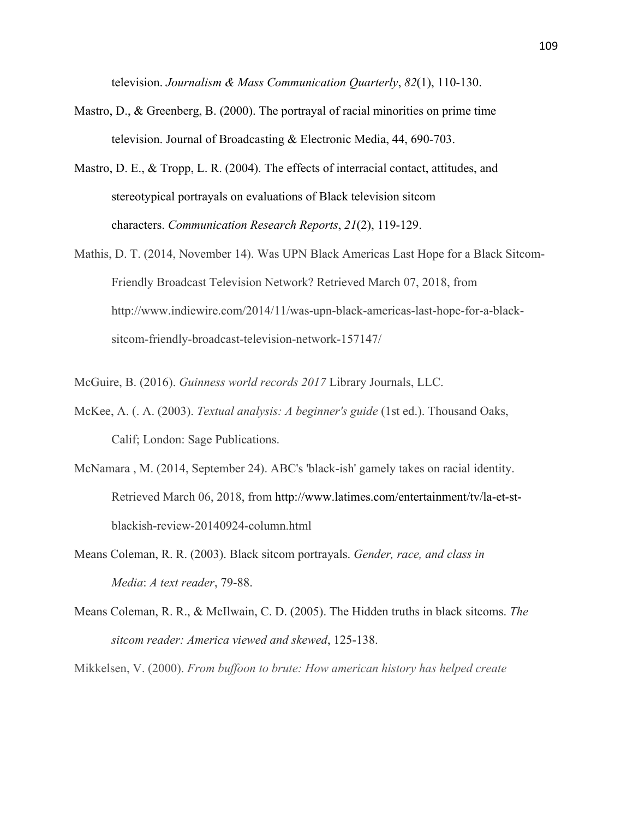television. *Journalism & Mass Communication Quarterly*, *82*(1), 110-130.

- Mastro, D., & Greenberg, B. (2000). The portrayal of racial minorities on prime time television. Journal of Broadcasting & Electronic Media, 44, 690-703.
- Mastro, D. E., & Tropp, L. R. (2004). The effects of interracial contact, attitudes, and stereotypical portrayals on evaluations of Black television sitcom characters. *Communication Research Reports*, *21*(2), 119-129.
- Mathis, D. T. (2014, November 14). Was UPN Black Americas Last Hope for a Black Sitcom-Friendly Broadcast Television Network? Retrieved March 07, 2018, from http://www.indiewire.com/2014/11/was-upn-black-americas-last-hope-for-a-blacksitcom-friendly-broadcast-television-network-157147/

McGuire, B. (2016). *Guinness world records 2017* Library Journals, LLC.

- McKee, A. (. A. (2003). *Textual analysis: A beginner's guide* (1st ed.). Thousand Oaks, Calif; London: Sage Publications.
- McNamara , M. (2014, September 24). ABC's 'black-ish' gamely takes on racial identity. Retrieved March 06, 2018, from http://www.latimes.com/entertainment/tv/la-et-stblackish-review-20140924-column.html
- Means Coleman, R. R. (2003). Black sitcom portrayals. *Gender, race, and class in Media*: *A text reader*, 79-88.
- Means Coleman, R. R., & McIlwain, C. D. (2005). The Hidden truths in black sitcoms. *The sitcom reader: America viewed and skewed*, 125-138.

Mikkelsen, V. (2000). *From buffoon to brute: How american history has helped create*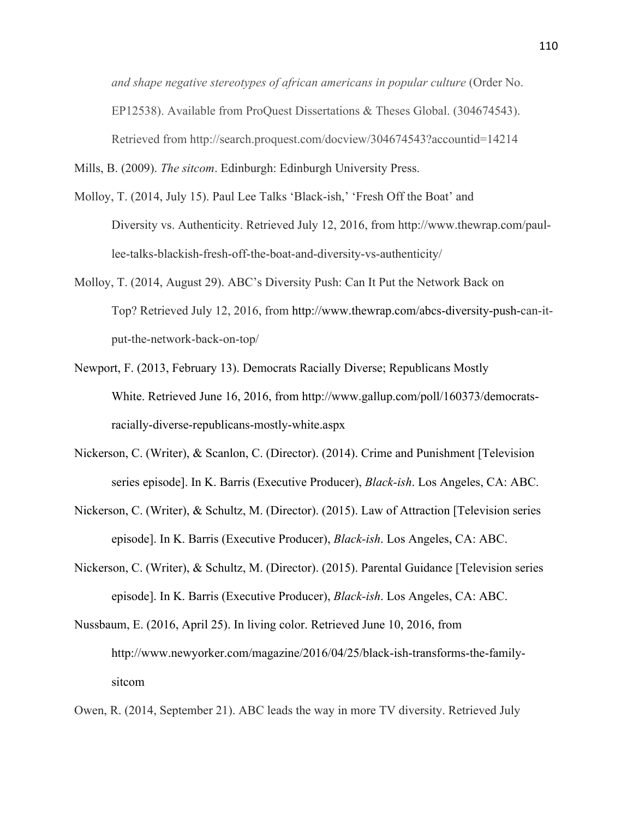*and shape negative stereotypes of african americans in popular culture* (Order No. EP12538). Available from ProQuest Dissertations & Theses Global. (304674543). Retrieved from http://search.proquest.com/docview/304674543?accountid=14214

Mills, B. (2009). *The sitcom*. Edinburgh: Edinburgh University Press.

- Molloy, T. (2014, July 15). Paul Lee Talks 'Black-ish,' 'Fresh Off the Boat' and Diversity vs. Authenticity. Retrieved July 12, 2016, from http://www.thewrap.com/paullee-talks-blackish-fresh-off-the-boat-and-diversity-vs-authenticity/
- Molloy, T. (2014, August 29). ABC's Diversity Push: Can It Put the Network Back on Top? Retrieved July 12, 2016, from http://www.thewrap.com/abcs-diversity-push-can-itput-the-network-back-on-top/
- Newport, F. (2013, February 13). Democrats Racially Diverse; Republicans Mostly White. Retrieved June 16, 2016, from http://www.gallup.com/poll/160373/democratsracially-diverse-republicans-mostly-white.aspx
- Nickerson, C. (Writer), & Scanlon, C. (Director). (2014). Crime and Punishment [Television series episode]. In K. Barris (Executive Producer), *Black-ish*. Los Angeles, CA: ABC.
- Nickerson, C. (Writer), & Schultz, M. (Director). (2015). Law of Attraction [Television series episode]. In K. Barris (Executive Producer), *Black-ish*. Los Angeles, CA: ABC.
- Nickerson, C. (Writer), & Schultz, M. (Director). (2015). Parental Guidance [Television series episode]. In K. Barris (Executive Producer), *Black-ish*. Los Angeles, CA: ABC.
- Nussbaum, E. (2016, April 25). In living color. Retrieved June 10, 2016, from http://www.newyorker.com/magazine/2016/04/25/black-ish-transforms-the-familysitcom

Owen, R. (2014, September 21). ABC leads the way in more TV diversity. Retrieved July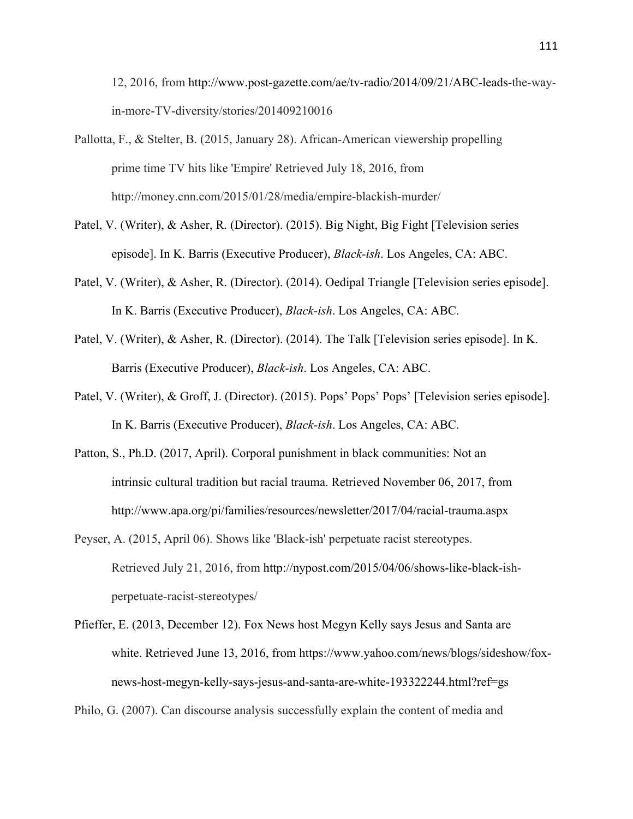12, 2016, from http://www.post-gazette.com/ae/tv-radio/2014/09/21/ABC-leads-the-wayin-more-TV-diversity/stories/201409210016

- Pallotta, F., & Stelter, B. (2015, January 28). African-American viewership propelling prime time TV hits like 'Empire' Retrieved July 18, 2016, from http://money.cnn.com/2015/01/28/media/empire-blackish-murder/
- Patel, V. (Writer), & Asher, R. (Director). (2015). Big Night, Big Fight [Television series episode]. In K. Barris (Executive Producer), *Black-ish*. Los Angeles, CA: ABC.
- Patel, V. (Writer), & Asher, R. (Director). (2014). Oedipal Triangle [Television series episode]. In K. Barris (Executive Producer), *Black-ish*. Los Angeles, CA: ABC.
- Patel, V. (Writer), & Asher, R. (Director). (2014). The Talk [Television series episode]. In K. Barris (Executive Producer), *Black-ish*. Los Angeles, CA: ABC.
- Patel, V. (Writer), & Groff, J. (Director). (2015). Pops' Pops' Pops' [Television series episode]. In K. Barris (Executive Producer), *Black-ish*. Los Angeles, CA: ABC.
- Patton, S., Ph.D. (2017, April). Corporal punishment in black communities: Not an intrinsic cultural tradition but racial trauma. Retrieved November 06, 2017, from http://www.apa.org/pi/families/resources/newsletter/2017/04/racial-trauma.aspx
- Peyser, A. (2015, April 06). Shows like 'Black-ish' perpetuate racist stereotypes. Retrieved July 21, 2016, from http://nypost.com/2015/04/06/shows-like-black-ishperpetuate-racist-stereotypes/
- Pfieffer, E. (2013, December 12). Fox News host Megyn Kelly says Jesus and Santa are white. Retrieved June 13, 2016, from https://www.yahoo.com/news/blogs/sideshow/foxnews-host-megyn-kelly-says-jesus-and-santa-are-white-193322244.html?ref=gs

Philo, G. (2007). Can discourse analysis successfully explain the content of media and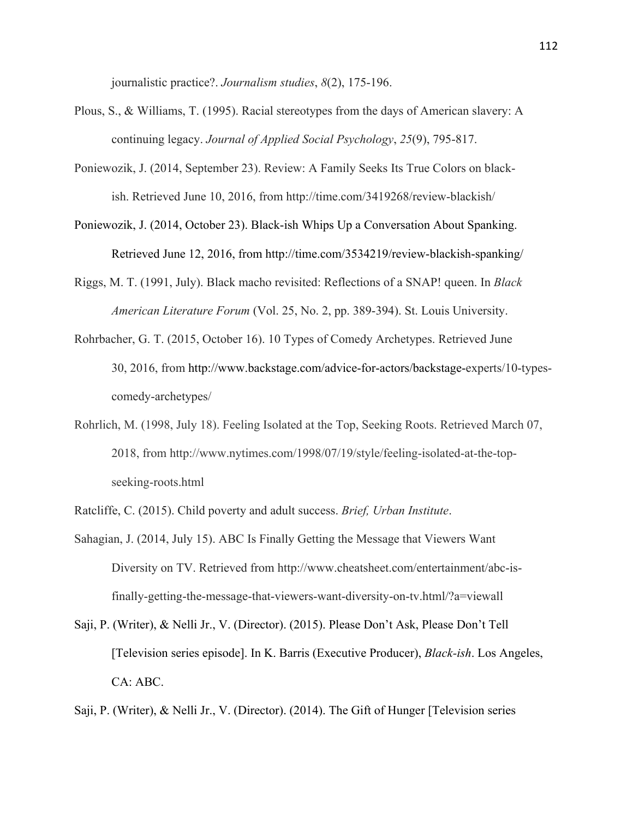journalistic practice?. *Journalism studies*, *8*(2), 175-196.

- Plous, S., & Williams, T. (1995). Racial stereotypes from the days of American slavery: A continuing legacy. *Journal of Applied Social Psychology*, *25*(9), 795-817.
- Poniewozik, J. (2014, September 23). Review: A Family Seeks Its True Colors on blackish. Retrieved June 10, 2016, from http://time.com/3419268/review-blackish/
- Poniewozik, J. (2014, October 23). Black-ish Whips Up a Conversation About Spanking. Retrieved June 12, 2016, from http://time.com/3534219/review-blackish-spanking/
- Riggs, M. T. (1991, July). Black macho revisited: Reflections of a SNAP! queen. In *Black American Literature Forum* (Vol. 25, No. 2, pp. 389-394). St. Louis University.
- Rohrbacher, G. T. (2015, October 16). 10 Types of Comedy Archetypes. Retrieved June 30, 2016, from http://www.backstage.com/advice-for-actors/backstage-experts/10-typescomedy-archetypes/
- Rohrlich, M. (1998, July 18). Feeling Isolated at the Top, Seeking Roots. Retrieved March 07, 2018, from http://www.nytimes.com/1998/07/19/style/feeling-isolated-at-the-topseeking-roots.html

Ratcliffe, C. (2015). Child poverty and adult success. *Brief, Urban Institute*.

- Sahagian, J. (2014, July 15). ABC Is Finally Getting the Message that Viewers Want Diversity on TV. Retrieved from http://www.cheatsheet.com/entertainment/abc-isfinally-getting-the-message-that-viewers-want-diversity-on-tv.html/?a=viewall
- Saji, P. (Writer), & Nelli Jr., V. (Director). (2015). Please Don't Ask, Please Don't Tell [Television series episode]. In K. Barris (Executive Producer), *Black-ish*. Los Angeles, CA: ABC.

Saji, P. (Writer), & Nelli Jr., V. (Director). (2014). The Gift of Hunger [Television series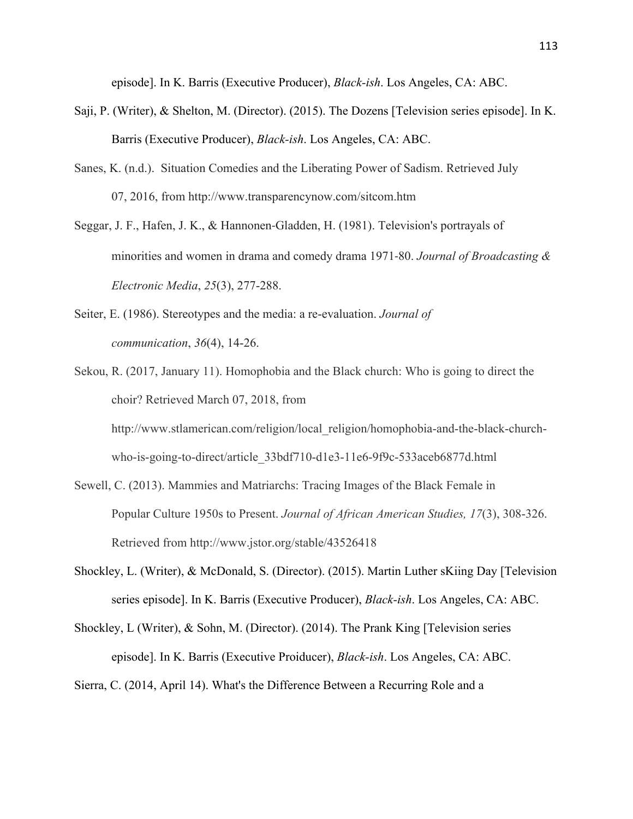episode]. In K. Barris (Executive Producer), *Black-ish*. Los Angeles, CA: ABC.

- Saji, P. (Writer), & Shelton, M. (Director). (2015). The Dozens [Television series episode]. In K. Barris (Executive Producer), *Black-ish*. Los Angeles, CA: ABC.
- Sanes, K. (n.d.). Situation Comedies and the Liberating Power of Sadism. Retrieved July 07, 2016, from http://www.transparencynow.com/sitcom.htm
- Seggar, J. F., Hafen, J. K., & Hannonen-Gladden, H. (1981). Television's portrayals of minorities and women in drama and comedy drama 1971-80. *Journal of Broadcasting & Electronic Media*, *25*(3), 277-288.
- Seiter, E. (1986). Stereotypes and the media: a re-evaluation. *Journal of communication*, *36*(4), 14-26.
- Sekou, R. (2017, January 11). Homophobia and the Black church: Who is going to direct the choir? Retrieved March 07, 2018, from http://www.stlamerican.com/religion/local\_religion/homophobia-and-the-black-churchwho-is-going-to-direct/article\_33bdf710-d1e3-11e6-9f9c-533aceb6877d.html
- Sewell, C. (2013). Mammies and Matriarchs: Tracing Images of the Black Female in Popular Culture 1950s to Present. *Journal of African American Studies, 17*(3), 308-326. Retrieved from http://www.jstor.org/stable/43526418
- Shockley, L. (Writer), & McDonald, S. (Director). (2015). Martin Luther sKiing Day [Television series episode]. In K. Barris (Executive Producer), *Black-ish*. Los Angeles, CA: ABC.
- Shockley, L (Writer), & Sohn, M. (Director). (2014). The Prank King [Television series episode]. In K. Barris (Executive Proiducer), *Black-ish*. Los Angeles, CA: ABC.

Sierra, C. (2014, April 14). What's the Difference Between a Recurring Role and a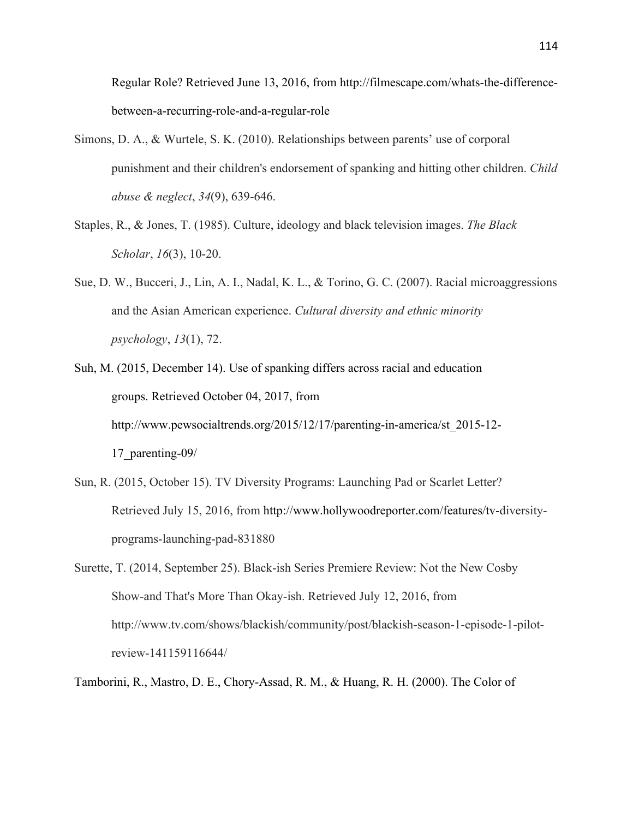Regular Role? Retrieved June 13, 2016, from http://filmescape.com/whats-the-differencebetween-a-recurring-role-and-a-regular-role

- Simons, D. A., & Wurtele, S. K. (2010). Relationships between parents' use of corporal punishment and their children's endorsement of spanking and hitting other children. *Child abuse & neglect*, *34*(9), 639-646.
- Staples, R., & Jones, T. (1985). Culture, ideology and black television images. *The Black Scholar*, *16*(3), 10-20.
- Sue, D. W., Bucceri, J., Lin, A. I., Nadal, K. L., & Torino, G. C. (2007). Racial microaggressions and the Asian American experience. *Cultural diversity and ethnic minority psychology*, *13*(1), 72.
- Suh, M. (2015, December 14). Use of spanking differs across racial and education groups. Retrieved October 04, 2017, from http://www.pewsocialtrends.org/2015/12/17/parenting-in-america/st\_2015-12- 17\_parenting-09/
- Sun, R. (2015, October 15). TV Diversity Programs: Launching Pad or Scarlet Letter? Retrieved July 15, 2016, from http://www.hollywoodreporter.com/features/tv-diversityprograms-launching-pad-831880
- Surette, T. (2014, September 25). Black-ish Series Premiere Review: Not the New Cosby Show-and That's More Than Okay-ish. Retrieved July 12, 2016, from http://www.tv.com/shows/blackish/community/post/blackish-season-1-episode-1-pilotreview-141159116644/
- Tamborini, R., Mastro, D. E., Chory-Assad, R. M., & Huang, R. H. (2000). The Color of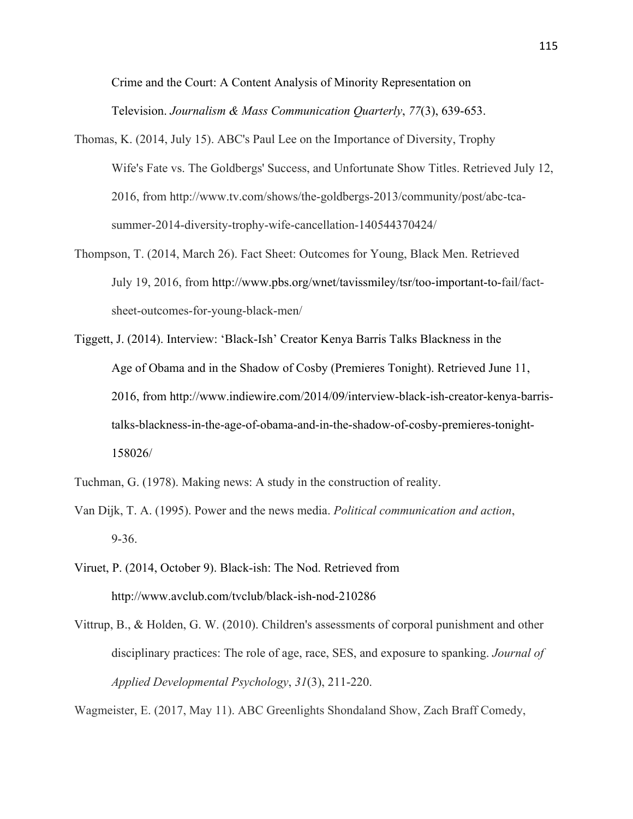Crime and the Court: A Content Analysis of Minority Representation on Television. *Journalism & Mass Communication Quarterly*, *77*(3), 639-653.

- Thomas, K. (2014, July 15). ABC's Paul Lee on the Importance of Diversity, Trophy Wife's Fate vs. The Goldbergs' Success, and Unfortunate Show Titles. Retrieved July 12, 2016, from http://www.tv.com/shows/the-goldbergs-2013/community/post/abc-tcasummer-2014-diversity-trophy-wife-cancellation-140544370424/
- Thompson, T. (2014, March 26). Fact Sheet: Outcomes for Young, Black Men. Retrieved July 19, 2016, from http://www.pbs.org/wnet/tavissmiley/tsr/too-important-to-fail/factsheet-outcomes-for-young-black-men/
- Tiggett, J. (2014). Interview: 'Black-Ish' Creator Kenya Barris Talks Blackness in the Age of Obama and in the Shadow of Cosby (Premieres Tonight). Retrieved June 11, 2016, from http://www.indiewire.com/2014/09/interview-black-ish-creator-kenya-barristalks-blackness-in-the-age-of-obama-and-in-the-shadow-of-cosby-premieres-tonight-158026/
- Tuchman, G. (1978). Making news: A study in the construction of reality.
- Van Dijk, T. A. (1995). Power and the news media. *Political communication and action*, 9-36.
- Viruet, P. (2014, October 9). Black-ish: The Nod. Retrieved from http://www.avclub.com/tvclub/black-ish-nod-210286
- Vittrup, B., & Holden, G. W. (2010). Children's assessments of corporal punishment and other disciplinary practices: The role of age, race, SES, and exposure to spanking. *Journal of Applied Developmental Psychology*, *31*(3), 211-220.

Wagmeister, E. (2017, May 11). ABC Greenlights Shondaland Show, Zach Braff Comedy,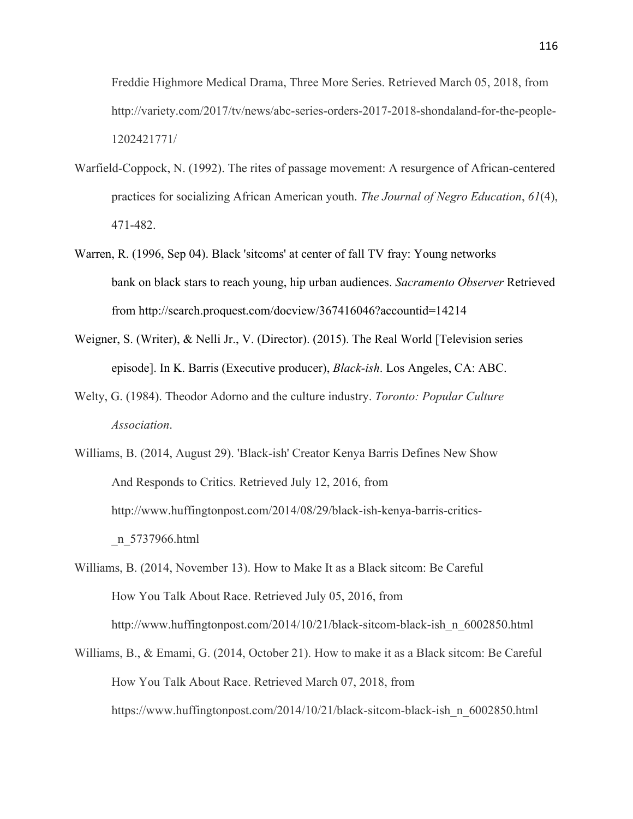Freddie Highmore Medical Drama, Three More Series. Retrieved March 05, 2018, from http://variety.com/2017/tv/news/abc-series-orders-2017-2018-shondaland-for-the-people-1202421771/

- Warfield-Coppock, N. (1992). The rites of passage movement: A resurgence of African-centered practices for socializing African American youth. *The Journal of Negro Education*, *61*(4), 471-482.
- Warren, R. (1996, Sep 04). Black 'sitcoms' at center of fall TV fray: Young networks bank on black stars to reach young, hip urban audiences. *Sacramento Observer* Retrieved from http://search.proquest.com/docview/367416046?accountid=14214
- Weigner, S. (Writer), & Nelli Jr., V. (Director). (2015). The Real World [Television series episode]. In K. Barris (Executive producer), *Black-ish*. Los Angeles, CA: ABC.
- Welty, G. (1984). Theodor Adorno and the culture industry. *Toronto: Popular Culture Association*.
- Williams, B. (2014, August 29). 'Black-ish' Creator Kenya Barris Defines New Show And Responds to Critics. Retrieved July 12, 2016, from http://www.huffingtonpost.com/2014/08/29/black-ish-kenya-barris-critics- \_n\_5737966.html
- Williams, B. (2014, November 13). How to Make It as a Black sitcom: Be Careful How You Talk About Race. Retrieved July 05, 2016, from http://www.huffingtonpost.com/2014/10/21/black-sitcom-black-ish\_n\_6002850.html
- Williams, B., & Emami, G. (2014, October 21). How to make it as a Black sitcom: Be Careful How You Talk About Race. Retrieved March 07, 2018, from https://www.huffingtonpost.com/2014/10/21/black-sitcom-black-ish\_n\_6002850.html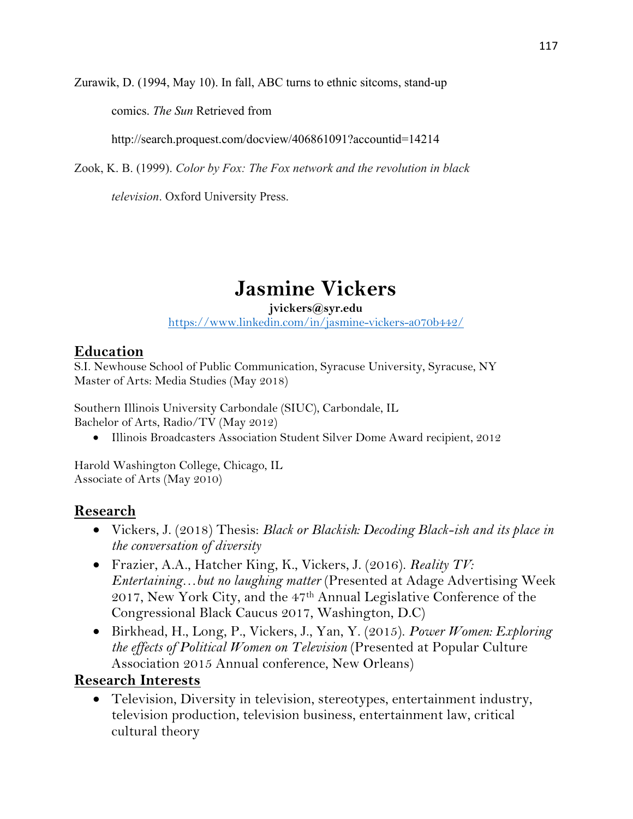Zurawik, D. (1994, May 10). In fall, ABC turns to ethnic sitcoms, stand-up

comics. *The Sun* Retrieved from

http://search.proquest.com/docview/406861091?accountid=14214

Zook, K. B. (1999). *Color by Fox: The Fox network and the revolution in black* 

*television*. Oxford University Press.

# **Jasmine Vickers**

#### **jvickers@syr.edu**

https://www.linkedin.com/in/jasmine-vickers-a070b442/

#### **Education**

S.I. Newhouse School of Public Communication, Syracuse University, Syracuse, NY Master of Arts: Media Studies (May 2018)

Southern Illinois University Carbondale (SIUC), Carbondale, IL Bachelor of Arts, Radio/TV (May 2012)

• Illinois Broadcasters Association Student Silver Dome Award recipient, 2012

Harold Washington College, Chicago, IL Associate of Arts (May 2010)

## **Research**

- Vickers, J. (2018) Thesis: *Black or Blackish: Decoding Black-ish and its place in the conversation of diversity*
- Frazier, A.A., Hatcher King, K., Vickers, J. (2016). *Reality TV: Entertaining…but no laughing matter* (Presented at Adage Advertising Week 2017, New York City, and the 47th Annual Legislative Conference of the Congressional Black Caucus 2017, Washington, D.C)
- Birkhead, H., Long, P., Vickers, J., Yan, Y. (2015). *Power Women: Exploring the effects of Political Women on Television* (Presented at Popular Culture Association 2015 Annual conference, New Orleans)

#### **Research Interests**

• Television, Diversity in television, stereotypes, entertainment industry, television production, television business, entertainment law, critical cultural theory